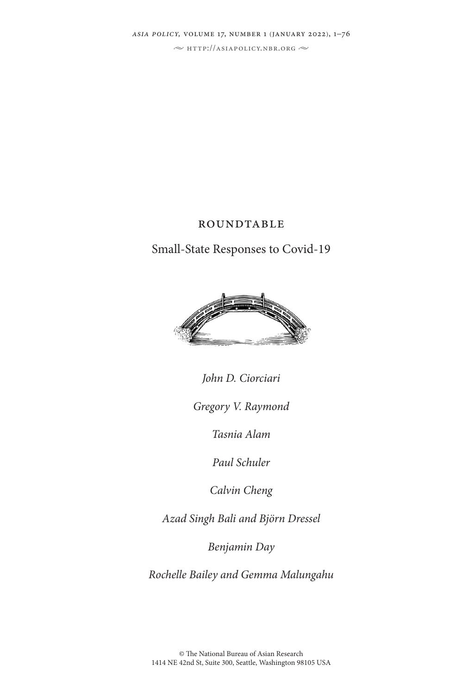*asia policy,* volume 17, number 1 (january 2022), 1–76

 $\sim$  http://asiapolicy.nbr.org  $\sim$ 

## **ROUNDTABLE**

Small-State Responses to Covid-19



*John D. Ciorciari*

*Gregory V. Raymond*

*Tasnia Alam*

*Paul Schuler*

*Calvin Cheng*

*Azad Singh Bali and Björn Dressel*

*Benjamin Day*

*Rochelle Bailey and Gemma Malungahu*

© The National Bureau of Asian Research 1414 NE 42nd St, Suite 300, Seattle, Washington 98105 USA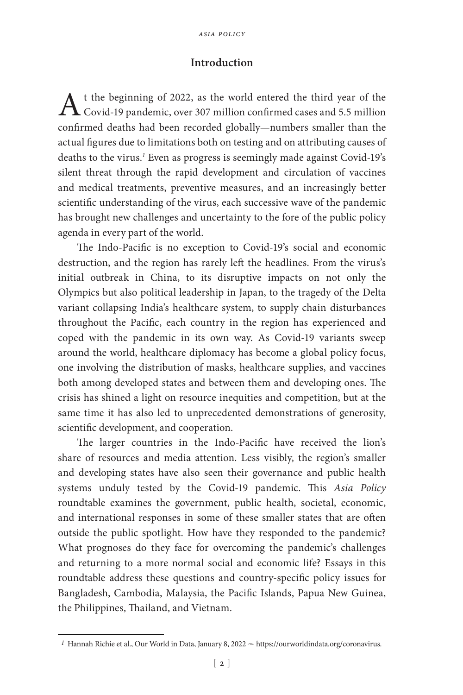## **Introduction**

A t the beginning of 2022, as the world entered the third year of the Covid-19 pandemic, over 307 million confirmed cases and 5.5 million confirmed deaths had been recorded globally—numbers smaller than the actual figures due to limitations both on testing and on attributing causes of deaths to the virus.*<sup>1</sup>* Even as progress is seemingly made against Covid-19's silent threat through the rapid development and circulation of vaccines and medical treatments, preventive measures, and an increasingly better scientific understanding of the virus, each successive wave of the pandemic has brought new challenges and uncertainty to the fore of the public policy agenda in every part of the world.

The Indo-Pacific is no exception to Covid-19's social and economic destruction, and the region has rarely left the headlines. From the virus's initial outbreak in China, to its disruptive impacts on not only the Olympics but also political leadership in Japan, to the tragedy of the Delta variant collapsing India's healthcare system, to supply chain disturbances throughout the Pacific, each country in the region has experienced and coped with the pandemic in its own way. As Covid-19 variants sweep around the world, healthcare diplomacy has become a global policy focus, one involving the distribution of masks, healthcare supplies, and vaccines both among developed states and between them and developing ones. The crisis has shined a light on resource inequities and competition, but at the same time it has also led to unprecedented demonstrations of generosity, scientific development, and cooperation.

The larger countries in the Indo-Pacific have received the lion's share of resources and media attention. Less visibly, the region's smaller and developing states have also seen their governance and public health systems unduly tested by the Covid-19 pandemic. This *Asia Policy* roundtable examines the government, public health, societal, economic, and international responses in some of these smaller states that are often outside the public spotlight. How have they responded to the pandemic? What prognoses do they face for overcoming the pandemic's challenges and returning to a more normal social and economic life? Essays in this roundtable address these questions and country-specific policy issues for Bangladesh, Cambodia, Malaysia, the Pacific Islands, Papua New Guinea, the Philippines, Thailand, and Vietnam.

<sup>&</sup>lt;sup>1</sup> Hannah Richie et al., Our World in Data, January 8, 2022  $\sim$  https://ourworldindata.org/coronavirus.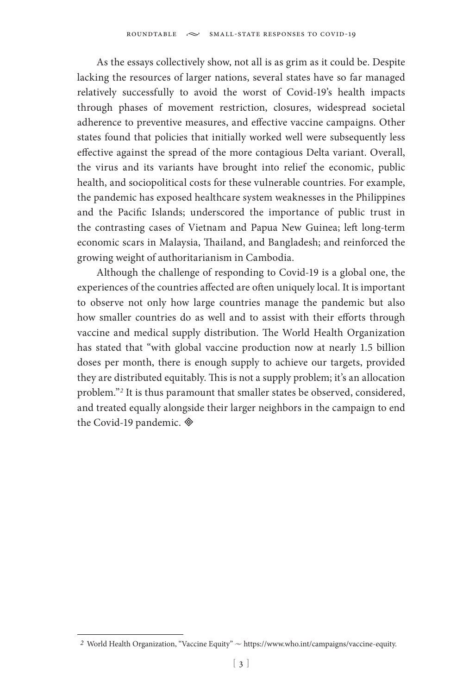As the essays collectively show, not all is as grim as it could be. Despite lacking the resources of larger nations, several states have so far managed relatively successfully to avoid the worst of Covid-19's health impacts through phases of movement restriction, closures, widespread societal adherence to preventive measures, and effective vaccine campaigns. Other states found that policies that initially worked well were subsequently less effective against the spread of the more contagious Delta variant. Overall, the virus and its variants have brought into relief the economic, public health, and sociopolitical costs for these vulnerable countries. For example, the pandemic has exposed healthcare system weaknesses in the Philippines and the Pacific Islands; underscored the importance of public trust in the contrasting cases of Vietnam and Papua New Guinea; left long-term economic scars in Malaysia, Thailand, and Bangladesh; and reinforced the growing weight of authoritarianism in Cambodia.

Although the challenge of responding to Covid-19 is a global one, the experiences of the countries affected are often uniquely local. It is important to observe not only how large countries manage the pandemic but also how smaller countries do as well and to assist with their efforts through vaccine and medical supply distribution. The World Health Organization has stated that "with global vaccine production now at nearly 1.5 billion doses per month, there is enough supply to achieve our targets, provided they are distributed equitably. This is not a supply problem; it's an allocation problem."*<sup>2</sup>* It is thus paramount that smaller states be observed, considered, and treated equally alongside their larger neighbors in the campaign to end the Covid-19 pandemic.

<sup>2</sup> World Health Organization, "Vaccine Equity"  $\sim$  https://www.who.int/campaigns/vaccine-equity.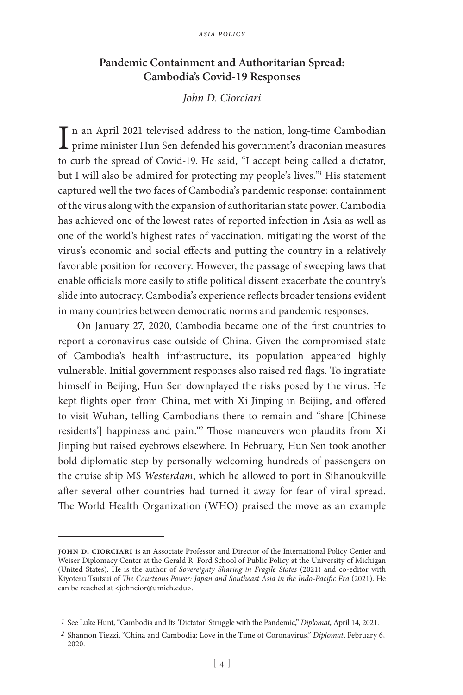## **Pandemic Containment and Authoritarian Spread: Cambodia's Covid-19 Responses**

## *John D. Ciorciari*

In an April 2021 televised address to the nation, long-time Cambodian<br>prime minister Hun Sen defended his government's draconian measures prime minister Hun Sen defended his government's draconian measures to curb the spread of Covid-19. He said, "I accept being called a dictator, but I will also be admired for protecting my people's lives."*<sup>1</sup>* His statement captured well the two faces of Cambodia's pandemic response: containment of the virus along with the expansion of authoritarian state power. Cambodia has achieved one of the lowest rates of reported infection in Asia as well as one of the world's highest rates of vaccination, mitigating the worst of the virus's economic and social effects and putting the country in a relatively favorable position for recovery. However, the passage of sweeping laws that enable officials more easily to stifle political dissent exacerbate the country's slide into autocracy. Cambodia's experience reflects broader tensions evident in many countries between democratic norms and pandemic responses.

On January 27, 2020, Cambodia became one of the first countries to report a coronavirus case outside of China. Given the compromised state of Cambodia's health infrastructure, its population appeared highly vulnerable. Initial government responses also raised red flags. To ingratiate himself in Beijing, Hun Sen downplayed the risks posed by the virus. He kept flights open from China, met with Xi Jinping in Beijing, and offered to visit Wuhan, telling Cambodians there to remain and "share [Chinese residents'] happiness and pain."*<sup>2</sup>* Those maneuvers won plaudits from Xi Jinping but raised eyebrows elsewhere. In February, Hun Sen took another bold diplomatic step by personally welcoming hundreds of passengers on the cruise ship MS *Westerdam*, which he allowed to port in Sihanoukville after several other countries had turned it away for fear of viral spread. The World Health Organization (WHO) praised the move as an example

**john d. ciorciari** is an Associate Professor and Director of the International Policy Center and Weiser Diplomacy Center at the Gerald R. Ford School of Public Policy at the University of Michigan (United States). He is the author of *Sovereignty Sharing in Fragile States* (2021) and co-editor with Kiyoteru Tsutsui of *The Courteous Power: Japan and Southeast Asia in the Indo-Pacific Era* (2021). He can be reached at <johncior@umich.edu>.

*<sup>1</sup>* See Luke Hunt, "Cambodia and Its 'Dictator' Struggle with the Pandemic," *Diplomat*, April 14, 2021.

*<sup>2</sup>* Shannon Tiezzi, "China and Cambodia: Love in the Time of Coronavirus," *Diplomat*, February 6, 2020.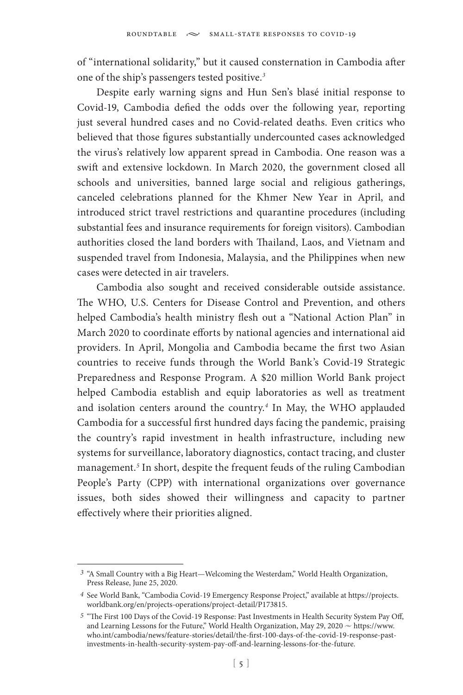of "international solidarity," but it caused consternation in Cambodia after one of the ship's passengers tested positive.*<sup>3</sup>*

Despite early warning signs and Hun Sen's blasé initial response to Covid-19, Cambodia defied the odds over the following year, reporting just several hundred cases and no Covid-related deaths. Even critics who believed that those figures substantially undercounted cases acknowledged the virus's relatively low apparent spread in Cambodia. One reason was a swift and extensive lockdown. In March 2020, the government closed all schools and universities, banned large social and religious gatherings, canceled celebrations planned for the Khmer New Year in April, and introduced strict travel restrictions and quarantine procedures (including substantial fees and insurance requirements for foreign visitors). Cambodian authorities closed the land borders with Thailand, Laos, and Vietnam and suspended travel from Indonesia, Malaysia, and the Philippines when new cases were detected in air travelers.

Cambodia also sought and received considerable outside assistance. The WHO, U.S. Centers for Disease Control and Prevention, and others helped Cambodia's health ministry flesh out a "National Action Plan" in March 2020 to coordinate efforts by national agencies and international aid providers. In April, Mongolia and Cambodia became the first two Asian countries to receive funds through the World Bank's Covid-19 Strategic Preparedness and Response Program. A \$20 million World Bank project helped Cambodia establish and equip laboratories as well as treatment and isolation centers around the country.*<sup>4</sup>* In May, the WHO applauded Cambodia for a successful first hundred days facing the pandemic, praising the country's rapid investment in health infrastructure, including new systems for surveillance, laboratory diagnostics, contact tracing, and cluster management.*<sup>5</sup>* In short, despite the frequent feuds of the ruling Cambodian People's Party (CPP) with international organizations over governance issues, both sides showed their willingness and capacity to partner effectively where their priorities aligned.

*<sup>3</sup>* "A Small Country with a Big Heart—Welcoming the Westerdam," World Health Organization, Press Release, June 25, 2020.

*<sup>4</sup>* See World Bank, "Cambodia Covid-19 Emergency Response Project," available at https://projects. worldbank.org/en/projects-operations/project-detail/P173815.

*<sup>5</sup>* "The First 100 Days of the Covid-19 Response: Past Investments in Health Security System Pay Off, and Learning Lessons for the Future," World Health Organization, May 29, 2020  $\sim$  https://www. who.int/cambodia/news/feature-stories/detail/the-first-100-days-of-the-covid-19-response-pastinvestments-in-health-security-system-pay-off-and-learning-lessons-for-the-future.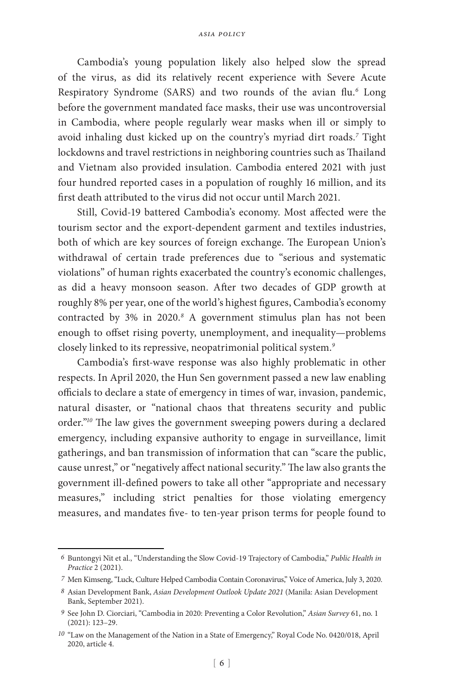Cambodia's young population likely also helped slow the spread of the virus, as did its relatively recent experience with Severe Acute Respiratory Syndrome (SARS) and two rounds of the avian flu.*<sup>6</sup>* Long before the government mandated face masks, their use was uncontroversial in Cambodia, where people regularly wear masks when ill or simply to avoid inhaling dust kicked up on the country's myriad dirt roads.*<sup>7</sup>* Tight lockdowns and travel restrictions in neighboring countries such as Thailand and Vietnam also provided insulation. Cambodia entered 2021 with just four hundred reported cases in a population of roughly 16 million, and its first death attributed to the virus did not occur until March 2021.

Still, Covid-19 battered Cambodia's economy. Most affected were the tourism sector and the export-dependent garment and textiles industries, both of which are key sources of foreign exchange. The European Union's withdrawal of certain trade preferences due to "serious and systematic violations" of human rights exacerbated the country's economic challenges, as did a heavy monsoon season. After two decades of GDP growth at roughly 8% per year, one of the world's highest figures, Cambodia's economy contracted by 3% in 2020.<sup>8</sup> A government stimulus plan has not been enough to offset rising poverty, unemployment, and inequality—problems closely linked to its repressive, neopatrimonial political system.*<sup>9</sup>*

Cambodia's first-wave response was also highly problematic in other respects. In April 2020, the Hun Sen government passed a new law enabling officials to declare a state of emergency in times of war, invasion, pandemic, natural disaster, or "national chaos that threatens security and public order."*<sup>10</sup>* The law gives the government sweeping powers during a declared emergency, including expansive authority to engage in surveillance, limit gatherings, and ban transmission of information that can "scare the public, cause unrest," or "negatively affect national security." The law also grants the government ill-defined powers to take all other "appropriate and necessary measures," including strict penalties for those violating emergency measures, and mandates five- to ten-year prison terms for people found to

*<sup>6</sup>* Buntongyi Nit et al., "Understanding the Slow Covid-19 Trajectory of Cambodia," *Public Health in Practice* 2 (2021).

*<sup>7</sup>* Men Kimseng, "Luck, Culture Helped Cambodia Contain Coronavirus," Voice of America, July 3, 2020.

*<sup>8</sup>* Asian Development Bank, *Asian Development Outlook Update 2021* (Manila: Asian Development Bank, September 2021).

*<sup>9</sup>* See John D. Ciorciari, "Cambodia in 2020: Preventing a Color Revolution," *Asian Survey* 61, no. 1 (2021): 123–29.

*<sup>10</sup>* "Law on the Management of the Nation in a State of Emergency," Royal Code No. 0420/018, April 2020, article 4.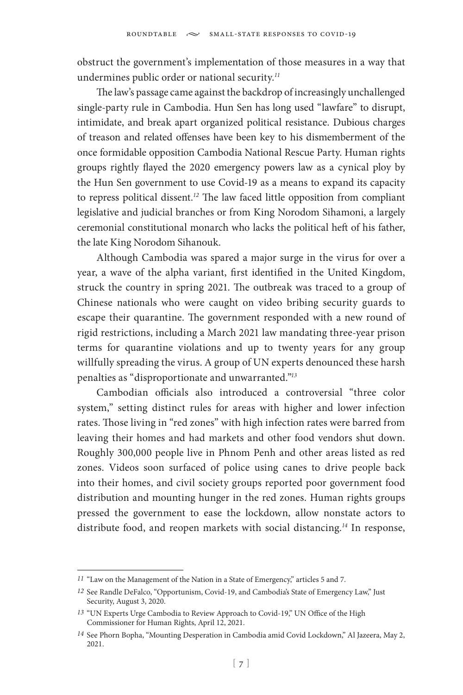obstruct the government's implementation of those measures in a way that undermines public order or national security.*<sup>11</sup>*

The law's passage came against the backdrop of increasingly unchallenged single-party rule in Cambodia. Hun Sen has long used "lawfare" to disrupt, intimidate, and break apart organized political resistance. Dubious charges of treason and related offenses have been key to his dismemberment of the once formidable opposition Cambodia National Rescue Party. Human rights groups rightly flayed the 2020 emergency powers law as a cynical ploy by the Hun Sen government to use Covid-19 as a means to expand its capacity to repress political dissent.*<sup>12</sup>* The law faced little opposition from compliant legislative and judicial branches or from King Norodom Sihamoni, a largely ceremonial constitutional monarch who lacks the political heft of his father, the late King Norodom Sihanouk.

Although Cambodia was spared a major surge in the virus for over a year, a wave of the alpha variant, first identified in the United Kingdom, struck the country in spring 2021. The outbreak was traced to a group of Chinese nationals who were caught on video bribing security guards to escape their quarantine. The government responded with a new round of rigid restrictions, including a March 2021 law mandating three-year prison terms for quarantine violations and up to twenty years for any group willfully spreading the virus. A group of UN experts denounced these harsh penalties as "disproportionate and unwarranted."*<sup>13</sup>*

Cambodian officials also introduced a controversial "three color system," setting distinct rules for areas with higher and lower infection rates. Those living in "red zones" with high infection rates were barred from leaving their homes and had markets and other food vendors shut down. Roughly 300,000 people live in Phnom Penh and other areas listed as red zones. Videos soon surfaced of police using canes to drive people back into their homes, and civil society groups reported poor government food distribution and mounting hunger in the red zones. Human rights groups pressed the government to ease the lockdown, allow nonstate actors to distribute food, and reopen markets with social distancing.*<sup>14</sup>* In response,

*<sup>11</sup>* "Law on the Management of the Nation in a State of Emergency," articles 5 and 7.

*<sup>12</sup>* See Randle DeFalco, "Opportunism, Covid-19, and Cambodia's State of Emergency Law," Just Security, August 3, 2020.

*<sup>13</sup>* "UN Experts Urge Cambodia to Review Approach to Covid-19," UN Office of the High Commissioner for Human Rights, April 12, 2021.

*<sup>14</sup>* See Phorn Bopha, "Mounting Desperation in Cambodia amid Covid Lockdown," Al Jazeera, May 2, 2021.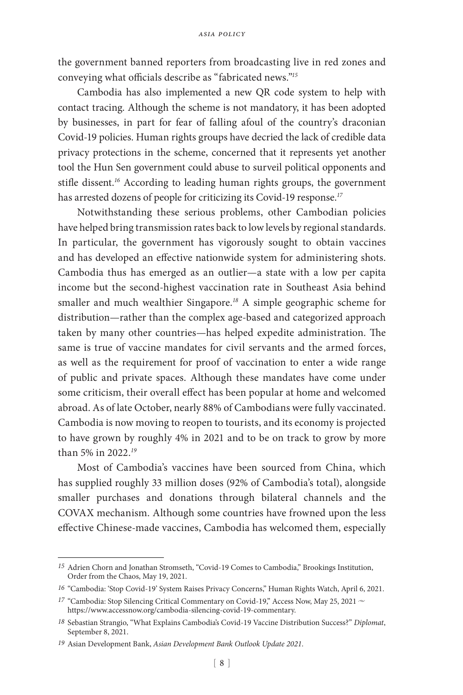the government banned reporters from broadcasting live in red zones and conveying what officials describe as "fabricated news."*<sup>15</sup>*

Cambodia has also implemented a new QR code system to help with contact tracing. Although the scheme is not mandatory, it has been adopted by businesses, in part for fear of falling afoul of the country's draconian Covid-19 policies. Human rights groups have decried the lack of credible data privacy protections in the scheme, concerned that it represents yet another tool the Hun Sen government could abuse to surveil political opponents and stifle dissent.*<sup>16</sup>* According to leading human rights groups, the government has arrested dozens of people for criticizing its Covid-19 response.*<sup>17</sup>*

Notwithstanding these serious problems, other Cambodian policies have helped bring transmission rates back to low levels by regional standards. In particular, the government has vigorously sought to obtain vaccines and has developed an effective nationwide system for administering shots. Cambodia thus has emerged as an outlier—a state with a low per capita income but the second-highest vaccination rate in Southeast Asia behind smaller and much wealthier Singapore.*<sup>18</sup>* A simple geographic scheme for distribution—rather than the complex age-based and categorized approach taken by many other countries—has helped expedite administration. The same is true of vaccine mandates for civil servants and the armed forces, as well as the requirement for proof of vaccination to enter a wide range of public and private spaces. Although these mandates have come under some criticism, their overall effect has been popular at home and welcomed abroad. As of late October, nearly 88% of Cambodians were fully vaccinated. Cambodia is now moving to reopen to tourists, and its economy is projected to have grown by roughly 4% in 2021 and to be on track to grow by more than 5% in 2022.*<sup>19</sup>*

Most of Cambodia's vaccines have been sourced from China, which has supplied roughly 33 million doses (92% of Cambodia's total), alongside smaller purchases and donations through bilateral channels and the COVAX mechanism. Although some countries have frowned upon the less effective Chinese-made vaccines, Cambodia has welcomed them, especially

*<sup>15</sup>* Adrien Chorn and Jonathan Stromseth, "Covid-19 Comes to Cambodia," Brookings Institution, Order from the Chaos, May 19, 2021.

*<sup>16</sup>* "Cambodia: 'Stop Covid-19' System Raises Privacy Concerns," Human Rights Watch, April 6, 2021.

<sup>&</sup>lt;sup>17</sup> "Cambodia: Stop Silencing Critical Commentary on Covid-19," Access Now, May 25, 2021  $\sim$ https://www.accessnow.org/cambodia-silencing-covid-19-commentary.

*<sup>18</sup>* Sebastian Strangio, "What Explains Cambodia's Covid-19 Vaccine Distribution Success?" *Diplomat*, September 8, 2021.

*<sup>19</sup>* Asian Development Bank, *Asian Development Bank Outlook Update 2021*.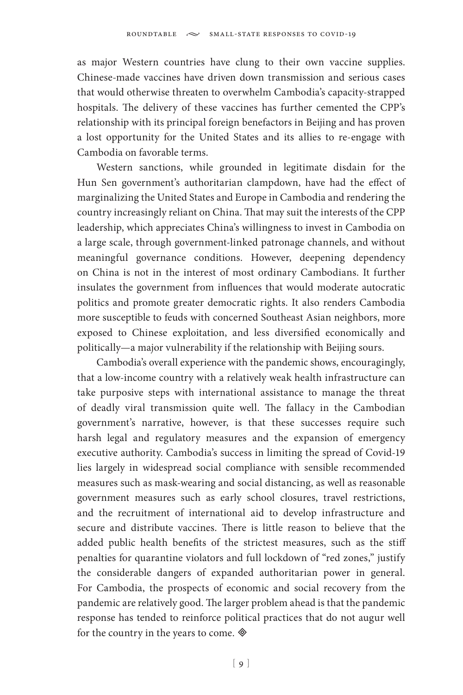as major Western countries have clung to their own vaccine supplies. Chinese-made vaccines have driven down transmission and serious cases that would otherwise threaten to overwhelm Cambodia's capacity-strapped hospitals. The delivery of these vaccines has further cemented the CPP's relationship with its principal foreign benefactors in Beijing and has proven a lost opportunity for the United States and its allies to re-engage with Cambodia on favorable terms.

Western sanctions, while grounded in legitimate disdain for the Hun Sen government's authoritarian clampdown, have had the effect of marginalizing the United States and Europe in Cambodia and rendering the country increasingly reliant on China. That may suit the interests of the CPP leadership, which appreciates China's willingness to invest in Cambodia on a large scale, through government-linked patronage channels, and without meaningful governance conditions. However, deepening dependency on China is not in the interest of most ordinary Cambodians. It further insulates the government from influences that would moderate autocratic politics and promote greater democratic rights. It also renders Cambodia more susceptible to feuds with concerned Southeast Asian neighbors, more exposed to Chinese exploitation, and less diversified economically and politically—a major vulnerability if the relationship with Beijing sours.

Cambodia's overall experience with the pandemic shows, encouragingly, that a low-income country with a relatively weak health infrastructure can take purposive steps with international assistance to manage the threat of deadly viral transmission quite well. The fallacy in the Cambodian government's narrative, however, is that these successes require such harsh legal and regulatory measures and the expansion of emergency executive authority. Cambodia's success in limiting the spread of Covid-19 lies largely in widespread social compliance with sensible recommended measures such as mask-wearing and social distancing, as well as reasonable government measures such as early school closures, travel restrictions, and the recruitment of international aid to develop infrastructure and secure and distribute vaccines. There is little reason to believe that the added public health benefits of the strictest measures, such as the stiff penalties for quarantine violators and full lockdown of "red zones," justify the considerable dangers of expanded authoritarian power in general. For Cambodia, the prospects of economic and social recovery from the pandemic are relatively good. The larger problem ahead is that the pandemic response has tended to reinforce political practices that do not augur well for the country in the years to come.  $\otimes$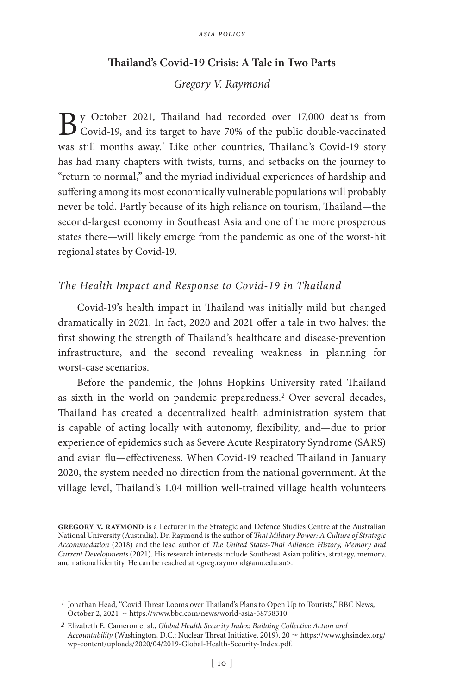### **Thailand's Covid-19 Crisis: A Tale in Two Parts**

## *Gregory V. Raymond*

By October 2021, Thailand had recorded over 17,000 deaths from<br>Covid-19, and its target to have 70% of the public double-vaccinated was still months away.*<sup>1</sup>* Like other countries, Thailand's Covid-19 story has had many chapters with twists, turns, and setbacks on the journey to "return to normal," and the myriad individual experiences of hardship and suffering among its most economically vulnerable populations will probably never be told. Partly because of its high reliance on tourism, Thailand—the second-largest economy in Southeast Asia and one of the more prosperous states there—will likely emerge from the pandemic as one of the worst-hit regional states by Covid-19.

#### *The Health Impact and Response to Covid-19 in Thailand*

Covid-19's health impact in Thailand was initially mild but changed dramatically in 2021. In fact, 2020 and 2021 offer a tale in two halves: the first showing the strength of Thailand's healthcare and disease-prevention infrastructure, and the second revealing weakness in planning for worst-case scenarios.

Before the pandemic, the Johns Hopkins University rated Thailand as sixth in the world on pandemic preparedness.*<sup>2</sup>* Over several decades, Thailand has created a decentralized health administration system that is capable of acting locally with autonomy, flexibility, and—due to prior experience of epidemics such as Severe Acute Respiratory Syndrome (SARS) and avian flu—effectiveness. When Covid-19 reached Thailand in January 2020, the system needed no direction from the national government. At the village level, Thailand's 1.04 million well-trained village health volunteers

GREGORY V. RAYMOND is a Lecturer in the Strategic and Defence Studies Centre at the Australian National University (Australia). Dr. Raymond is the author of *Thai Military Power: A Culture of Strategic Accommodation* (2018) and the lead author of *The United States-Thai Alliance: History, Memory and Current Developments* (2021). His research interests include Southeast Asian politics, strategy, memory, and national identity. He can be reached at <greg.raymond@anu.edu.au>.

*<sup>1</sup>* Jonathan Head, "Covid Threat Looms over Thailand's Plans to Open Up to Tourists," BBC News, October 2, 2021  $\sim$  https://www.bbc.com/news/world-asia-58758310.

*<sup>2</sup>* Elizabeth E. Cameron et al., *Global Health Security Index: Building Collective Action and*  Accountability (Washington, D.C.: Nuclear Threat Initiative, 2019), 20  $\sim$  https://www.ghsindex.org/ wp-content/uploads/2020/04/2019-Global-Health-Security-Index.pdf.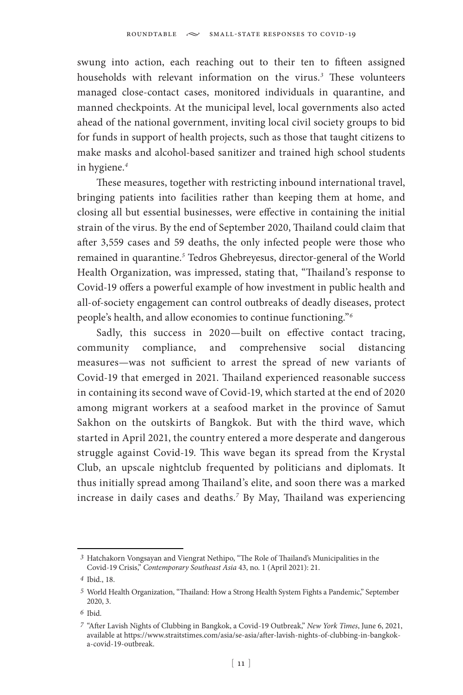swung into action, each reaching out to their ten to fifteen assigned households with relevant information on the virus.*<sup>3</sup>* These volunteers managed close-contact cases, monitored individuals in quarantine, and manned checkpoints. At the municipal level, local governments also acted ahead of the national government, inviting local civil society groups to bid for funds in support of health projects, such as those that taught citizens to make masks and alcohol-based sanitizer and trained high school students in hygiene.*<sup>4</sup>*

These measures, together with restricting inbound international travel, bringing patients into facilities rather than keeping them at home, and closing all but essential businesses, were effective in containing the initial strain of the virus. By the end of September 2020, Thailand could claim that after 3,559 cases and 59 deaths, the only infected people were those who remained in quarantine.*<sup>5</sup>* Tedros Ghebreyesus, director-general of the World Health Organization, was impressed, stating that, "Thailand's response to Covid-19 offers a powerful example of how investment in public health and all-of-society engagement can control outbreaks of deadly diseases, protect people's health, and allow economies to continue functioning."*<sup>6</sup>*

Sadly, this success in 2020—built on effective contact tracing, community compliance, and comprehensive social distancing measures—was not sufficient to arrest the spread of new variants of Covid-19 that emerged in 2021. Thailand experienced reasonable success in containing its second wave of Covid-19, which started at the end of 2020 among migrant workers at a seafood market in the province of Samut Sakhon on the outskirts of Bangkok. But with the third wave, which started in April 2021, the country entered a more desperate and dangerous struggle against Covid-19. This wave began its spread from the Krystal Club, an upscale nightclub frequented by politicians and diplomats. It thus initially spread among Thailand's elite, and soon there was a marked increase in daily cases and deaths.*<sup>7</sup>* By May, Thailand was experiencing

*<sup>3</sup>* Hatchakorn Vongsayan and Viengrat Nethipo, "The Role of Thailand's Municipalities in the Covid-19 Crisis," *Contemporary Southeast Asia* 43, no. 1 (April 2021): 21.

*<sup>4</sup>* Ibid., 18.

*<sup>5</sup>* World Health Organization, "Thailand: How a Strong Health System Fights a Pandemic," September 2020, 3.

*<sup>6</sup>* Ibid.

*<sup>7</sup>* "After Lavish Nights of Clubbing in Bangkok, a Covid-19 Outbreak," *New York Times*, June 6, 2021, available at https://www.straitstimes.com/asia/se-asia/after-lavish-nights-of-clubbing-in-bangkoka-covid-19-outbreak.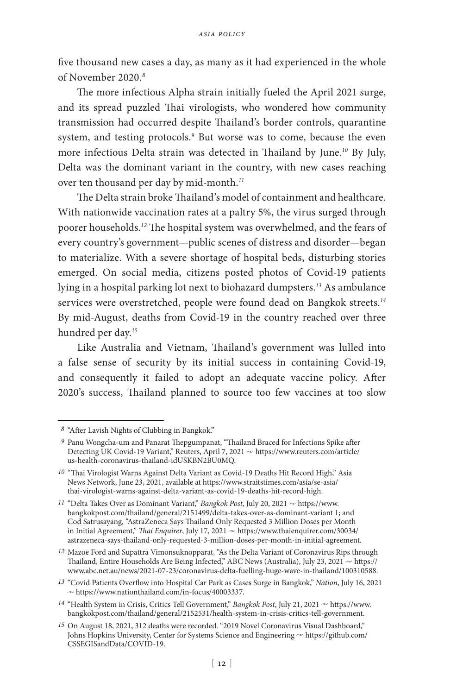five thousand new cases a day, as many as it had experienced in the whole of November 2020.*<sup>8</sup>*

The more infectious Alpha strain initially fueled the April 2021 surge, and its spread puzzled Thai virologists, who wondered how community transmission had occurred despite Thailand's border controls, quarantine system, and testing protocols.<sup>9</sup> But worse was to come, because the even more infectious Delta strain was detected in Thailand by June.*<sup>10</sup>* By July, Delta was the dominant variant in the country, with new cases reaching over ten thousand per day by mid-month.*<sup>11</sup>*

The Delta strain broke Thailand's model of containment and healthcare. With nationwide vaccination rates at a paltry 5%, the virus surged through poorer households.*<sup>12</sup>* The hospital system was overwhelmed, and the fears of every country's government—public scenes of distress and disorder—began to materialize. With a severe shortage of hospital beds, disturbing stories emerged. On social media, citizens posted photos of Covid-19 patients lying in a hospital parking lot next to biohazard dumpsters.*<sup>13</sup>* As ambulance services were overstretched, people were found dead on Bangkok streets.*<sup>14</sup>* By mid-August, deaths from Covid-19 in the country reached over three hundred per day.*<sup>15</sup>*

Like Australia and Vietnam, Thailand's government was lulled into a false sense of security by its initial success in containing Covid-19, and consequently it failed to adopt an adequate vaccine policy. After 2020's success, Thailand planned to source too few vaccines at too slow

*<sup>8</sup>* "After Lavish Nights of Clubbing in Bangkok."

*<sup>9</sup>* Panu Wongcha-um and Panarat Thepgumpanat, "Thailand Braced for Infections Spike after Detecting UK Covid-19 Variant," Reuters, April 7, 2021  $\sim$  https://www.reuters.com/article/ us-health-coronavirus-thailand-idUSKBN2BU0MQ.

*<sup>10</sup>* "Thai Virologist Warns Against Delta Variant as Covid-19 Deaths Hit Record High," Asia News Network, June 23, 2021, available at https://www.straitstimes.com/asia/se-asia/ thai-virologist-warns-against-delta-variant-as-covid-19-deaths-hit-record-high.

<sup>&</sup>lt;sup>11</sup> "Delta Takes Over as Dominant Variant," *Bangkok Post*, July 20, 2021  $\sim$  https://www. bangkokpost.com/thailand/general/2151499/delta-takes-over-as-dominant-variant 1; and Cod Satrusayang, "AstraZeneca Says Thailand Only Requested 3 Million Doses per Month in Initial Agreement," *Thai Enquirer*, July 17, 2021  $\sim$  https://www.thaienquirer.com/30034/ astrazeneca-says-thailand-only-requested-3-million-doses-per-month-in-initial-agreement.

*<sup>12</sup>* Mazoe Ford and Supattra Vimonsuknopparat, "As the Delta Variant of Coronavirus Rips through Thailand, Entire Households Are Being Infected," ABC News (Australia), July 23, 2021  $\sim$  https:// www.abc.net.au/news/2021-07-23/coronavirus-delta-fuelling-huge-wave-in-thailand/100310588.

*<sup>13</sup>* "Covid Patients Overflow into Hospital Car Park as Cases Surge in Bangkok," *Nation*, July 16, 2021  $\sim$  https://www.nationthailand.com/in-focus/40003337.

 $14$  "Health System in Crisis, Critics Tell Government," *Bangkok Post*, July 21, 2021  $\sim$  https://www. bangkokpost.com/thailand/general/2152531/health-system-in-crisis-critics-tell-government.

*<sup>15</sup>* On August 18, 2021, 312 deaths were recorded. "2019 Novel Coronavirus Visual Dashboard," Johns Hopkins University, Center for Systems Science and Engineering  $\sim$  https://github.com/ CSSEGISandData/COVID-19.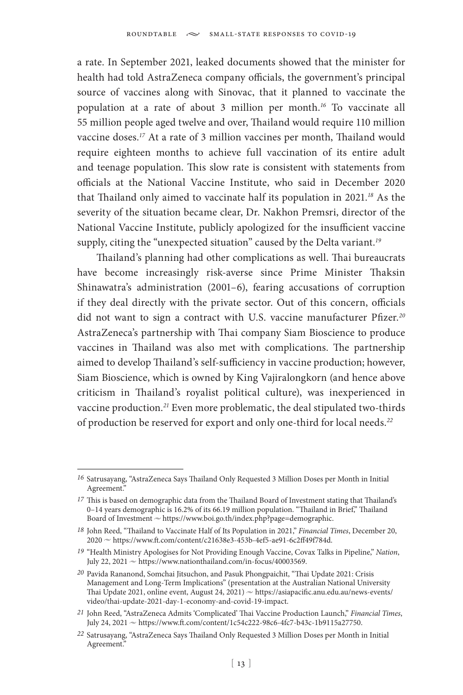a rate. In September 2021, leaked documents showed that the minister for health had told AstraZeneca company officials, the government's principal source of vaccines along with Sinovac, that it planned to vaccinate the population at a rate of about 3 million per month.*<sup>16</sup>* To vaccinate all 55 million people aged twelve and over, Thailand would require 110 million vaccine doses.*<sup>17</sup>* At a rate of 3 million vaccines per month, Thailand would require eighteen months to achieve full vaccination of its entire adult and teenage population. This slow rate is consistent with statements from officials at the National Vaccine Institute, who said in December 2020 that Thailand only aimed to vaccinate half its population in 2021.*<sup>18</sup>* As the severity of the situation became clear, Dr. Nakhon Premsri, director of the National Vaccine Institute, publicly apologized for the insufficient vaccine supply, citing the "unexpected situation" caused by the Delta variant.*<sup>19</sup>*

Thailand's planning had other complications as well. Thai bureaucrats have become increasingly risk-averse since Prime Minister Thaksin Shinawatra's administration (2001–6), fearing accusations of corruption if they deal directly with the private sector. Out of this concern, officials did not want to sign a contract with U.S. vaccine manufacturer Pfizer.*<sup>20</sup>* AstraZeneca's partnership with Thai company Siam Bioscience to produce vaccines in Thailand was also met with complications. The partnership aimed to develop Thailand's self-sufficiency in vaccine production; however, Siam Bioscience, which is owned by King Vajiralongkorn (and hence above criticism in Thailand's royalist political culture), was inexperienced in vaccine production.*<sup>21</sup>* Even more problematic, the deal stipulated two-thirds of production be reserved for export and only one-third for local needs.*<sup>22</sup>*

*<sup>16</sup>* Satrusayang, "AstraZeneca Says Thailand Only Requested 3 Million Doses per Month in Initial Agreement."

*<sup>17</sup>* This is based on demographic data from the Thailand Board of Investment stating that Thailand's 0–14 years demographic is 16.2% of its 66.19 million population. "Thailand in Brief," Thailand Board of Investment  $\sim$  https://www.boi.go.th/index.php?page=demographic.

*<sup>18</sup>* John Reed, "Thailand to Vaccinate Half of Its Population in 2021," *Financial Times*, December 20, 2020 ~ https://www.ft.com/content/c21638e3-453b-4ef5-ae91-6c2ff49f784d.

*<sup>19</sup>* "Health Ministry Apologises for Not Providing Enough Vaccine, Covax Talks in Pipeline," *Nation*, July 22, 2021  $\sim$  https://www.nationthailand.com/in-focus/40003569.

*<sup>20</sup>* Pavida Rananond, Somchai Jitsuchon, and Pasuk Phongpaichit, "Thai Update 2021: Crisis Management and Long-Term Implications" (presentation at the Australian National University Thai Update 2021, online event, August 24, 2021)  $\sim$  https://asiapacific.anu.edu.au/news-events/ video/thai-update-2021-day-1-economy-and-covid-19-impact.

*<sup>21</sup>* John Reed, "AstraZeneca Admits 'Complicated' Thai Vaccine Production Launch," *Financial Times*, July 24, 2021 ~ https://www.ft.com/content/1c54c222-98c6-4fc7-b43c-1b9115a27750.

*<sup>22</sup>* Satrusayang, "AstraZeneca Says Thailand Only Requested 3 Million Doses per Month in Initial Agreement."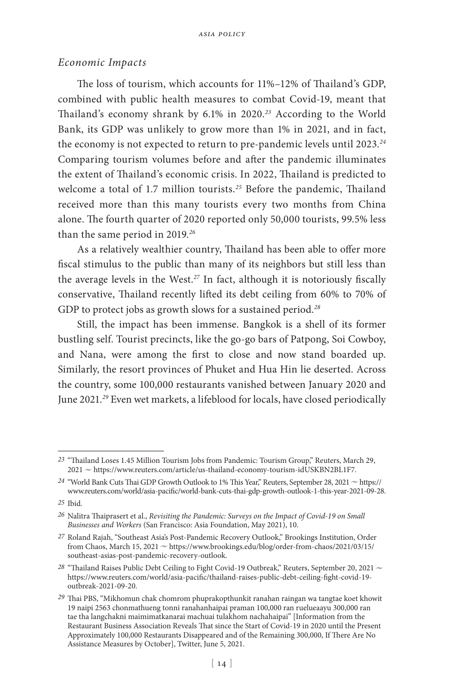### *Economic Impacts*

The loss of tourism, which accounts for 11%–12% of Thailand's GDP, combined with public health measures to combat Covid-19, meant that Thailand's economy shrank by 6.1% in 2020.*<sup>23</sup>* According to the World Bank, its GDP was unlikely to grow more than 1% in 2021, and in fact, the economy is not expected to return to pre-pandemic levels until 2023.*<sup>24</sup>* Comparing tourism volumes before and after the pandemic illuminates the extent of Thailand's economic crisis. In 2022, Thailand is predicted to welcome a total of 1.7 million tourists.*<sup>25</sup>* Before the pandemic, Thailand received more than this many tourists every two months from China alone. The fourth quarter of 2020 reported only 50,000 tourists, 99.5% less than the same period in 2019.*<sup>26</sup>*

As a relatively wealthier country, Thailand has been able to offer more fiscal stimulus to the public than many of its neighbors but still less than the average levels in the West.*<sup>27</sup>* In fact, although it is notoriously fiscally conservative, Thailand recently lifted its debt ceiling from 60% to 70% of GDP to protect jobs as growth slows for a sustained period.*<sup>28</sup>*

Still, the impact has been immense. Bangkok is a shell of its former bustling self. Tourist precincts, like the go-go bars of Patpong, Soi Cowboy, and Nana, were among the first to close and now stand boarded up. Similarly, the resort provinces of Phuket and Hua Hin lie deserted. Across the country, some 100,000 restaurants vanished between January 2020 and June 2021.*<sup>29</sup>* Even wet markets, a lifeblood for locals, have closed periodically

*<sup>23</sup>* "Thailand Loses 1.45 Million Tourism Jobs from Pandemic: Tourism Group," Reuters, March 29,  $2021 \approx$  https://www.reuters.com/article/us-thailand-economy-tourism-idUSKBN2BL1F7.

 $24$  "World Bank Cuts Thai GDP Growth Outlook to 1% This Year," Reuters, September 28, 2021  $\sim$  https:// www.reuters.com/world/asia-pacific/world-bank-cuts-thai-gdp-growth-outlook-1-this-year-2021-09-28.

*<sup>25</sup>* Ibid.

*<sup>26</sup>* Nalitra Thaiprasert et al., *Revisiting the Pandemic: Surveys on the Impact of Covid-19 on Small Businesses and Workers* (San Francisco: Asia Foundation, May 2021), 10.

*<sup>27</sup>* Roland Rajah, "Southeast Asia's Post-Pandemic Recovery Outlook," Brookings Institution, Order from Chaos, March 15, 2021 ~ https://www.brookings.edu/blog/order-from-chaos/2021/03/15/ southeast-asias-post-pandemic-recovery-outlook.

<sup>28 &</sup>quot;Thailand Raises Public Debt Ceiling to Fight Covid-19 Outbreak," Reuters, September 20, 2021  $\sim$ https://www.reuters.com/world/asia-pacific/thailand-raises-public-debt-ceiling-fight-covid-19 outbreak-2021-09-20.

*<sup>29</sup>* Thai PBS, "Mikhomun chak chomrom phuprakopthunkit ranahan raingan wa tangtae koet khowit 19 naipi 2563 chonmathueng tonni ranahanhaipai praman 100,000 ran ruelueaayu 300,000 ran tae tha langchakni maimimatkanarai machuai tulakhom nachahaipai" [Information from the Restaurant Business Association Reveals That since the Start of Covid-19 in 2020 until the Present Approximately 100,000 Restaurants Disappeared and of the Remaining 300,000, If There Are No Assistance Measures by October], Twitter, June 5, 2021.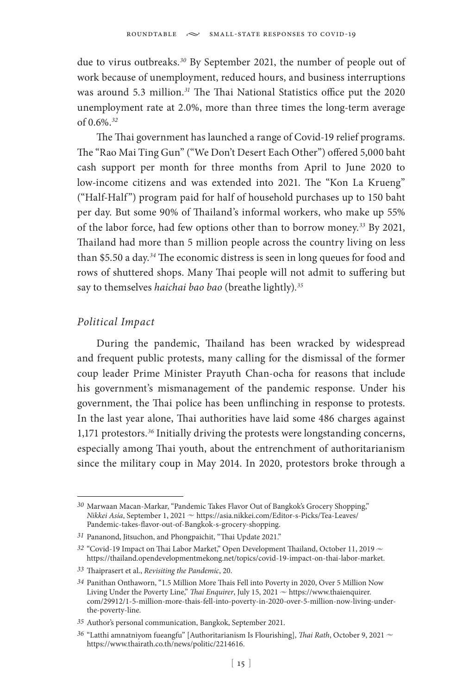due to virus outbreaks.*<sup>30</sup>* By September 2021, the number of people out of work because of unemployment, reduced hours, and business interruptions was around 5.3 million.*<sup>31</sup>* The Thai National Statistics office put the 2020 unemployment rate at 2.0%, more than three times the long-term average of 0.6%.*<sup>32</sup>*

The Thai government has launched a range of Covid-19 relief programs. The "Rao Mai Ting Gun" ("We Don't Desert Each Other") offered 5,000 baht cash support per month for three months from April to June 2020 to low-income citizens and was extended into 2021. The "Kon La Krueng" ("Half-Half") program paid for half of household purchases up to 150 baht per day. But some 90% of Thailand's informal workers, who make up 55% of the labor force, had few options other than to borrow money.*<sup>33</sup>* By 2021, Thailand had more than 5 million people across the country living on less than \$5.50 a day.*<sup>34</sup>* The economic distress is seen in long queues for food and rows of shuttered shops. Many Thai people will not admit to suffering but say to themselves *haichai bao bao* (breathe lightly).*<sup>35</sup>*

#### *Political Impact*

During the pandemic, Thailand has been wracked by widespread and frequent public protests, many calling for the dismissal of the former coup leader Prime Minister Prayuth Chan-ocha for reasons that include his government's mismanagement of the pandemic response. Under his government, the Thai police has been unflinching in response to protests. In the last year alone, Thai authorities have laid some 486 charges against 1,171 protestors.*<sup>36</sup>* Initially driving the protests were longstanding concerns, especially among Thai youth, about the entrenchment of authoritarianism since the military coup in May 2014. In 2020, protestors broke through a

*<sup>30</sup>* Marwaan Macan-Markar, "Pandemic Takes Flavor Out of Bangkok's Grocery Shopping," *Nikkei Asia*, September 1, 2021 ~ https://asia.nikkei.com/Editor-s-Picks/Tea-Leaves/ Pandemic-takes-flavor-out-of-Bangkok-s-grocery-shopping.

*<sup>31</sup>* Pananond, Jitsuchon, and Phongpaichit, "Thai Update 2021."

<sup>&</sup>lt;sup>32</sup> "Covid-19 Impact on Thai Labor Market," Open Development Thailand, October 11, 2019  $\sim$ https://thailand.opendevelopmentmekong.net/topics/covid-19-impact-on-thai-labor-market.

*<sup>33</sup>* Thaiprasert et al., *Revisiting the Pandemic*, 20.

*<sup>34</sup>* Panithan Onthaworn, "1.5 Million More Thais Fell into Poverty in 2020, Over 5 Million Now Living Under the Poverty Line," *Thai Enquirer*, July 15, 2021  $\sim$  https://www.thaienquirer. com/29912/1-5-million-more-thais-fell-into-poverty-in-2020-over-5-million-now-living-underthe-poverty-line.

*<sup>35</sup>* Author's personal communication, Bangkok, September 2021.

*<sup>36</sup>* "Latthi amnatniyom fueangfu" [Authoritarianism Is Flourishing], *Thai Rath*, October 9, 2021 <sup>u</sup> https://www.thairath.co.th/news/politic/2214616.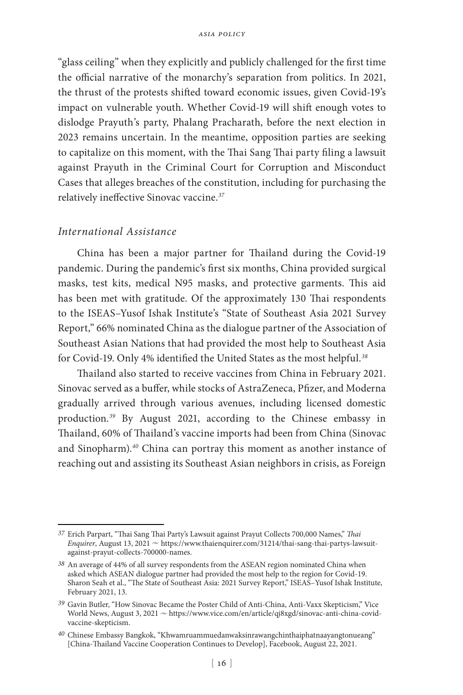"glass ceiling" when they explicitly and publicly challenged for the first time the official narrative of the monarchy's separation from politics. In 2021, the thrust of the protests shifted toward economic issues, given Covid-19's impact on vulnerable youth. Whether Covid-19 will shift enough votes to dislodge Prayuth's party, Phalang Pracharath, before the next election in 2023 remains uncertain. In the meantime, opposition parties are seeking to capitalize on this moment, with the Thai Sang Thai party filing a lawsuit against Prayuth in the Criminal Court for Corruption and Misconduct Cases that alleges breaches of the constitution, including for purchasing the relatively ineffective Sinovac vaccine.*<sup>37</sup>*

## *International Assistance*

China has been a major partner for Thailand during the Covid-19 pandemic. During the pandemic's first six months, China provided surgical masks, test kits, medical N95 masks, and protective garments. This aid has been met with gratitude. Of the approximately 130 Thai respondents to the ISEAS–Yusof Ishak Institute's "State of Southeast Asia 2021 Survey Report," 66% nominated China as the dialogue partner of the Association of Southeast Asian Nations that had provided the most help to Southeast Asia for Covid-19. Only 4% identified the United States as the most helpful.*<sup>38</sup>*

Thailand also started to receive vaccines from China in February 2021. Sinovac served as a buffer, while stocks of AstraZeneca, Pfizer, and Moderna gradually arrived through various avenues, including licensed domestic production.*<sup>39</sup>* By August 2021, according to the Chinese embassy in Thailand, 60% of Thailand's vaccine imports had been from China (Sinovac and Sinopharm).*<sup>40</sup>* China can portray this moment as another instance of reaching out and assisting its Southeast Asian neighbors in crisis, as Foreign

*<sup>37</sup>* Erich Parpart, "Thai Sang Thai Party's Lawsuit against Prayut Collects 700,000 Names," *Thai Enquirer*, August 13, 2021  $\sim$  https://www.thaienquirer.com/31214/thai-sang-thai-partys-lawsuitagainst-prayut-collects-700000-names.

*<sup>38</sup>* An average of 44% of all survey respondents from the ASEAN region nominated China when asked which ASEAN dialogue partner had provided the most help to the region for Covid-19. Sharon Seah et al., "The State of Southeast Asia: 2021 Survey Report," ISEAS–Yusof Ishak Institute, February 2021, 13.

*<sup>39</sup>* Gavin Butler, "How Sinovac Became the Poster Child of Anti-China, Anti-Vaxx Skepticism," Vice World News, August 3, 2021  $\sim$  https://www.vice.com/en/article/qj8xgd/sinovac-anti-china-covidvaccine-skepticism.

*<sup>40</sup>* Chinese Embassy Bangkok, "Khwamruammuedanwaksinrawangchinthaiphatnaayangtonueang" [China-Thailand Vaccine Cooperation Continues to Develop], Facebook, August 22, 2021.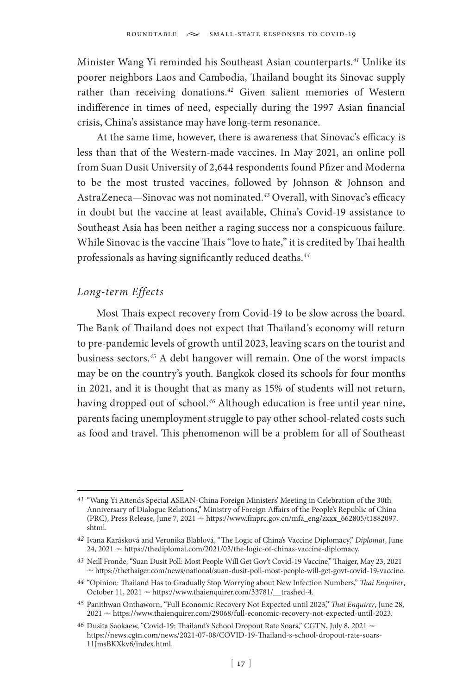Minister Wang Yi reminded his Southeast Asian counterparts.*<sup>41</sup>* Unlike its poorer neighbors Laos and Cambodia, Thailand bought its Sinovac supply rather than receiving donations.*<sup>42</sup>* Given salient memories of Western indifference in times of need, especially during the 1997 Asian financial crisis, China's assistance may have long-term resonance.

At the same time, however, there is awareness that Sinovac's efficacy is less than that of the Western-made vaccines. In May 2021, an online poll from Suan Dusit University of 2,644 respondents found Pfizer and Moderna to be the most trusted vaccines, followed by Johnson & Johnson and AstraZeneca—Sinovac was not nominated.*<sup>43</sup>* Overall, with Sinovac's efficacy in doubt but the vaccine at least available, China's Covid-19 assistance to Southeast Asia has been neither a raging success nor a conspicuous failure. While Sinovac is the vaccine Thais "love to hate," it is credited by Thai health professionals as having significantly reduced deaths.*<sup>44</sup>*

### *Long-term Effects*

Most Thais expect recovery from Covid-19 to be slow across the board. The Bank of Thailand does not expect that Thailand's economy will return to pre-pandemic levels of growth until 2023, leaving scars on the tourist and business sectors.*<sup>45</sup>* A debt hangover will remain. One of the worst impacts may be on the country's youth. Bangkok closed its schools for four months in 2021, and it is thought that as many as 15% of students will not return, having dropped out of school.*<sup>46</sup>* Although education is free until year nine, parents facing unemployment struggle to pay other school-related costs such as food and travel. This phenomenon will be a problem for all of Southeast

*<sup>41</sup>* "Wang Yi Attends Special ASEAN-China Foreign Ministers' Meeting in Celebration of the 30th Anniversary of Dialogue Relations," Ministry of Foreign Affairs of the People's Republic of China (PRC), Press Release, June 7, 2021  $\sim$  https://www.fmprc.gov.cn/mfa\_eng/zxxx\_662805/t1882097. shtml.

*<sup>42</sup>* Ivana Karásková and Veronika Blablová, "The Logic of China's Vaccine Diplomacy," *Diplomat*, June 24, 2021  $\sim$  https://thediplomat.com/2021/03/the-logic-of-chinas-vaccine-diplomacy.

*<sup>43</sup>* Neill Fronde, "Suan Dusit Poll: Most People Will Get Gov't Covid-19 Vaccine," Thaiger, May 23, 2021  $\sim$  https://thethaiger.com/news/national/suan-dusit-poll-most-people-will-get-govt-covid-19-vaccine.

*<sup>44</sup>* "Opinion: Thailand Has to Gradually Stop Worrying about New Infection Numbers," *Thai Enquirer*, October 11, 2021  $\sim$  https://www.thaienquirer.com/33781/ trashed-4.

*<sup>45</sup>* Panithwan Onthaworn, "Full Economic Recovery Not Expected until 2023," *Thai Enquirer*, June 28, 2021 ~ https://www.thaienquirer.com/29068/full-economic-recovery-not-expected-until-2023.

<sup>46</sup> Dusita Saokaew, "Covid-19: Thailand's School Dropout Rate Soars," CGTN, July 8, 2021 ~ https://news.cgtn.com/news/2021-07-08/COVID-19-Thailand-s-school-dropout-rate-soars-11JmsBKXkv6/index.html.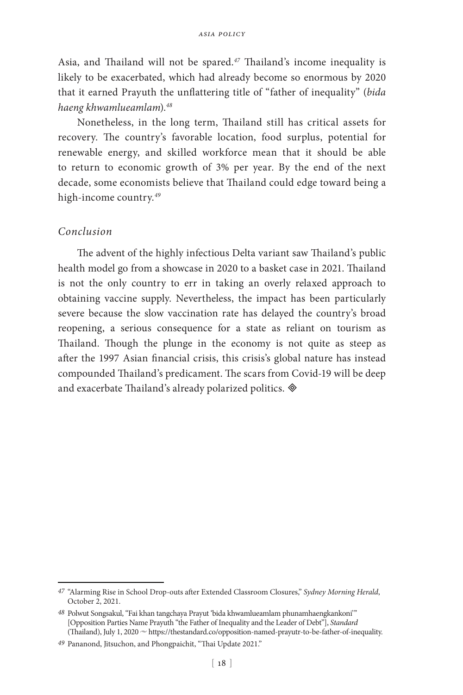Asia, and Thailand will not be spared.*<sup>47</sup>* Thailand's income inequality is likely to be exacerbated, which had already become so enormous by 2020 that it earned Prayuth the unflattering title of "father of inequality" (*bida haeng khwamlueamlam*).*<sup>48</sup>*

Nonetheless, in the long term, Thailand still has critical assets for recovery. The country's favorable location, food surplus, potential for renewable energy, and skilled workforce mean that it should be able to return to economic growth of 3% per year. By the end of the next decade, some economists believe that Thailand could edge toward being a high-income country.*<sup>49</sup>*

#### *Conclusion*

The advent of the highly infectious Delta variant saw Thailand's public health model go from a showcase in 2020 to a basket case in 2021. Thailand is not the only country to err in taking an overly relaxed approach to obtaining vaccine supply. Nevertheless, the impact has been particularly severe because the slow vaccination rate has delayed the country's broad reopening, a serious consequence for a state as reliant on tourism as Thailand. Though the plunge in the economy is not quite as steep as after the 1997 Asian financial crisis, this crisis's global nature has instead compounded Thailand's predicament. The scars from Covid-19 will be deep and exacerbate Thailand's already polarized politics.

*<sup>47</sup>* "Alarming Rise in School Drop-outs after Extended Classroom Closures," *Sydney Morning Herald*, October 2, 2021.

<sup>&</sup>lt;sup>48</sup> Polwut Songsakul, "Fai khan tangchaya Prayut 'bida khwamlueamlam phunamhaengkankoni'" [Opposition Parties Name Prayuth "the Father of Inequality and the Leader of Debt"], *Standard* (Thailand), July 1, 2020  $\sim$  https://thestandard.co/opposition-named-prayutr-to-be-father-of-inequality.

*<sup>49</sup>* Pananond, Jitsuchon, and Phongpaichit, "Thai Update 2021."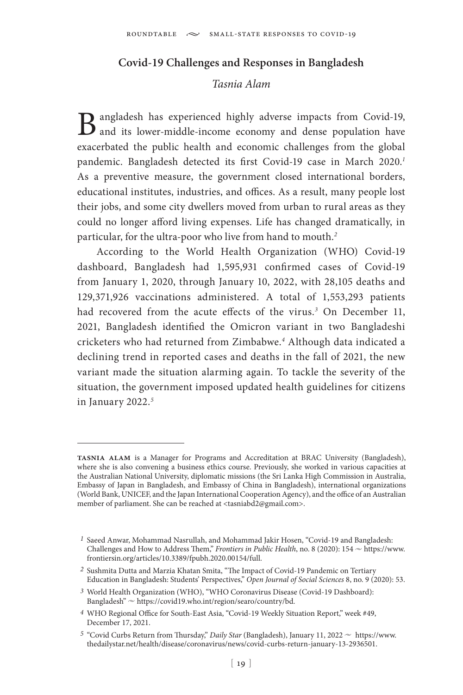#### **Covid-19 Challenges and Responses in Bangladesh**

## *Tasnia Alam*

B angladesh has experienced highly adverse impacts from Covid-19, and its lower-middle-income economy and dense population have exacerbated the public health and economic challenges from the global pandemic. Bangladesh detected its first Covid-19 case in March 2020.*<sup>1</sup>* As a preventive measure, the government closed international borders, educational institutes, industries, and offices. As a result, many people lost their jobs, and some city dwellers moved from urban to rural areas as they could no longer afford living expenses. Life has changed dramatically, in particular, for the ultra-poor who live from hand to mouth.*<sup>2</sup>*

According to the World Health Organization (WHO) Covid-19 dashboard, Bangladesh had 1,595,931 confirmed cases of Covid-19 from January 1, 2020, through January 10, 2022, with 28,105 deaths and 129,371,926 vaccinations administered. A total of 1,553,293 patients had recovered from the acute effects of the virus.*<sup>3</sup>* On December 11, 2021, Bangladesh identified the Omicron variant in two Bangladeshi cricketers who had returned from Zimbabwe.*<sup>4</sup>* Although data indicated a declining trend in reported cases and deaths in the fall of 2021, the new variant made the situation alarming again. To tackle the severity of the situation, the government imposed updated health guidelines for citizens in January 2022.*<sup>5</sup>*

**tasnia alam** is a Manager for Programs and Accreditation at BRAC University (Bangladesh), where she is also convening a business ethics course. Previously, she worked in various capacities at the Australian National University, diplomatic missions (the Sri Lanka High Commission in Australia, Embassy of Japan in Bangladesh, and Embassy of China in Bangladesh), international organizations (World Bank, UNICEF, and the Japan International Cooperation Agency), and the office of an Australian member of parliament. She can be reached at <tasniabd2@gmail.com>.

*<sup>1</sup>* Saeed Anwar, Mohammad Nasrullah, and Mohammad Jakir Hosen, "Covid-19 and Bangladesh: Challenges and How to Address Them," *Frontiers in Public Health*, no. 8 (2020): 154  $\sim$  https://www. frontiersin.org/articles/10.3389/fpubh.2020.00154/full.

*<sup>2</sup>* Sushmita Dutta and Marzia Khatan Smita, "The Impact of Covid-19 Pandemic on Tertiary Education in Bangladesh: Students' Perspectives," *Open Journal of Social Sciences* 8, no. 9 (2020): 53.

*<sup>3</sup>* World Health Organization (WHO), "WHO Coronavirus Disease (Covid-19 Dashboard): Bangladesh"  $\sim$  https://covid19.who.int/region/searo/country/bd.

*<sup>4</sup>* WHO Regional Office for South-East Asia, "Covid-19 Weekly Situation Report," week #49, December 17, 2021.

<sup>&</sup>lt;sup>5</sup> "Covid Curbs Return from Thursday," *Daily Star* (Bangladesh), January 11, 2022  $\sim$  [https://www.](https://www.thedailystar.net/health/disease/coronavirus/news/covid-curbs-return-january-13-2936501) [thedailystar.net/health/disease/coronavirus/news/covid-curbs-return-january-13-2936501.](https://www.thedailystar.net/health/disease/coronavirus/news/covid-curbs-return-january-13-2936501)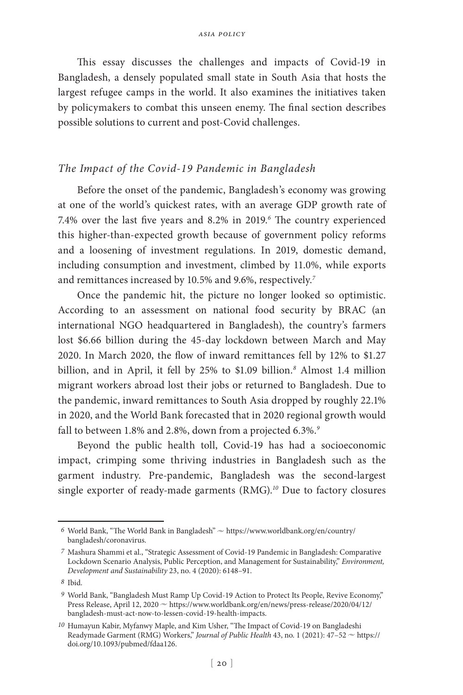This essay discusses the challenges and impacts of Covid-19 in Bangladesh, a densely populated small state in South Asia that hosts the largest refugee camps in the world. It also examines the initiatives taken by policymakers to combat this unseen enemy. The final section describes possible solutions to current and post-Covid challenges.

### *The Impact of the Covid-19 Pandemic in Bangladesh*

Before the onset of the pandemic, Bangladesh's economy was growing at one of the world's quickest rates, with an average GDP growth rate of 7.4% over the last five years and 8.2% in 2019.*<sup>6</sup>* The country experienced this higher-than-expected growth because of government policy reforms and a loosening of investment regulations. In 2019, domestic demand, including consumption and investment, climbed by 11.0%, while exports and remittances increased by 10.5% and 9.6%, respectively.*<sup>7</sup>*

Once the pandemic hit, the picture no longer looked so optimistic. According to an assessment on national food security by BRAC (an international NGO headquartered in Bangladesh), the country's farmers lost \$6.66 billion during the 45-day lockdown between March and May 2020. In March 2020, the flow of inward remittances fell by 12% to \$1.27 billion, and in April, it fell by 25% to \$1.09 billion.*<sup>8</sup>* Almost 1.4 million migrant workers abroad lost their jobs or returned to Bangladesh. Due to the pandemic, inward remittances to South Asia dropped by roughly 22.1% in 2020, and the World Bank forecasted that in 2020 regional growth would fall to between 1.8% and 2.8%, down from a projected 6.3%.*<sup>9</sup>*

Beyond the public health toll, Covid-19 has had a socioeconomic impact, crimping some thriving industries in Bangladesh such as the garment industry. Pre-pandemic, Bangladesh was the second-largest single exporter of ready-made garments (RMG).*<sup>10</sup>* Due to factory closures

 $6$  World Bank, "The World Bank in Bangladesh"  $\approx$  https://www.worldbank.org/en/country/ bangladesh/coronavirus.

*<sup>7</sup>* Mashura Shammi et al., "Strategic Assessment of Covid-19 Pandemic in Bangladesh: Comparative Lockdown Scenario Analysis, Public Perception, and Management for Sustainability," *Environment, Development and Sustainability* 23, no. 4 (2020): 6148–91.

*<sup>8</sup>* Ibid.

*<sup>9</sup>* World Bank, "Bangladesh Must Ramp Up Covid-19 Action to Protect Its People, Revive Economy," Press Release, April 12, 2020  $\sim$  https://www.worldbank.org/en/news/press-release/2020/04/12/ bangladesh-must-act-now-to-lessen-covid-19-health-impacts.

*<sup>10</sup>* Humayun Kabir, Myfanwy Maple, and Kim Usher, "The Impact of Covid-19 on Bangladeshi Readymade Garment (RMG) Workers," *Journal of Public Health* 43, no. 1 (2021): 47-52  $\sim$  https:// doi.org/10.1093/pubmed/fdaa126.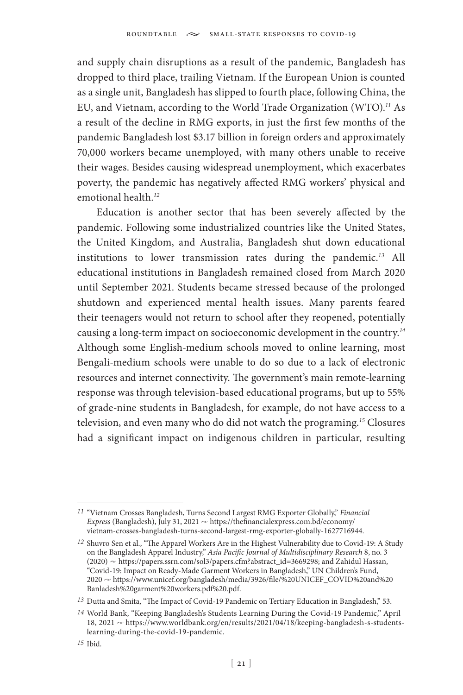and supply chain disruptions as a result of the pandemic, Bangladesh has dropped to third place, trailing Vietnam. If the European Union is counted as a single unit, Bangladesh has slipped to fourth place, following China, the EU, and Vietnam, according to the World Trade Organization (WTO).*<sup>11</sup>* As a result of the decline in RMG exports, in just the first few months of the pandemic Bangladesh lost \$3.17 billion in foreign orders and approximately 70,000 workers became unemployed, with many others unable to receive their wages. Besides causing widespread unemployment, which exacerbates poverty, the pandemic has negatively affected RMG workers' physical and emotional health.*<sup>12</sup>*

Education is another sector that has been severely affected by the pandemic. Following some industrialized countries like the United States, the United Kingdom, and Australia, Bangladesh shut down educational institutions to lower transmission rates during the pandemic.*<sup>13</sup>* All educational institutions in Bangladesh remained closed from March 2020 until September 2021. Students became stressed because of the prolonged shutdown and experienced mental health issues. Many parents feared their teenagers would not return to school after they reopened, potentially causing a long-term impact on socioeconomic development in the country.*<sup>14</sup>* Although some English-medium schools moved to online learning, most Bengali-medium schools were unable to do so due to a lack of electronic resources and internet connectivity. The government's main remote-learning response was through television-based educational programs, but up to 55% of grade-nine students in Bangladesh, for example, do not have access to a television, and even many who do did not watch the programing.*<sup>15</sup>* Closures had a significant impact on indigenous children in particular, resulting

*<sup>11</sup>* "Vietnam Crosses Bangladesh, Turns Second Largest RMG Exporter Globally," *Financial Express* (Bangladesh), July 31, 2021  $\sim$  https://thefinancialexpress.com.bd/economy/ vietnam-crosses-bangladesh-turns-second-largest-rmg-exporter-globally-1627716944.

*<sup>12</sup>* Shuvro Sen et al., "The Apparel Workers Are in the Highest Vulnerability due to Covid-19: A Study on the Bangladesh Apparel Industry," *Asia Pacific Journal of Multidisciplinary Research* 8, no. 3 (2020) ~ https://papers.ssrn.com/sol3/papers.cfm?abstract\_id=3669298; and Zahidul Hassan, "Covid-19: Impact on Ready-Made Garment Workers in Bangladesh," UN Children's Fund,  $2020$   $\sim$  https://www.unicef.org/bangladesh/media/3926/file/%20UNICEF\_COVID%20and%20 Banladesh%20garment%20workers.pdf%20.pdf.

*<sup>13</sup>* Dutta and Smita, "The Impact of Covid-19 Pandemic on Tertiary Education in Bangladesh," 53.

*<sup>14</sup>* World Bank, "Keeping Bangladesh's Students Learning During the Covid-19 Pandemic," April 18, 2021 ~ https://www.worldbank.org/en/results/2021/04/18/keeping-bangladesh-s-studentslearning-during-the-covid-19-pandemic.

*<sup>15</sup>* Ibid.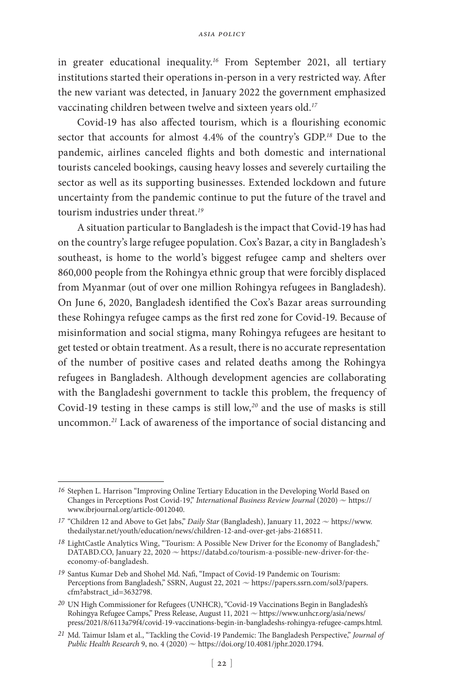in greater educational inequality.*<sup>16</sup>* From September 2021, all tertiary institutions started their operations in-person in a very restricted way. After the new variant was detected, in January 2022 the government emphasized vaccinating children between twelve and sixteen years old.*<sup>17</sup>*

Covid-19 has also affected tourism, which is a flourishing economic sector that accounts for almost 4.4% of the country's GDP.*<sup>18</sup>* Due to the pandemic, airlines canceled flights and both domestic and international tourists canceled bookings, causing heavy losses and severely curtailing the sector as well as its supporting businesses. Extended lockdown and future uncertainty from the pandemic continue to put the future of the travel and tourism industries under threat.*<sup>19</sup>*

A situation particular to Bangladesh is the impact that Covid-19 has had on the country's large refugee population. Cox's Bazar, a city in Bangladesh's southeast, is home to the world's biggest refugee camp and shelters over 860,000 people from the Rohingya ethnic group that were forcibly displaced from Myanmar (out of over one million Rohingya refugees in Bangladesh). On June 6, 2020, Bangladesh identified the Cox's Bazar areas surrounding these Rohingya refugee camps as the first red zone for Covid-19. Because of misinformation and social stigma, many Rohingya refugees are hesitant to get tested or obtain treatment. As a result, there is no accurate representation of the number of positive cases and related deaths among the Rohingya refugees in Bangladesh. Although development agencies are collaborating with the Bangladeshi government to tackle this problem, the frequency of Covid-19 testing in these camps is still low,*<sup>20</sup>* and the use of masks is still uncommon.*<sup>21</sup>* Lack of awareness of the importance of social distancing and

*<sup>16</sup>* Stephen L. Harrison "Improving Online Tertiary Education in the Developing World Based on Changes in Perceptions Post Covid-19," *International Business Review Journal* (2020)  $\sim$  https:// www.ibrjournal.org/article-0012040.

<sup>&</sup>lt;sup>17</sup> "Children 12 and Above to Get Jabs," *Daily Star* (Bangladesh), January 11, 2022  $\sim$  https://www. thedailystar.net/youth/education/news/children-12-and-over-get-jabs-2168511.

<sup>&</sup>lt;sup>18</sup> LightCastle Analytics Wing, "Tourism: A Possible New Driver for the Economy of Bangladesh,"  $DATABD.CO$ , January 22, 2020  $\sim$  https://databd.co/tourism-a-possible-new-driver-for-theeconomy-of-bangladesh.

*<sup>19</sup>* Santus Kumar Deb and Shohel Md. Nafi, "Impact of Covid-19 Pandemic on Tourism: Perceptions from Bangladesh," SSRN, August 22, 2021  $\sim$  https://papers.ssrn.com/sol3/papers. cfm?abstract\_id=3632798.

*<sup>20</sup>* UN High Commissioner for Refugees (UNHCR), "Covid-19 Vaccinations Begin in Bangladesh's Rohingya Refugee Camps," Press Release, August 11, 2021  $\sim$  https://www.unhcr.org/asia/news/ press/2021/8/6113a79f4/covid-19-vaccinations-begin-in-bangladeshs-rohingya-refugee-camps.html.

*<sup>21</sup>* Md. Taimur Islam et al., "Tackling the Covid-19 Pandemic: The Bangladesh Perspective," *Journal of Public Health Research* 9, no. 4 (2020)  $\sim$  https://doi.org/10.4081/jphr.2020.1794.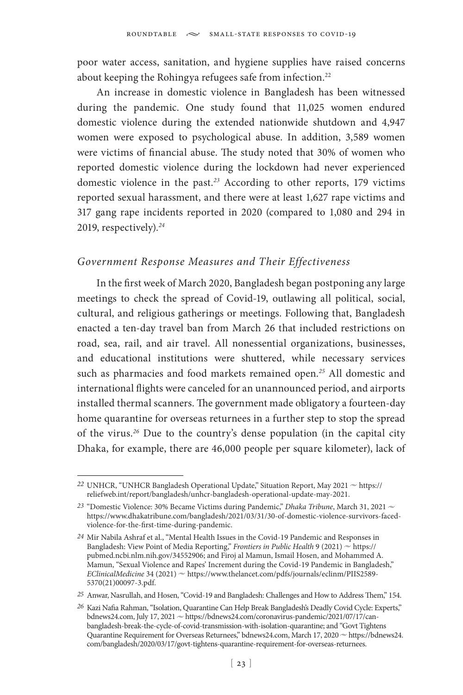poor water access, sanitation, and hygiene supplies have raised concerns about keeping the Rohingya refugees safe from infection.<sup>22</sup>

An increase in domestic violence in Bangladesh has been witnessed during the pandemic. One study found that 11,025 women endured domestic violence during the extended nationwide shutdown and 4,947 women were exposed to psychological abuse. In addition, 3,589 women were victims of financial abuse. The study noted that 30% of women who reported domestic violence during the lockdown had never experienced domestic violence in the past.*<sup>23</sup>* According to other reports, 179 victims reported sexual harassment, and there were at least 1,627 rape victims and 317 gang rape incidents reported in 2020 (compared to 1,080 and 294 in 2019, respectively).*<sup>24</sup>*

#### *Government Response Measures and Their Effectiveness*

In the first week of March 2020, Bangladesh began postponing any large meetings to check the spread of Covid-19, outlawing all political, social, cultural, and religious gatherings or meetings. Following that, Bangladesh enacted a ten-day travel ban from March 26 that included restrictions on road, sea, rail, and air travel. All nonessential organizations, businesses, and educational institutions were shuttered, while necessary services such as pharmacies and food markets remained open.*<sup>25</sup>* All domestic and international flights were canceled for an unannounced period, and airports installed thermal scanners. The government made obligatory a fourteen-day home quarantine for overseas returnees in a further step to stop the spread of the virus.*<sup>26</sup>* Due to the country's dense population (in the capital city Dhaka, for example, there are 46,000 people per square kilometer), lack of

<sup>22</sup> UNHCR, "UNHCR Bangladesh Operational Update," Situation Report, May 2021  $\sim$  https:// reliefweb.int/report/bangladesh/unhcr-bangladesh-operational-update-may-2021.

*<sup>23</sup>* "Domestic Violence: 30% Became Victims during Pandemic," *Dhaka Tribune*, March 31, 2021 <sup>u</sup> https://www.dhakatribune.com/bangladesh/2021/03/31/30-of-domestic-violence-survivors-facedviolence-for-the-first-time-during-pandemic.

*<sup>24</sup>* Mir Nabila Ashraf et al., "Mental Health Issues in the Covid-19 Pandemic and Responses in Bangladesh: View Point of Media Reporting," *Frontiers in Public Health* 9 (2021)  $\sim$  https:// pubmed.ncbi.nlm.nih.gov/34552906; and Firoj al Mamun, Ismail Hosen, and Mohammed A. Mamun, "Sexual Violence and Rapes' Increment during the Covid-19 Pandemic in Bangladesh," *EClinicalMedicine* 34 (2021)  $\sim$  https://www.thelancet.com/pdfs/journals/eclinm/PIIS2589-5370(21)00097-3.pdf.

*<sup>25</sup>* Anwar, Nasrullah, and Hosen, "Covid-19 and Bangladesh: Challenges and How to Address Them," 154.

*<sup>26</sup>* Kazi Nafia Rahman, "Isolation, Quarantine Can Help Break Bangladesh's Deadly Covid Cycle: Experts," bdnews24.com, July 17, 2021  $\sim$  https://bdnews24.com/coronavirus-pandemic/2021/07/17/canbangladesh-break-the-cycle-of-covid-transmission-with-isolation-quarantine; and "Govt Tightens Quarantine Requirement for Overseas Returnees," bdnews24.com, March 17, 2020  $\sim$  https://bdnews24. com/bangladesh/2020/03/17/govt-tightens-quarantine-requirement-for-overseas-returnees.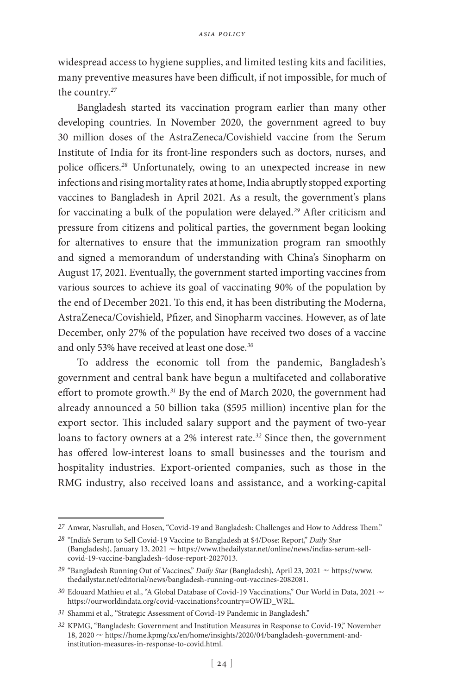widespread access to hygiene supplies, and limited testing kits and facilities, many preventive measures have been difficult, if not impossible, for much of the country.*<sup>27</sup>*

Bangladesh started its vaccination program earlier than many other developing countries. In November 2020, the government agreed to buy 30 million doses of the AstraZeneca/Covishield vaccine from the Serum Institute of India for its front-line responders such as doctors, nurses, and police officers.*<sup>28</sup>* Unfortunately, owing to an unexpected increase in new infections and rising mortality rates at home, India abruptly stopped exporting vaccines to Bangladesh in April 2021. As a result, the government's plans for vaccinating a bulk of the population were delayed.*<sup>29</sup>* After criticism and pressure from citizens and political parties, the government began looking for alternatives to ensure that the immunization program ran smoothly and signed a [memorandum of understanding](https://www.thedailystar.net/health/disease/coronavirus/fallouts-fightback/vaccine/news/govt-signs-deal-sinopharm-incepta-2153776) with China's Sinopharm on August 17, 2021. Eventually, the government started importing vaccines from various sources to achieve its goal of vaccinating 90% of the population by the end of December 2021. To this end, it has been distributing the Moderna, AstraZeneca/Covishield, Pfizer, and Sinopharm vaccines. However, as of late December, only 27% of the population have received two doses of a vaccine and only 53% have received at least one dose.*<sup>30</sup>*

To address the economic toll from the pandemic, Bangladesh's government and central bank have begun a multifaceted and collaborative effort to promote growth.*<sup>31</sup>* By the end of March 2020, the government had already announced a 50 billion taka (\$595 million) incentive plan for the export sector. This included salary support and the payment of two-year loans to factory owners at a 2% interest rate.*<sup>32</sup>* Since then, the government has offered low-interest loans to small businesses and the tourism and hospitality industries. Export-oriented companies, such as those in the RMG industry, also received loans and assistance, and a working-capital

*<sup>27</sup>* Anwar, Nasrullah, and Hosen, "Covid-19 and Bangladesh: Challenges and How to Address Them."

*<sup>28</sup>* "India's Serum to Sell Covid-19 Vaccine to Bangladesh at \$4/Dose: Report," *Daily Star* (Bangladesh), January 13, 2021  $\sim$  https://www.thedailystar.net/online/news/indias-serum-sellcovid-19-vaccine-bangladesh-4dose-report-2027013.

<sup>&</sup>lt;sup>29</sup> "Bangladesh Running Out of Vaccines," *Daily Star* (Bangladesh), April 23, 2021  $\sim$  [https://www.](https://www.thedailystar.net/editorial/news/bangladesh-running-out-vaccines-2082081) [thedailystar.net/editorial/news/bangladesh-running-out-vaccines-2082081](https://www.thedailystar.net/editorial/news/bangladesh-running-out-vaccines-2082081).

<sup>&</sup>lt;sup>30</sup> Edouard Mathieu et al., "A Global Database of Covid-19 Vaccinations," Our World in Data, 2021  $\sim$ https://ourworldindata.org/covid-vaccinations?country=OWID\_WRL.

*<sup>31</sup>* Shammi et al., "Strategic Assessment of Covid-19 Pandemic in Bangladesh."

*<sup>32</sup>* KPMG, "Bangladesh: Government and Institution Measures in Response to Covid-19," November 18, 2020  $\sim$  https://home.kpmg/xx/en/home/insights/2020/04/bangladesh-government-andinstitution-measures-in-response-to-covid.html.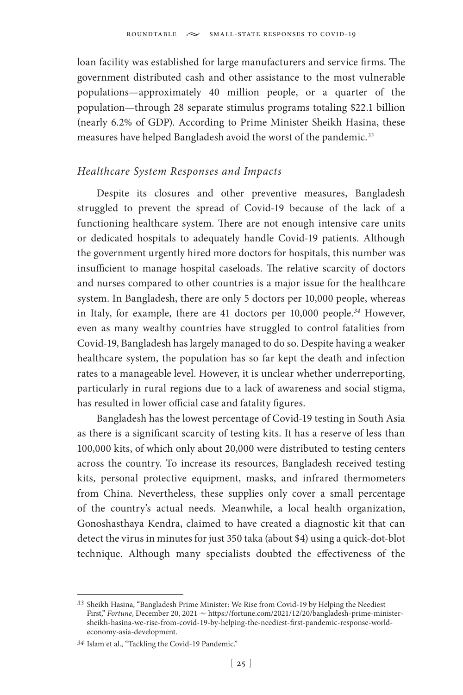loan facility was established for large manufacturers and service firms. The government distributed cash and other assistance to the most vulnerable populations—approximately 40 million people, or a quarter of the population—through 28 separate stimulus programs totaling \$22.1 billion (nearly 6.2% of GDP). According to Prime Minister Sheikh Hasina, these measures have helped Bangladesh avoid the worst of the pandemic.*<sup>33</sup>*

### *Healthcare System Responses and Impacts*

Despite its closures and other preventive measures, Bangladesh struggled to prevent the spread of Covid-19 because of the lack of a functioning healthcare system. There are not enough intensive care units or dedicated hospitals to adequately handle Covid-19 patients. Although the government urgently hired more doctors for hospitals, this number was insufficient to manage hospital caseloads. The relative scarcity of doctors and nurses compared to other countries is a major issue for the healthcare system. In Bangladesh, there are only 5 doctors per 10,000 people, whereas in Italy, for example, there are 41 doctors per 10,000 people.*<sup>34</sup>* However, even as many wealthy countries have struggled to control fatalities from Covid-19, Bangladesh has largely managed to do so. Despite having a weaker healthcare system, the population has so far kept the death and infection rates to a manageable level. However, it is unclear whether underreporting, particularly in rural regions due to a lack of awareness and social stigma, has resulted in lower official case and fatality figures.

Bangladesh has the lowest percentage of Covid-19 testing in South Asia as there is a significant scarcity of testing kits. It has a reserve of less than 100,000 kits, of which only about 20,000 were distributed to testing centers across the country. To increase its resources, Bangladesh received testing kits, personal protective equipment, masks, and infrared thermometers from China. Nevertheless, these supplies only cover a small percentage of the country's actual needs. Meanwhile, a local health organization, Gonoshasthaya Kendra, claimed to have created a diagnostic kit that can detect the virus in minutes for just 350 taka (about \$4) using a quick-dot-blot technique. Although many specialists doubted the effectiveness of the

*<sup>33</sup>* Sheikh Hasina, "Bangladesh Prime Minister: We Rise from Covid-19 by Helping the Neediest First," *Fortune*, December 20, 2021  $\sim$  https://fortune.com/2021/12/20/bangladesh-prime-ministersheikh-hasina-we-rise-from-covid-19-by-helping-the-neediest-first-pandemic-response-worldeconomy-asia-development.

*<sup>34</sup>* Islam et al., "Tackling the Covid-19 Pandemic."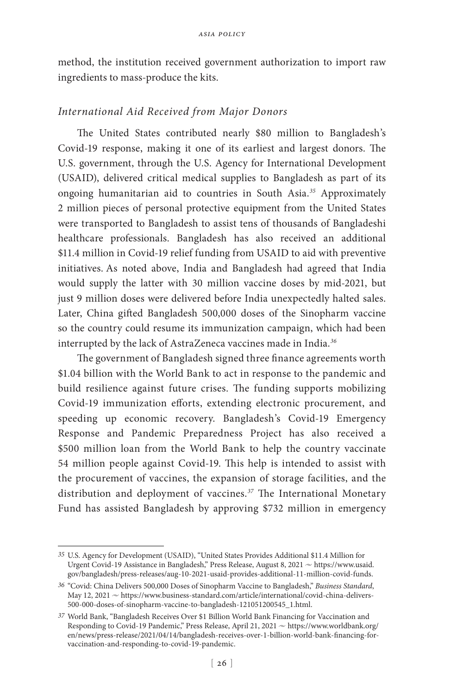method, the institution received government authorization to import raw ingredients to mass-produce the kits.

#### *International Aid Received from Major Donors*

The United States contributed nearly \$80 million to Bangladesh's Covid-19 response, making it one of its earliest and largest donors. The U.S. government, through the U.S. Agency for International Development (USAID), delivered critical medical supplies to Bangladesh as part of its ongoing humanitarian aid to countries in South Asia.*<sup>35</sup>* Approximately 2 million pieces of personal protective equipment from the United States were transported to Bangladesh to assist tens of thousands of Bangladeshi healthcare professionals. Bangladesh has also received an additional \$11.4 million in Covid-19 relief funding from USAID to aid with preventive initiatives. As noted above, India and Bangladesh had agreed that India would supply the latter with 30 million vaccine doses by mid-2021, but just 9 million doses were delivered before India unexpectedly halted sales. Later, China gifted Bangladesh 500,000 doses of the Sinopharm vaccine so the country could resume its immunization campaign, which had been interrupted by the lack of AstraZeneca vaccines made in India.*<sup>36</sup>*

The government of Bangladesh signed three finance agreements worth \$1.04 billion with the World Bank to act in response to the pandemic and build resilience against future crises. The funding supports mobilizing Covid-19 immunization efforts, extending electronic procurement, and speeding up economic recovery. Bangladesh's Covid-19 Emergency Response and Pandemic Preparedness Project has also received a \$500 million loan from the World Bank to help the country vaccinate 54 million people against Covid-19. This help is intended to assist with the procurement of vaccines, the expansion of storage facilities, and the distribution and deployment of vaccines.*<sup>37</sup>* The International Monetary Fund has assisted Bangladesh by approving \$732 million in emergency

*<sup>35</sup>* U.S. Agency for Development (USAID), "United States Provides Additional \$11.4 Million for Urgent Covid-19 Assistance in Bangladesh," Press Release, August 8, 2021 ~ https://www.usaid. gov/bangladesh/press-releases/aug-10-2021-usaid-provides-additional-11-million-covid-funds.

*<sup>36</sup>* "Covid: China Delivers 500,000 Doses of Sinopharm Vaccine to Bangladesh," *Business Standard*, May 12, 2021  $\sim$  [https://www.](https://www)business-standard.com/article/international/covid-china-delivers-500-000-doses-of-sinopharm-vaccine-to-bangladesh-121051200545\_1.html.

*<sup>37</sup>* World Bank, "Bangladesh Receives Over \$1 Billion World Bank Financing for Vaccination and Responding to Covid-19 Pandemic," Press Release, April 21, 2021  $\sim$  https://www.worldbank.org/ en/news/press-release/2021/04/14/bangladesh-receives-over-1-billion-world-bank-financing-forvaccination-and-responding-to-covid-19-pandemic.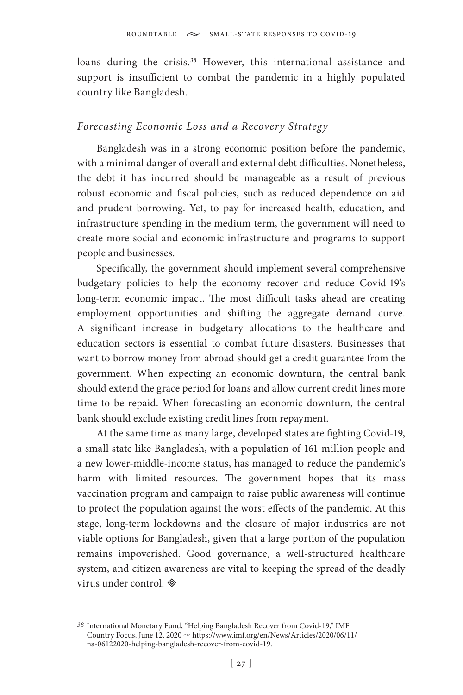loans during the crisis.*<sup>38</sup>* However, this international assistance and support is insufficient to combat the pandemic in a highly populated country like Bangladesh.

### *Forecasting Economic Loss and a Recovery Strategy*

Bangladesh was in a strong economic position before the pandemic, with a minimal danger of overall and external debt difficulties. Nonetheless, the debt it has incurred should be manageable as a result of previous robust economic and fiscal policies, such as reduced dependence on aid and prudent borrowing. Yet, to pay for increased health, education, and infrastructure spending in the medium term, the government will need to create more social and economic infrastructure and programs to support people and businesses.

Specifically, the government should implement several comprehensive budgetary policies to help the economy recover and reduce Covid-19's long-term economic impact. The most difficult tasks ahead are creating employment opportunities and shifting the aggregate demand curve. A significant increase in budgetary allocations to the healthcare and education sectors is essential to combat future disasters. Businesses that want to borrow money from abroad should get a credit guarantee from the government. When expecting an economic downturn, the central bank should extend the grace period for loans and allow current credit lines more time to be repaid. When forecasting an economic downturn, the central bank should exclude existing credit lines from repayment.

At the same time as many large, developed states are fighting Covid-19, a small state like Bangladesh, with a population of 161 million people and a new lower-middle-income status, has managed to reduce the pandemic's harm with limited resources. The government hopes that its mass vaccination program and campaign to raise public awareness will continue to protect the population against the worst effects of the pandemic. At this stage, long-term lockdowns and the closure of major industries are not viable options for Bangladesh, given that a large portion of the population remains impoverished. Good governance, a well-structured healthcare system, and citizen awareness are vital to keeping the spread of the deadly virus under control.

*<sup>38</sup>* International Monetary Fund, "Helping Bangladesh Recover from Covid-19," IMF Country Focus, June 12, 2020  $\sim$  https://www.imf.org/en/News/Articles/2020/06/11/ na-06122020-helping-bangladesh-recover-from-covid-19.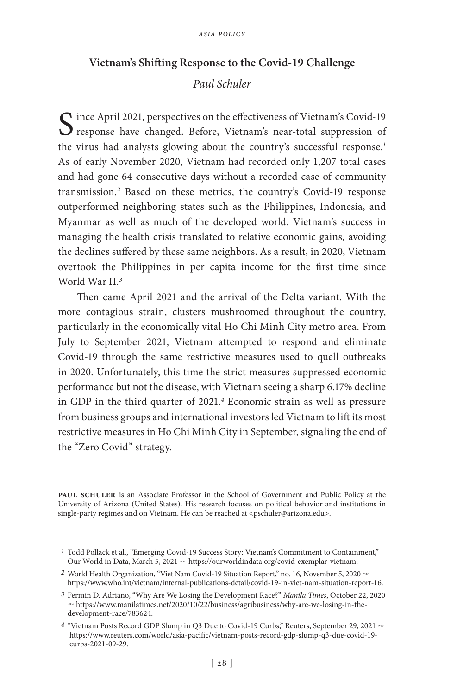## **Vietnam's Shifting Response to the Covid-19 Challenge**

# *Paul Schuler*

 $\bigcap$  ince April 2021, perspectives on the effectiveness of Vietnam's Covid-19 response have changed. Before, Vietnam's near-total suppression of the virus had analysts glowing about the country's successful response.*<sup>1</sup>* As of early November 2020, Vietnam had recorded only 1,207 total cases and had gone 64 consecutive days without a recorded case of community transmission.*<sup>2</sup>* Based on these metrics, the country's Covid-19 response outperformed neighboring states such as the Philippines, Indonesia, and Myanmar as well as much of the developed world. Vietnam's success in managing the health crisis translated to relative economic gains, avoiding the declines suffered by these same neighbors. As a result, in 2020, Vietnam overtook the Philippines in per capita income for the first time since World War II.*<sup>3</sup>*

Then came April 2021 and the arrival of the Delta variant. With the more contagious strain, clusters mushroomed throughout the country, particularly in the economically vital Ho Chi Minh City metro area. From July to September 2021, Vietnam attempted to respond and eliminate Covid-19 through the same restrictive measures used to quell outbreaks in 2020. Unfortunately, this time the strict measures suppressed economic performance but not the disease, with Vietnam seeing a sharp 6.17% decline in GDP in the third quarter of 2021.*<sup>4</sup>* Economic strain as well as pressure from business groups and international investors led Vietnam to lift its most restrictive measures in Ho Chi Minh City in September, signaling the end of the "Zero Covid" strategy.

**paul schuler** is an Associate Professor in the School of Government and Public Policy at the University of Arizona (United States). His research focuses on political behavior and institutions in single-party regimes and on Vietnam. He can be reached at <pschuler@arizona.edu>.

*<sup>1</sup>* Todd Pollack et al., "Emerging Covid-19 Success Story: Vietnam's Commitment to Containment," Our World in Data, March 5, 2021  $\sim$  https://ourworldindata.org/covid-exemplar-vietnam.

<sup>&</sup>lt;sup>2</sup> World Health Organization, "Viet Nam Covid-19 Situation Report," no. 16, November 5, 2020  $\sim$ https://www.who.int/vietnam/internal-publications-detail/covid-19-in-viet-nam-situation-report-16.

*<sup>3</sup>* Fermin D. Adriano, "Why Are We Losing the Development Race?" *Manila Times*, October 22, 2020  $\sim$  https://www.manilatimes.net/2020/10/22/business/agribusiness/why-are-we-losing-in-thedevelopment-race/783624.

<sup>&</sup>lt;sup>4</sup> "Vietnam Posts Record GDP Slump in Q3 Due to Covid-19 Curbs," Reuters, September 29, 2021  $\sim$ https://www.reuters.com/world/asia-pacific/vietnam-posts-record-gdp-slump-q3-due-covid-19 curbs-2021-09-29.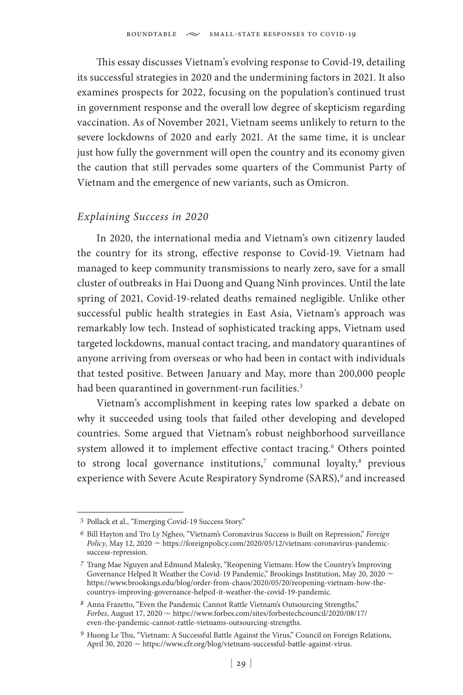This essay discusses Vietnam's evolving response to Covid-19, detailing its successful strategies in 2020 and the undermining factors in 2021. It also examines prospects for 2022, focusing on the population's continued trust in government response and the overall low degree of skepticism regarding vaccination. As of November 2021, Vietnam seems unlikely to return to the severe lockdowns of 2020 and early 2021. At the same time, it is unclear just how fully the government will open the country and its economy given the caution that still pervades some quarters of the Communist Party of Vietnam and the emergence of new variants, such as Omicron.

## *Explaining Success in 2020*

In 2020, the international media and Vietnam's own citizenry lauded the country for its strong, effective response to Covid-19. Vietnam had managed to keep community transmissions to nearly zero, save for a small cluster of outbreaks in Hai Duong and Quang Ninh provinces. Until the late spring of 2021, Covid-19-related deaths remained negligible. Unlike other successful public health strategies in East Asia, Vietnam's approach was remarkably low tech. Instead of sophisticated tracking apps, Vietnam used targeted lockdowns, manual contact tracing, and mandatory quarantines of anyone arriving from overseas or who had been in contact with individuals that tested positive. Between January and May, more than 200,000 people had been quarantined in government-run facilities.*<sup>5</sup>*

Vietnam's accomplishment in keeping rates low sparked a debate on why it succeeded using tools that failed other developing and developed countries. Some argued that Vietnam's robust neighborhood surveillance system allowed it to implement effective contact tracing.*<sup>6</sup>* Others pointed to strong local governance institutions,*<sup>7</sup>* communal loyalty,*<sup>8</sup>* previous experience with Severe Acute Respiratory Syndrome (SARS),*<sup>9</sup>* and increased

*<sup>5</sup>* Pollack et al., "Emerging Covid-19 Success Story."

*<sup>6</sup>* Bill Hayton and Tro Ly Ngheo, "Vietnam's Coronavirus Success is Built on Repression," *Foreign*  Policy, May 12, 2020  $\sim$  https://foreignpolicy.com/2020/05/12/vietnam-coronavirus-pandemicsuccess-repression.

*<sup>7</sup>* Trang Mae Nguyen and Edmund Malesky, "Reopening Vietnam: How the Country's Improving Governance Helped It Weather the Covid-19 Pandemic," Brookings Institution, May 20, 2020  $\sim$ https://www.brookings.edu/blog/order-from-chaos/2020/05/20/reopening-vietnam-how-thecountrys-improving-governance-helped-it-weather-the-covid-19-pandemic.

*<sup>8</sup>* Anna Frazetto, "Even the Pandemic Cannot Rattle Vietnam's Outsourcing Strengths," *Forbes*, August 17, 2020  $\sim$  https://www.forbes.com/sites/forbestechcouncil/2020/08/17/ even-the-pandemic-cannot-rattle-vietnams-outsourcing-strengths.

<sup>&</sup>lt;sup>9</sup> Huong Le Thu, "Vietnam: A Successful Battle Against the Virus," Council on Foreign Relations, April 30, 2020  $\sim$  https://www.cfr.org/blog/vietnam-successful-battle-against-virus.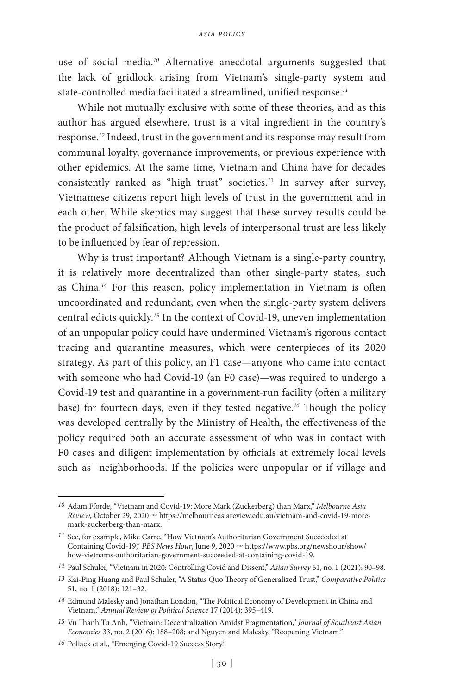use of social media.*<sup>10</sup>* Alternative anecdotal arguments suggested that the lack of gridlock arising from Vietnam's single-party system and state-controlled media facilitated a streamlined, unified response.*<sup>11</sup>*

While not mutually exclusive with some of these theories, and as this author has argued elsewhere, trust is a vital ingredient in the country's response.*<sup>12</sup>* Indeed, trust in the government and its response may result from communal loyalty, governance improvements, or previous experience with other epidemics. At the same time, Vietnam and China have for decades consistently ranked as "high trust" societies.*<sup>13</sup>* In survey after survey, Vietnamese citizens report high levels of trust in the government and in each other. While skeptics may suggest that these survey results could be the product of falsification, high levels of interpersonal trust are less likely to be influenced by fear of repression.

Why is trust important? Although Vietnam is a single-party country, it is relatively more decentralized than other single-party states, such as China.*<sup>14</sup>* For this reason, policy implementation in Vietnam is often uncoordinated and redundant, even when the single-party system delivers central edicts quickly.*<sup>15</sup>* In the context of Covid-19, uneven implementation of an unpopular policy could have undermined Vietnam's rigorous contact tracing and quarantine measures, which were centerpieces of its 2020 strategy. As part of this policy, an F1 case—anyone who came into contact with someone who had Covid-19 (an F0 case)—was required to undergo a Covid-19 test and quarantine in a government-run facility (often a military base) for fourteen days, even if they tested negative.*<sup>16</sup>* Though the policy was developed centrally by the Ministry of Health, the effectiveness of the policy required both an accurate assessment of who was in contact with F0 cases and diligent implementation by officials at extremely local levels such as neighborhoods. If the policies were unpopular or if village and

*<sup>10</sup>* Adam Fforde, "Vietnam and Covid-19: More Mark (Zuckerberg) than Marx," *Melbourne Asia Review*, October 29, 2020  $\sim$  https://melbourneasiareview.edu.au/vietnam-and-covid-19-moremark-zuckerberg-than-marx.

*<sup>11</sup>* See, for example, Mike Carre, "How Vietnam's Authoritarian Government Succeeded at Containing Covid-19," *PBS News Hour*, June 9, 2020  $\sim$  https://www.pbs.org/newshour/show/ how-vietnams-authoritarian-government-succeeded-at-containing-covid-19.

*<sup>12</sup>* Paul Schuler, "Vietnam in 2020: Controlling Covid and Dissent," *Asian Survey* 61, no. 1 (2021): 90–98.

*<sup>13</sup>* Kai-Ping Huang and Paul Schuler, "A Status Quo Theory of Generalized Trust," *Comparative Politics* 51, no. 1 (2018): 121–32.

*<sup>14</sup>* Edmund Malesky and Jonathan London, "The Political Economy of Development in China and Vietnam," *Annual Review of Political Science* 17 (2014): 395–419.

*<sup>15</sup>* Vu Thanh Tu Anh, "Vietnam: Decentralization Amidst Fragmentation," *Journal of Southeast Asian Economies* 33, no. 2 (2016): 188–208; and Nguyen and Malesky, "Reopening Vietnam."

*<sup>16</sup>* Pollack et al., "Emerging Covid-19 Success Story."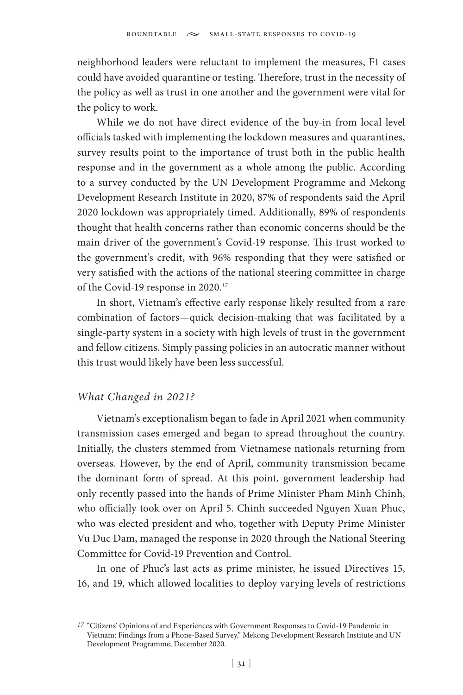neighborhood leaders were reluctant to implement the measures, F1 cases could have avoided quarantine or testing. Therefore, trust in the necessity of the policy as well as trust in one another and the government were vital for the policy to work.

While we do not have direct evidence of the buy-in from local level officials tasked with implementing the lockdown measures and quarantines, survey results point to the importance of trust both in the public health response and in the government as a whole among the public. According to a survey conducted by the UN Development Programme and Mekong Development Research Institute in 2020, 87% of respondents said the April 2020 lockdown was appropriately timed. Additionally, 89% of respondents thought that health concerns rather than economic concerns should be the main driver of the government's Covid-19 response. This trust worked to the government's credit, with 96% responding that they were satisfied or very satisfied with the actions of the national steering committee in charge of the Covid-19 response in 2020.*<sup>17</sup>*

In short, Vietnam's effective early response likely resulted from a rare combination of factors—quick decision-making that was facilitated by a single-party system in a society with high levels of trust in the government and fellow citizens. Simply passing policies in an autocratic manner without this trust would likely have been less successful.

## *What Changed in 2021?*

Vietnam's exceptionalism began to fade in April 2021 when community transmission cases emerged and began to spread throughout the country. Initially, the clusters stemmed from Vietnamese nationals returning from overseas. However, by the end of April, community transmission became the dominant form of spread. At this point, government leadership had only recently passed into the hands of Prime Minister Pham Minh Chinh, who officially took over on April 5. Chinh succeeded Nguyen Xuan Phuc, who was elected president and who, together with Deputy Prime Minister Vu Duc Dam, managed the response in 2020 through the National Steering Committee for Covid-19 Prevention and Control.

In one of Phuc's last acts as prime minister, he issued Directives 15, 16, and 19, which allowed localities to deploy varying levels of restrictions

*<sup>17</sup>* "Citizens' Opinions of and Experiences with Government Responses to Covid-19 Pandemic in Vietnam: Findings from a Phone-Based Survey," Mekong Development Research Institute and UN Development Programme, December 2020.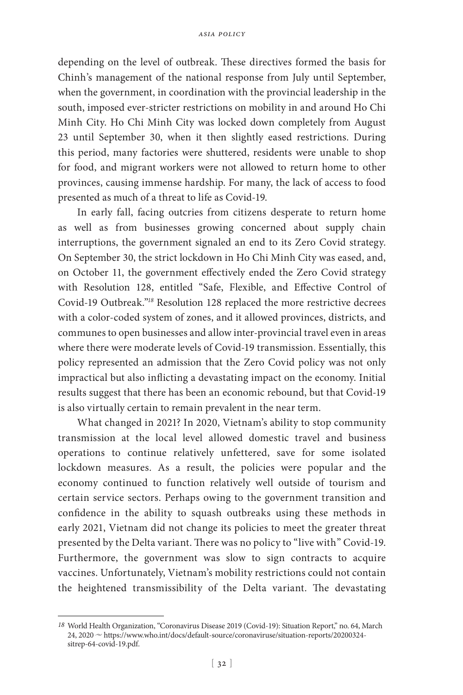depending on the level of outbreak. These directives formed the basis for Chinh's management of the national response from July until September, when the government, in coordination with the provincial leadership in the south, imposed ever-stricter restrictions on mobility in and around Ho Chi Minh City. Ho Chi Minh City was locked down completely from August 23 until September 30, when it then slightly eased restrictions. During this period, many factories were shuttered, residents were unable to shop for food, and migrant workers were not allowed to return home to other provinces, causing immense hardship. For many, the lack of access to food presented as much of a threat to life as Covid-19.

In early fall, facing outcries from citizens desperate to return home as well as from businesses growing concerned about supply chain interruptions, the government signaled an end to its Zero Covid strategy. On September 30, the strict lockdown in Ho Chi Minh City was eased, and, on October 11, the government effectively ended the Zero Covid strategy with Resolution 128, entitled "Safe, Flexible, and Effective Control of Covid-19 Outbreak."*<sup>18</sup>* Resolution 128 replaced the more restrictive decrees with a color-coded system of zones, and it allowed provinces, districts, and communes to open businesses and allow inter-provincial travel even in areas where there were moderate levels of Covid-19 transmission. Essentially, this policy represented an admission that the Zero Covid policy was not only impractical but also inflicting a devastating impact on the economy. Initial results suggest that there has been an economic rebound, but that Covid-19 is also virtually certain to remain prevalent in the near term.

What changed in 2021? In 2020, Vietnam's ability to stop community transmission at the local level allowed domestic travel and business operations to continue relatively unfettered, save for some isolated lockdown measures. As a result, the policies were popular and the economy continued to function relatively well outside of tourism and certain service sectors. Perhaps owing to the government transition and confidence in the ability to squash outbreaks using these methods in early 2021, Vietnam did not change its policies to meet the greater threat presented by the Delta variant. There was no policy to "live with" Covid-19. Furthermore, the government was slow to sign contracts to acquire vaccines. Unfortunately, Vietnam's mobility restrictions could not contain the heightened transmissibility of the Delta variant. The devastating

*<sup>18</sup>* World Health Organization, "Coronavirus Disease 2019 (Covid-19): Situation Report," no. 64, March 24, 2020 ~ https://www.who.int/docs/default-source/coronaviruse/situation-reports/20200324sitrep-64-covid-19.pdf.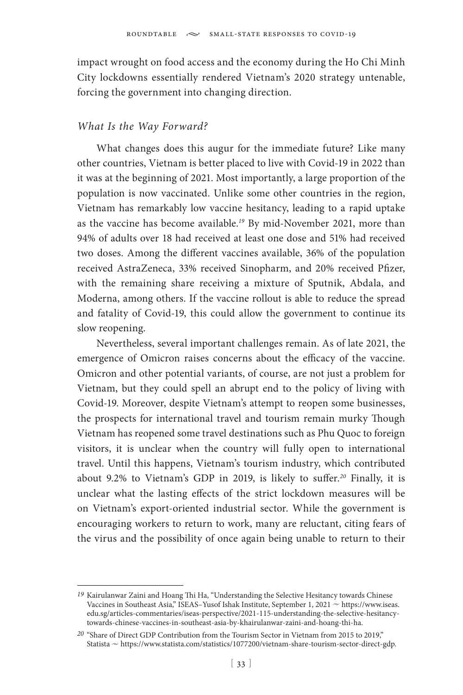impact wrought on food access and the economy during the Ho Chi Minh City lockdowns essentially rendered Vietnam's 2020 strategy untenable, forcing the government into changing direction.

#### *What Is the Way Forward?*

What changes does this augur for the immediate future? Like many other countries, Vietnam is better placed to live with Covid-19 in 2022 than it was at the beginning of 2021. Most importantly, a large proportion of the population is now vaccinated. Unlike some other countries in the region, Vietnam has remarkably low vaccine hesitancy, leading to a rapid uptake as the vaccine has become available.*<sup>19</sup>* By mid-November 2021, more than 94% of adults over 18 had received at least one dose and 51% had received two doses. Among the different vaccines available, 36% of the population received AstraZeneca, 33% received Sinopharm, and 20% received Pfizer, with the remaining share receiving a mixture of Sputnik, Abdala, and Moderna, among others. If the vaccine rollout is able to reduce the spread and fatality of Covid-19, this could allow the government to continue its slow reopening.

Nevertheless, several important challenges remain. As of late 2021, the emergence of Omicron raises concerns about the efficacy of the vaccine. Omicron and other potential variants, of course, are not just a problem for Vietnam, but they could spell an abrupt end to the policy of living with Covid-19. Moreover, despite Vietnam's attempt to reopen some businesses, the prospects for international travel and tourism remain murky Though Vietnam has reopened some travel destinations such as Phu Quoc to foreign visitors, it is unclear when the country will fully open to international travel. Until this happens, Vietnam's tourism industry, which contributed about 9.2% to Vietnam's GDP in 2019, is likely to suffer.*<sup>20</sup>* Finally, it is unclear what the lasting effects of the strict lockdown measures will be on Vietnam's export-oriented industrial sector. While the government is encouraging workers to return to work, many are reluctant, citing fears of the virus and the possibility of once again being unable to return to their

*<sup>19</sup>* Kairulanwar Zaini and Hoang Thi Ha, "Understanding the Selective Hesitancy towards Chinese Vaccines in Southeast Asia," ISEAS-Yusof Ishak Institute, September 1, 2021  $\sim$  https://www.iseas. edu.sg/articles-commentaries/iseas-perspective/2021-115-understanding-the-selective-hesitancytowards-chinese-vaccines-in-southeast-asia-by-khairulanwar-zaini-and-hoang-thi-ha.

*<sup>20</sup>* "Share of Direct GDP Contribution from the Tourism Sector in Vietnam from 2015 to 2019," Statista  $\sim$  https://www.statista.com/statistics/1077200/vietnam-share-tourism-sector-direct-gdp.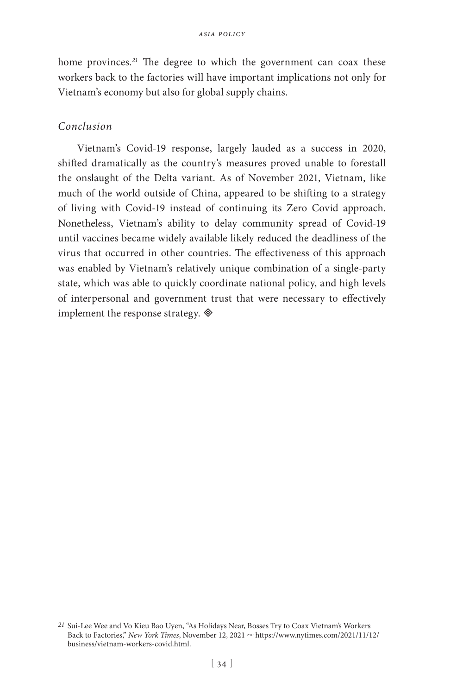home provinces.*<sup>21</sup>* The degree to which the government can coax these workers back to the factories will have important implications not only for Vietnam's economy but also for global supply chains.

## *Conclusion*

Vietnam's Covid-19 response, largely lauded as a success in 2020, shifted dramatically as the country's measures proved unable to forestall the onslaught of the Delta variant. As of November 2021, Vietnam, like much of the world outside of China, appeared to be shifting to a strategy of living with Covid-19 instead of continuing its Zero Covid approach. Nonetheless, Vietnam's ability to delay community spread of Covid-19 until vaccines became widely available likely reduced the deadliness of the virus that occurred in other countries. The effectiveness of this approach was enabled by Vietnam's relatively unique combination of a single-party state, which was able to quickly coordinate national policy, and high levels of interpersonal and government trust that were necessary to effectively implement the response strategy.  $\otimes$ 

*<sup>21</sup>* Sui-Lee Wee and Vo Kieu Bao Uyen, "As Holidays Near, Bosses Try to Coax Vietnam's Workers Back to Factories," *New York Times*, November 12, 2021  $\sim$  https://www.nytimes.com/2021/11/12/ business/vietnam-workers-covid.html.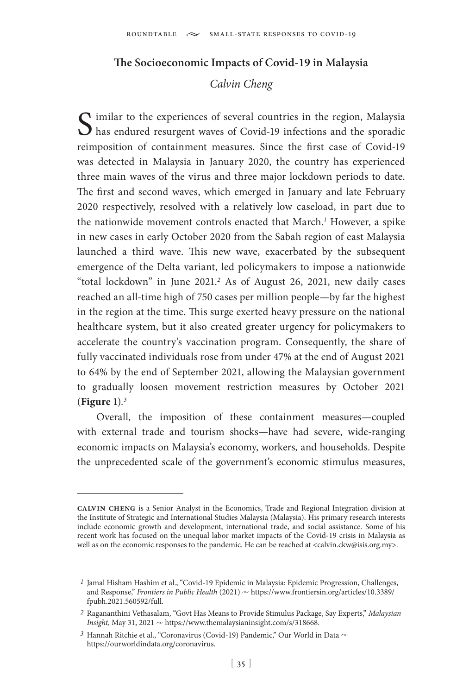## **The Socioeconomic Impacts of Covid-19 in Malaysia**

## *Calvin Cheng*

 $\bigcap$  imilar to the experiences of several countries in the region, Malaysia has endured resurgent waves of Covid-19 infections and the sporadic reimposition of containment measures. Since the first case of Covid-19 was detected in Malaysia in January 2020, the country has experienced three main waves of the virus and three major lockdown periods to date. The first and second waves, which emerged in January and late February 2020 respectively, resolved with a relatively low caseload, in part due to the nationwide movement controls enacted that March.*<sup>1</sup>* However, a spike in new cases in early October 2020 from the Sabah region of east Malaysia launched a third wave. This new wave, exacerbated by the subsequent emergence of the Delta variant, led policymakers to impose a nationwide "total lockdown" in June 2021.*<sup>2</sup>* As of August 26, 2021, new daily cases reached an all-time high of 750 cases per million people—by far the highest in the region at the time. This surge exerted heavy pressure on the national healthcare system, but it also created greater urgency for policymakers to accelerate the country's vaccination program. Consequently, the share of fully vaccinated individuals rose from under 47% at the end of August 2021 to 64% by the end of September 2021, allowing the Malaysian government to gradually loosen movement restriction measures by October 2021 (**Figure 1**).*<sup>3</sup>*

Overall, the imposition of these containment measures—coupled with external trade and tourism shocks—have had severe, wide-ranging economic impacts on Malaysia's economy, workers, and households. Despite the unprecedented scale of the government's economic stimulus measures,

**calvin cheng** is a Senior Analyst in the Economics, Trade and Regional Integration division at the Institute of Strategic and International Studies Malaysia (Malaysia). His primary research interests include economic growth and development, international trade, and social assistance. Some of his recent work has focused on the unequal labor market impacts of the Covid-19 crisis in Malaysia as well as on the economic responses to the pandemic. He can be reached at <calvin.ckw@isis.org.my>.

*<sup>1</sup>* Jamal Hisham Hashim et al., "Covid-19 Epidemic in Malaysia: Epidemic Progression, Challenges, and Response," *Frontiers in Public Health* (2021)  $\sim$  https://www.frontiersin.org/articles/10.3389/ fpubh.2021.560592/full.

*<sup>2</sup>* Ragananthini Vethasalam, "Govt Has Means to Provide Stimulus Package, Say Experts," *Malaysian*  Insight, May 31, 2021  $\sim$  https://www.themalaysianinsight.com/s/318668.

 $^3$  Hannah Ritchie et al., "Coronavirus (Covid-19) Pandemic," Our World in Data  $\sim$ https://ourworldindata.org/coronavirus.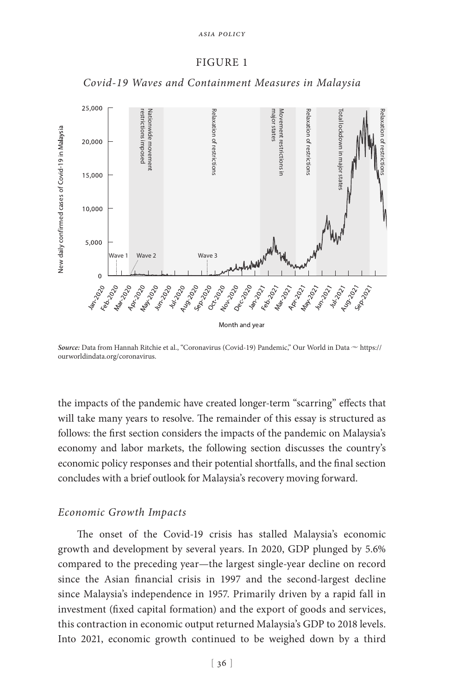#### FIGURE 1



*Covid-19 Waves and Containment Measures in Malaysia*

*Source: Data from Hannah Ritchie et al., "Coronavirus (Covid-19) Pandemic," Our World in Data*  $\sim$  https:// ourworldindata.org/coronavirus.

the impacts of the pandemic have created longer-term "scarring" effects that will take many years to resolve. The remainder of this essay is structured as follows: the first section considers the impacts of the pandemic on Malaysia's economy and labor markets, the following section discusses the country's economic policy responses and their potential shortfalls, and the final section concludes with a brief outlook for Malaysia's recovery moving forward.

#### *Economic Growth Impacts*

The onset of the Covid-19 crisis has stalled Malaysia's economic growth and development by several years. In 2020, GDP plunged by 5.6% compared to the preceding year—the largest single-year decline on record since the Asian financial crisis in 1997 and the second-largest decline since Malaysia's independence in 1957. Primarily driven by a rapid fall in investment (fixed capital formation) and the export of goods and services, this contraction in economic output returned Malaysia's GDP to 2018 levels. Into 2021, economic growth continued to be weighed down by a third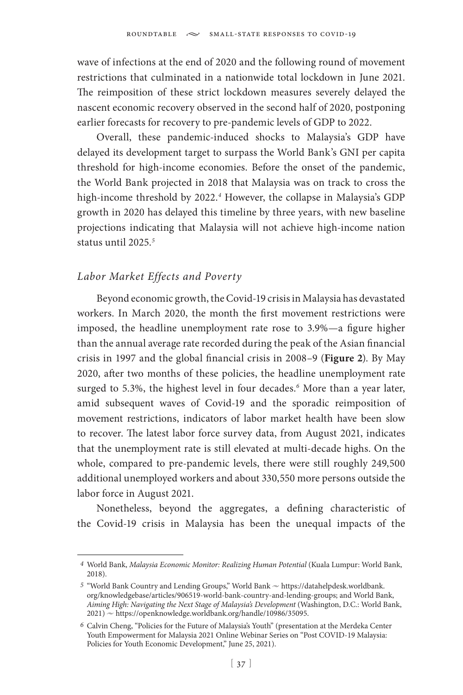wave of infections at the end of 2020 and the following round of movement restrictions that culminated in a nationwide total lockdown in June 2021. The reimposition of these strict lockdown measures severely delayed the nascent economic recovery observed in the second half of 2020, postponing earlier forecasts for recovery to pre-pandemic levels of GDP to 2022.

Overall, these pandemic-induced shocks to Malaysia's GDP have delayed its development target to surpass the World Bank's GNI per capita threshold for high-income economies. Before the onset of the pandemic, the World Bank projected in 2018 that Malaysia was on track to cross the high-income threshold by 2022.*<sup>4</sup>* However, the collapse in Malaysia's GDP growth in 2020 has delayed this timeline by three years, with new baseline projections indicating that Malaysia will not achieve high-income nation status until 2025.*<sup>5</sup>*

### *Labor Market Effects and Poverty*

Beyond economic growth, the Covid-19 crisis in Malaysia has devastated workers. In March 2020, the month the first movement restrictions were imposed, the headline unemployment rate rose to 3.9%—a figure higher than the annual average rate recorded during the peak of the Asian financial crisis in 1997 and the global financial crisis in 2008–9 (**Figure 2**). By May 2020, after two months of these policies, the headline unemployment rate surged to 5.3%, the highest level in four decades.*<sup>6</sup>* More than a year later, amid subsequent waves of Covid-19 and the sporadic reimposition of movement restrictions, indicators of labor market health have been slow to recover. The latest labor force survey data, from August 2021, indicates that the unemployment rate is still elevated at multi-decade highs. On the whole, compared to pre-pandemic levels, there were still roughly 249,500 additional unemployed workers and about 330,550 more persons outside the labor force in August 2021.

Nonetheless, beyond the aggregates, a defining characteristic of the Covid-19 crisis in Malaysia has been the unequal impacts of the

*<sup>4</sup>* World Bank, *Malaysia Economic Monitor: Realizing Human Potential* (Kuala Lumpur: World Bank, 2018).

<sup>&</sup>lt;sup>5</sup> "World Bank Country and Lending Groups," World Bank  $\sim$  https://datahelpdesk.worldbank. org/knowledgebase/articles/906519-world-bank-country-and-lending-groups; and World Bank, *Aiming High: Navigating the Next Stage of Malaysia's Development* (Washington, D.C.: World Bank,  $2021$ )  $\sim$  https://openknowledge.worldbank.org/handle/10986/35095.

*<sup>6</sup>* Calvin Cheng, "Policies for the Future of Malaysia's Youth" (presentation at the Merdeka Center Youth Empowerment for Malaysia 2021 Online Webinar Series on "Post COVID-19 Malaysia: Policies for Youth Economic Development," June 25, 2021).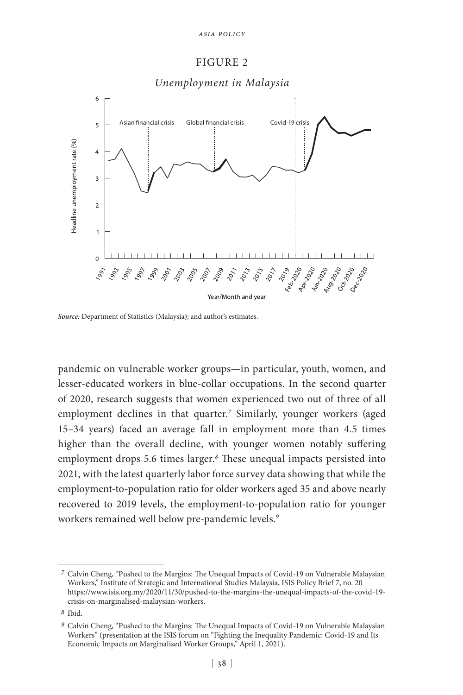#### FIGURE 2



*Source:* Department of Statistics (Malaysia); and author's estimates.

pandemic on vulnerable worker groups—in particular, youth, women, and lesser-educated workers in blue-collar occupations. In the second quarter of 2020, research suggests that women experienced two out of three of all employment declines in that quarter.*<sup>7</sup>* Similarly, younger workers (aged 15–34 years) faced an average fall in employment more than 4.5 times higher than the overall decline, with younger women notably suffering employment drops 5.6 times larger.*<sup>8</sup>* These unequal impacts persisted into 2021, with the latest quarterly labor force survey data showing that while the employment-to-population ratio for older workers aged 35 and above nearly recovered to 2019 levels, the employment-to-population ratio for younger workers remained well below pre-pandemic levels.*<sup>9</sup>*

*<sup>7</sup>* Calvin Cheng, "Pushed to the Margins: The Unequal Impacts of Covid-19 on Vulnerable Malaysian Workers," Institute of Strategic and International Studies Malaysia, ISIS Policy Brief 7, no. 20 https://www.isis.org.my/2020/11/30/pushed-to-the-margins-the-unequal-impacts-of-the-covid-19 crisis-on-marginalised-malaysian-workers.

*<sup>8</sup>* Ibid.

*<sup>9</sup>* Calvin Cheng, "Pushed to the Margins: The Unequal Impacts of Covid-19 on Vulnerable Malaysian Workers" (presentation at the ISIS forum on "Fighting the Inequality Pandemic: Covid-19 and Its Economic Impacts on Marginalised Worker Groups," April 1, 2021).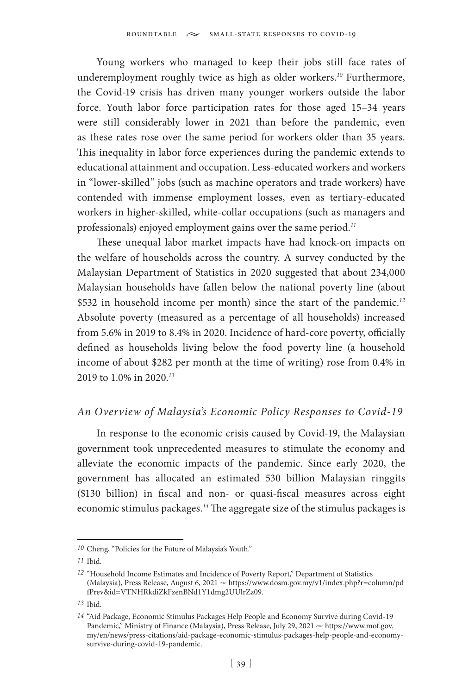Young workers who managed to keep their jobs still face rates of underemployment roughly twice as high as older workers.*<sup>10</sup>* Furthermore, the Covid-19 crisis has driven many younger workers outside the labor force. Youth labor force participation rates for those aged 15–34 years were still considerably lower in 2021 than before the pandemic, even as these rates rose over the same period for workers older than 35 years. This inequality in labor force experiences during the pandemic extends to educational attainment and occupation. Less-educated workers and workers in "lower-skilled" jobs (such as machine operators and trade workers) have contended with immense employment losses, even as tertiary-educated workers in higher-skilled, white-collar occupations (such as managers and professionals) enjoyed employment gains over the same period.*<sup>11</sup>*

These unequal labor market impacts have had knock-on impacts on the welfare of households across the country. A survey conducted by the Malaysian Department of Statistics in 2020 suggested that about 234,000 Malaysian households have fallen below the national poverty line (about \$532 in household income per month) since the start of the pandemic.*<sup>12</sup>* Absolute poverty (measured as a percentage of all households) increased from 5.6% in 2019 to 8.4% in 2020. Incidence of hard-core poverty, officially defined as households living below the food poverty line (a household income of about \$282 per month at the time of writing) rose from 0.4% in 2019 to 1.0% in 2020.*<sup>13</sup>*

### *An Overview of Malaysia's Economic Policy Responses to Covid-19*

In response to the economic crisis caused by Covid-19, the Malaysian government took unprecedented measures to stimulate the economy and alleviate the economic impacts of the pandemic. Since early 2020, the government has allocated an estimated 530 billion Malaysian ringgits (\$130 billion) in fiscal and non- or quasi-fiscal measures across eight economic stimulus packages.*<sup>14</sup>* The aggregate size of the stimulus packages is

*<sup>10</sup>* Cheng, "Policies for the Future of Malaysia's Youth."

*<sup>11</sup>* Ibid.

*<sup>12</sup>* "Household Income Estimates and Incidence of Poverty Report," Department of Statistics (Malaysia), Press Release, August 6, 2021  $\sim$  https://www.dosm.gov.my/v1/index.php?r=column/pd fPrev&id=VTNHRkdiZkFzenBNd1Y1dmg2UUlrZz09.

*<sup>13</sup>* Ibid.

*<sup>14</sup>* "Aid Package, Economic Stimulus Packages Help People and Economy Survive during Covid-19 Pandemic," Ministry of Finance (Malaysia), Press Release, July 29, 2021  $\sim$  https://www.mof.gov. my/en/news/press-citations/aid-package-economic-stimulus-packages-help-people-and-economysurvive-during-covid-19-pandemic.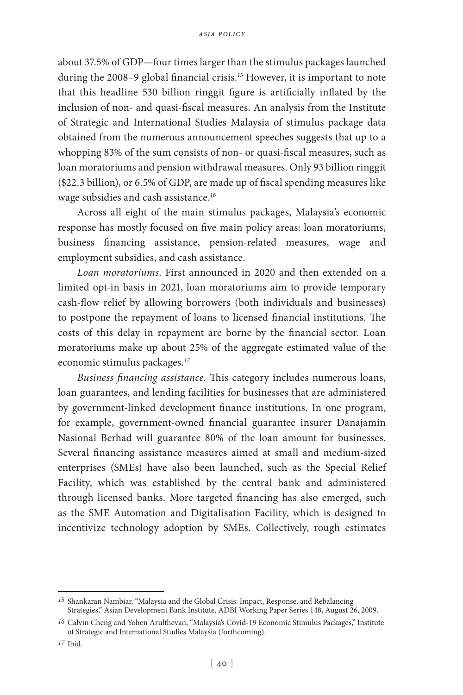about 37.5% of GDP—four times larger than the stimulus packages launched during the 2008–9 global financial crisis.*<sup>15</sup>* However, it is important to note that this headline 530 billion ringgit figure is artificially inflated by the inclusion of non- and quasi-fiscal measures. An analysis from the Institute of Strategic and International Studies Malaysia of stimulus package data obtained from the numerous announcement speeches suggests that up to a whopping 83% of the sum consists of non- or quasi-fiscal measures, such as loan moratoriums and pension withdrawal measures. Only 93 billion ringgit (\$22.3 billion), or 6.5% of GDP, are made up of fiscal spending measures like wage subsidies and cash assistance.*<sup>16</sup>*

Across all eight of the main stimulus packages, Malaysia's economic response has mostly focused on five main policy areas: loan moratoriums, business financing assistance, pension-related measures, wage and employment subsidies, and cash assistance.

*Loan moratoriums*. First announced in 2020 and then extended on a limited opt-in basis in 2021, loan moratoriums aim to provide temporary cash-flow relief by allowing borrowers (both individuals and businesses) to postpone the repayment of loans to licensed financial institutions. The costs of this delay in repayment are borne by the financial sector. Loan moratoriums make up about 25% of the aggregate estimated value of the economic stimulus packages.*<sup>17</sup>*

*Business financing assistance*. This category includes numerous loans, loan guarantees, and lending facilities for businesses that are administered by government-linked development finance institutions. In one program, for example, government-owned financial guarantee insurer Danajamin Nasional Berhad will guarantee 80% of the loan amount for businesses. Several financing assistance measures aimed at small and medium-sized enterprises (SMEs) have also been launched, such as the Special Relief Facility, which was established by the central bank and administered through licensed banks. More targeted financing has also emerged, such as the SME Automation and Digitalisation Facility, which is designed to incentivize technology adoption by SMEs. Collectively, rough estimates

*<sup>15</sup>* Shankaran Nambiar, "Malaysia and the Global Crisis: Impact, Response, and Rebalancing Strategies," Asian Development Bank Institute, ADBI Working Paper Series 148, August 26, 2009.

*<sup>16</sup>* Calvin Cheng and Yohen Arulthevan, "Malaysia's Covid-19 Economic Stimulus Packages," Institute of Strategic and International Studies Malaysia (forthcoming).

*<sup>17</sup>* Ibid.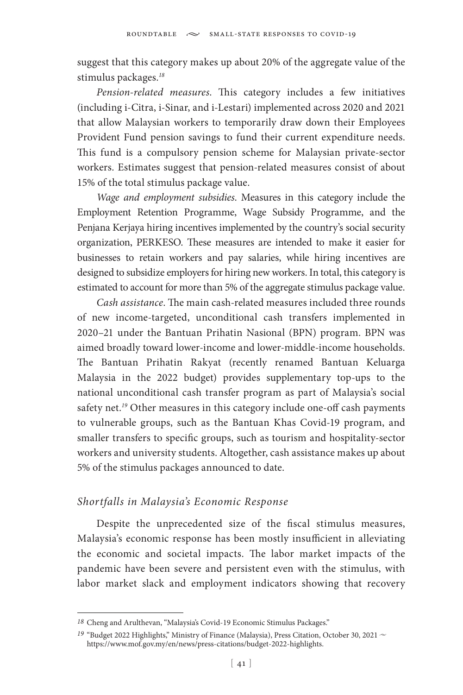suggest that this category makes up about 20% of the aggregate value of the stimulus packages.*<sup>18</sup>*

*Pension-related measures*. This category includes a few initiatives (including i-Citra, i-Sinar, and i-Lestari) implemented across 2020 and 2021 that allow Malaysian workers to temporarily draw down their Employees Provident Fund pension savings to fund their current expenditure needs. This fund is a compulsory pension scheme for Malaysian private-sector workers. Estimates suggest that pension-related measures consist of about 15% of the total stimulus package value.

*Wage and employment subsidies*. Measures in this category include the Employment Retention Programme, Wage Subsidy Programme, and the Penjana Kerjaya hiring incentives implemented by the country's social security organization, PERKESO. These measures are intended to make it easier for businesses to retain workers and pay salaries, while hiring incentives are designed to subsidize employers for hiring new workers. In total, this category is estimated to account for more than 5% of the aggregate stimulus package value.

*Cash assistance*. The main cash-related measures included three rounds of new income-targeted, unconditional cash transfers implemented in 2020–21 under the Bantuan Prihatin Nasional (BPN) program. BPN was aimed broadly toward lower-income and lower-middle-income households. The Bantuan Prihatin Rakyat (recently renamed Bantuan Keluarga Malaysia in the 2022 budget) provides supplementary top-ups to the national unconditional cash transfer program as part of Malaysia's social safety net.*<sup>19</sup>* Other measures in this category include one-off cash payments to vulnerable groups, such as the Bantuan Khas Covid-19 program, and smaller transfers to specific groups, such as tourism and hospitality-sector workers and university students. Altogether, cash assistance makes up about 5% of the stimulus packages announced to date.

# *Shortfalls in Malaysia's Economic Response*

Despite the unprecedented size of the fiscal stimulus measures, Malaysia's economic response has been mostly insufficient in alleviating the economic and societal impacts. The labor market impacts of the pandemic have been severe and persistent even with the stimulus, with labor market slack and employment indicators showing that recovery

*<sup>18</sup>* Cheng and Arulthevan, "Malaysia's Covid-19 Economic Stimulus Packages."

<sup>&</sup>lt;sup>19</sup> "Budget 2022 Highlights," Ministry of Finance (Malaysia), Press Citation, October 30, 2021 ~ https://www.mof.gov.my/en/news/press-citations/budget-2022-highlights.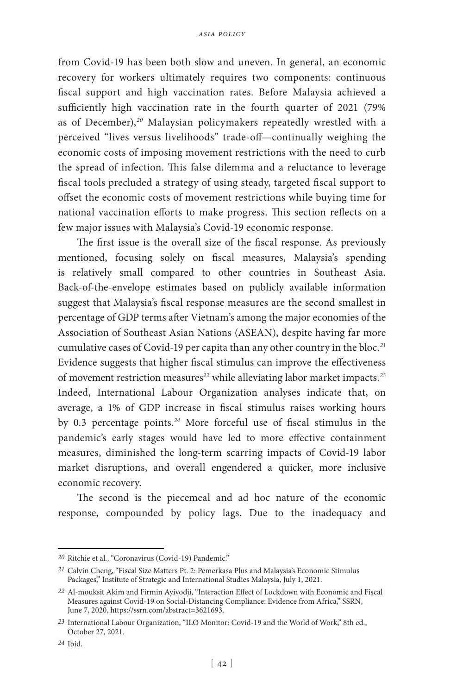from Covid-19 has been both slow and uneven. In general, an economic recovery for workers ultimately requires two components: continuous fiscal support and high vaccination rates. Before Malaysia achieved a sufficiently high vaccination rate in the fourth quarter of 2021 (79% as of December),*<sup>20</sup>* Malaysian policymakers repeatedly wrestled with a perceived "lives versus livelihoods" trade-off—continually weighing the economic costs of imposing movement restrictions with the need to curb the spread of infection. This false dilemma and a reluctance to leverage fiscal tools precluded a strategy of using steady, targeted fiscal support to offset the economic costs of movement restrictions while buying time for national vaccination efforts to make progress. This section reflects on a few major issues with Malaysia's Covid-19 economic response.

The first issue is the overall size of the fiscal response. As previously mentioned, focusing solely on fiscal measures, Malaysia's spending is relatively small compared to other countries in Southeast Asia. Back-of-the-envelope estimates based on publicly available information suggest that Malaysia's fiscal response measures are the second smallest in percentage of GDP terms after Vietnam's among the major economies of the Association of Southeast Asian Nations (ASEAN), despite having far more cumulative cases of Covid-19 per capita than any other country in the bloc.*<sup>21</sup>* Evidence suggests that higher fiscal stimulus can improve the effectiveness of movement restriction measures*<sup>22</sup>* while alleviating labor market impacts.*<sup>23</sup>* Indeed, International Labour Organization analyses indicate that, on average, a 1% of GDP increase in fiscal stimulus raises working hours by 0.3 percentage points.*<sup>24</sup>* More forceful use of fiscal stimulus in the pandemic's early stages would have led to more effective containment measures, diminished the long-term scarring impacts of Covid-19 labor market disruptions, and overall engendered a quicker, more inclusive economic recovery.

The second is the piecemeal and ad hoc nature of the economic response, compounded by policy lags. Due to the inadequacy and

*<sup>20</sup>* Ritchie et al., "Coronavirus (Covid-19) Pandemic."

*<sup>21</sup>* Calvin Cheng, "Fiscal Size Matters Pt. 2: Pemerkasa Plus and Malaysia's Economic Stimulus Packages," Institute of Strategic and International Studies Malaysia, July 1, 2021.

*<sup>22</sup>* Al-mouksit Akim and Firmin Ayivodji, "Interaction Effect of Lockdown with Economic and Fiscal Measures against Covid-19 on Social-Distancing Compliance: Evidence from Africa," SSRN, June 7, 2020, https://ssrn.com/abstract=3621693.

*<sup>23</sup>* International Labour Organization, "ILO Monitor: Covid-19 and the World of Work," 8th ed., October 27, 2021.

*<sup>24</sup>* Ibid.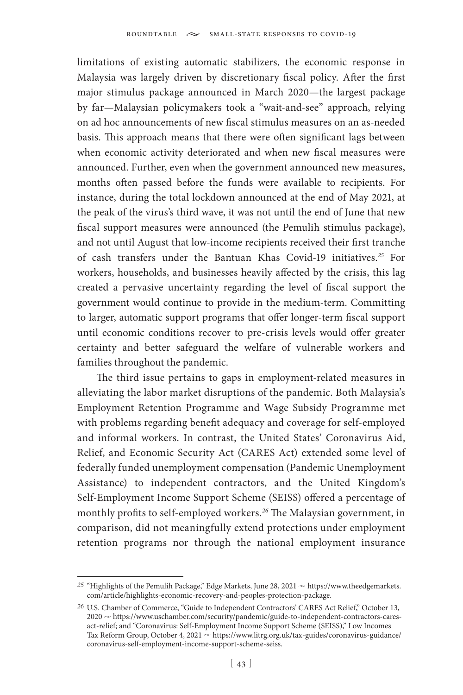limitations of existing automatic stabilizers, the economic response in Malaysia was largely driven by discretionary fiscal policy. After the first major stimulus package announced in March 2020—the largest package by far—Malaysian policymakers took a "wait-and-see" approach, relying on ad hoc announcements of new fiscal stimulus measures on an as-needed basis. This approach means that there were often significant lags between when economic activity deteriorated and when new fiscal measures were announced. Further, even when the government announced new measures, months often passed before the funds were available to recipients. For instance, during the total lockdown announced at the end of May 2021, at the peak of the virus's third wave, it was not until the end of June that new fiscal support measures were announced (the Pemulih stimulus package), and not until August that low-income recipients received their first tranche of cash transfers under the Bantuan Khas Covid-19 initiatives.*<sup>25</sup>* For workers, households, and businesses heavily affected by the crisis, this lag created a pervasive uncertainty regarding the level of fiscal support the government would continue to provide in the medium-term. Committing to larger, automatic support programs that offer longer-term fiscal support until economic conditions recover to pre-crisis levels would offer greater certainty and better safeguard the welfare of vulnerable workers and families throughout the pandemic.

The third issue pertains to gaps in employment-related measures in alleviating the labor market disruptions of the pandemic. Both Malaysia's Employment Retention Programme and Wage Subsidy Programme met with problems regarding benefit adequacy and coverage for self-employed and informal workers. In contrast, the United States' Coronavirus Aid, Relief, and Economic Security Act (CARES Act) extended some level of federally funded unemployment compensation (Pandemic Unemployment Assistance) to independent contractors, and the United Kingdom's Self-Employment Income Support Scheme (SEISS) offered a percentage of monthly profits to self-employed workers.*<sup>26</sup>* The Malaysian government, in comparison, did not meaningfully extend protections under employment retention programs nor through the national employment insurance

<sup>&</sup>lt;sup>25</sup> "Highlights of the Pemulih Package," Edge Markets, June 28, 2021  $\sim$  https://www.theedgemarkets. com/article/highlights-economic-recovery-and-peoples-protection-package.

*<sup>26</sup>* U.S. Chamber of Commerce, "Guide to Independent Contractors' CARES Act Relief," October 13, 2020  $\sim$  https://www.uschamber.com/security/pandemic/guide-to-independent-contractors-caresact-relief; and "Coronavirus: Self-Employment Income Support Scheme (SEISS)," Low Incomes Tax Reform Group, October 4, 2021 ~ https://www.litrg.org.uk/tax-guides/coronavirus-guidance/ coronavirus-self-employment-income-support-scheme-seiss.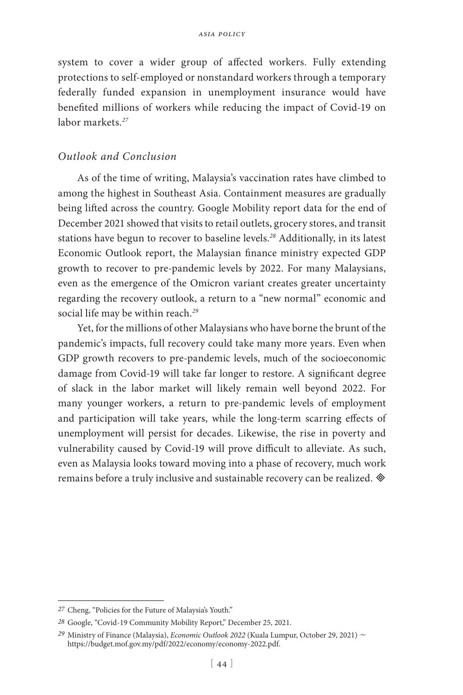system to cover a wider group of affected workers. Fully extending protections to self-employed or nonstandard workers through a temporary federally funded expansion in unemployment insurance would have benefited millions of workers while reducing the impact of Covid-19 on labor markets.*<sup>27</sup>*

### *Outlook and Conclusion*

As of the time of writing, Malaysia's vaccination rates have climbed to among the highest in Southeast Asia. Containment measures are gradually being lifted across the country. Google Mobility report data for the end of December 2021 showed that visits to retail outlets, grocery stores, and transit stations have begun to recover to baseline levels.*<sup>28</sup>* Additionally, in its latest Economic Outlook report, the Malaysian finance ministry expected GDP growth to recover to pre-pandemic levels by 2022. For many Malaysians, even as the emergence of the Omicron variant creates greater uncertainty regarding the recovery outlook, a return to a "new normal" economic and social life may be within reach.*<sup>29</sup>*

Yet, for the millions of other Malaysians who have borne the brunt of the pandemic's impacts, full recovery could take many more years. Even when GDP growth recovers to pre-pandemic levels, much of the socioeconomic damage from Covid-19 will take far longer to restore. A significant degree of slack in the labor market will likely remain well beyond 2022. For many younger workers, a return to pre-pandemic levels of employment and participation will take years, while the long-term scarring effects of unemployment will persist for decades. Likewise, the rise in poverty and vulnerability caused by Covid-19 will prove difficult to alleviate. As such, even as Malaysia looks toward moving into a phase of recovery, much work remains before a truly inclusive and sustainable recovery can be realized.

*<sup>27</sup>* Cheng, "Policies for the Future of Malaysia's Youth."

*<sup>28</sup>* Google, "Covid-19 Community Mobility Report," December 25, 2021.

<sup>29</sup> Ministry of Finance (Malaysia), *Economic Outlook 2022* (Kuala Lumpur, October 29, 2021) ~ https://budget.mof.gov.my/pdf/2022/economy/economy-2022.pdf.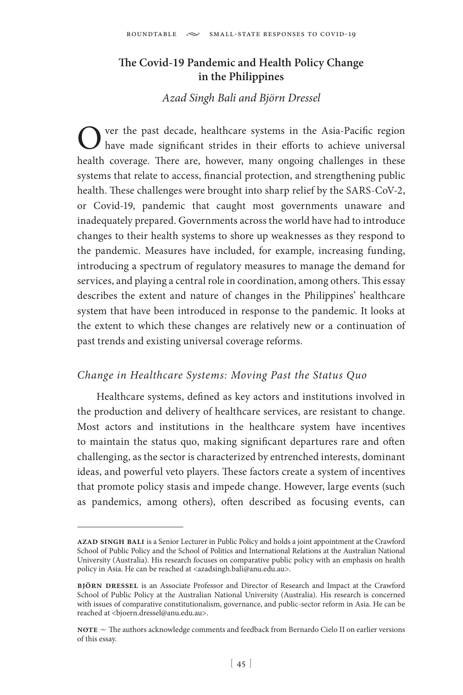# **The Covid-19 Pandemic and Health Policy Change in the Philippines**

# *Azad Singh Bali and Björn Dressel*

Over the past decade, healthcare systems in the Asia-Pacific region have made significant strides in their efforts to achieve universal health coverage. There are, however, many ongoing challenges in these systems that relate to access, financial protection, and strengthening public health. These challenges were brought into sharp relief by the SARS-CoV-2, or Covid-19, pandemic that caught most governments unaware and inadequately prepared. Governments across the world have had to introduce changes to their health systems to shore up weaknesses as they respond to the pandemic. Measures have included, for example, increasing funding, introducing a spectrum of regulatory measures to manage the demand for services, and playing a central role in coordination, among others. This essay describes the extent and nature of changes in the Philippines' healthcare system that have been introduced in response to the pandemic. It looks at the extent to which these changes are relatively new or a continuation of past trends and existing universal coverage reforms.

### *Change in Healthcare Systems: Moving Past the Status Quo*

Healthcare systems, defined as key actors and institutions involved in the production and delivery of healthcare services, are resistant to change. Most actors and institutions in the healthcare system have incentives to maintain the status quo, making significant departures rare and often challenging, as the sector is characterized by entrenched interests, dominant ideas, and powerful veto players. These factors create a system of incentives that promote policy stasis and impede change. However, large events (such as pandemics, among others), often described as focusing events, can

**azad singh bali** is a Senior Lecturer in Public Policy and holds a joint appointment at the Crawford School of Public Policy and the School of Politics and International Relations at the Australian National University (Australia). His research focuses on comparative public policy with an emphasis on health policy in Asia. He can be reached at <azadsingh.bali@anu.edu.au>.

**björn dressel** is an Associate Professor and Director of Research and Impact at the Crawford School of Public Policy at the Australian National University (Australia). His research is concerned with issues of comparative constitutionalism, governance, and public-sector reform in Asia. He can be reached at <bjoern.dressel@anu.edu.au>.

**NOTE**  $\sim$  The authors acknowledge comments and feedback from Bernardo Cielo II on earlier versions of this essay.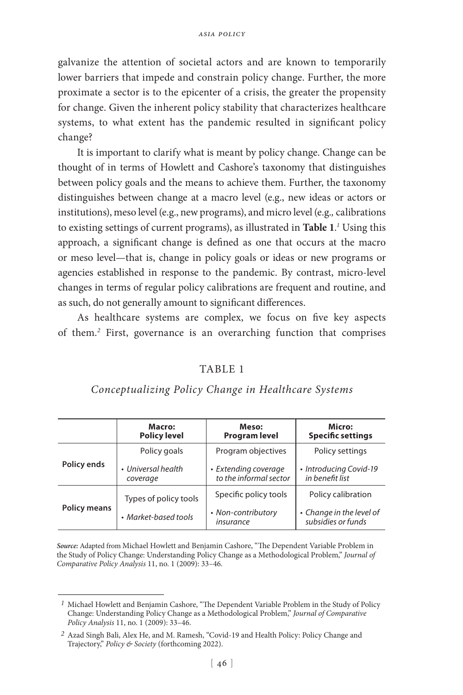galvanize the attention of societal actors and are known to temporarily lower barriers that impede and constrain policy change. Further, the more proximate a sector is to the epicenter of a crisis, the greater the propensity for change. Given the inherent policy stability that characterizes healthcare systems, to what extent has the pandemic resulted in significant policy change?

It is important to clarify what is meant by policy change. Change can be thought of in terms of Howlett and Cashore's taxonomy that distinguishes between policy goals and the means to achieve them. Further, the taxonomy distinguishes between change at a macro level (e.g., new ideas or actors or institutions), meso level (e.g., new programs), and micro level (e.g.*,* calibrations to existing settings of current programs), as illustrated in **Table 1**. *1* Using this approach, a significant change is defined as one that occurs at the macro or meso level—that is, change in policy goals or ideas or new programs or agencies established in response to the pandemic. By contrast, micro-level changes in terms of regular policy calibrations are frequent and routine, and as such, do not generally amount to significant differences.

As healthcare systems are complex, we focus on five key aspects of them.*<sup>2</sup>* First, governance is an overarching function that comprises

### TABLE 1

### *Conceptualizing Policy Change in Healthcare Systems*

|                     | Macro:<br><b>Policy level</b>  | Meso:<br><b>Program level</b>                  | Micro:<br><b>Specific settings</b>             |
|---------------------|--------------------------------|------------------------------------------------|------------------------------------------------|
| Policy ends         | Policy goals                   | Program objectives                             | Policy settings                                |
|                     | • Universal health<br>coverage | • Extending coverage<br>to the informal sector | • Introducing Covid-19<br>in benefit list      |
| <b>Policy means</b> | Types of policy tools          | Specific policy tools                          | Policy calibration                             |
|                     | • Market-based tools           | • Non-contributory<br>insurance                | • Change in the level of<br>subsidies or funds |

*Source:* Adapted from Michael Howlett and Benjamin Cashore, "The Dependent Variable Problem in the Study of Policy Change: Understanding Policy Change as a Methodological Problem," *Journal of Comparative Policy Analysis* 11, no. 1 (2009): 33–46.

*<sup>1</sup>* Michael Howlett and Benjamin Cashore, "The Dependent Variable Problem in the Study of Policy Change: Understanding Policy Change as a Methodological Problem," *Journal of Comparative Policy Analysis* 11, no. 1 (2009): 33–46.

*<sup>2</sup>* Azad Singh Bali, Alex He, and M. Ramesh, "Covid-19 and Health Policy: Policy Change and Trajectory," *Policy & Society* (forthcoming 2022).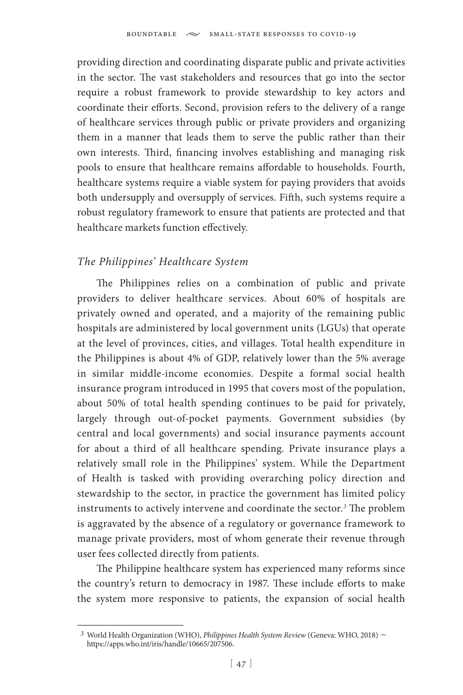providing direction and coordinating disparate public and private activities in the sector. The vast stakeholders and resources that go into the sector require a robust framework to provide stewardship to key actors and coordinate their efforts. Second, provision refers to the delivery of a range of healthcare services through public or private providers and organizing them in a manner that leads them to serve the public rather than their own interests. Third, financing involves establishing and managing risk pools to ensure that healthcare remains affordable to households. Fourth, healthcare systems require a viable system for paying providers that avoids both undersupply and oversupply of services. Fifth, such systems require a robust regulatory framework to ensure that patients are protected and that healthcare markets function effectively.

# *The Philippines' Healthcare System*

The Philippines relies on a combination of public and private providers to deliver healthcare services. About 60% of hospitals are privately owned and operated, and a majority of the remaining public hospitals are administered by local government units (LGUs) that operate at the level of provinces, cities, and villages. Total health expenditure in the Philippines is about 4% of GDP, relatively lower than the 5% average in similar middle-income economies. Despite a formal social health insurance program introduced in 1995 that covers most of the population, about 50% of total health spending continues to be paid for privately, largely through out-of-pocket payments. Government subsidies (by central and local governments) and social insurance payments account for about a third of all healthcare spending. Private insurance plays a relatively small role in the Philippines' system. While the Department of Health is tasked with providing overarching policy direction and stewardship to the sector, in practice the government has limited policy instruments to actively intervene and coordinate the sector.*<sup>3</sup>* The problem is aggravated by the absence of a regulatory or governance framework to manage private providers, most of whom generate their revenue through user fees collected directly from patients.

The Philippine healthcare system has experienced many reforms since the country's return to democracy in 1987. These include efforts to make the system more responsive to patients, the expansion of social health

<sup>&</sup>lt;sup>3</sup> World Health Organization (WHO), *Philippines Health System Review* (Geneva: WHO, 2018)  $\sim$ https://apps.who.int/iris/handle/10665/207506.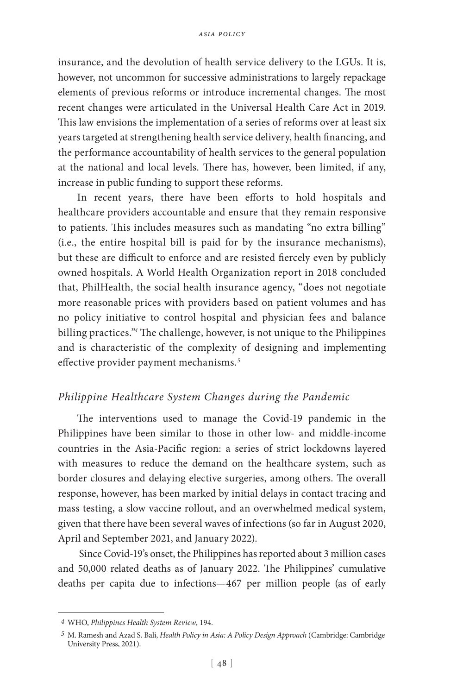insurance, and the devolution of health service delivery to the LGUs. It is, however, not uncommon for successive administrations to largely repackage elements of previous reforms or introduce incremental changes. The most recent changes were articulated in the Universal Health Care Act in 2019. This law envisions the implementation of a series of reforms over at least six years targeted at strengthening health service delivery, health financing, and the performance accountability of health services to the general population at the national and local levels. There has, however, been limited, if any, increase in public funding to support these reforms.

In recent years, there have been efforts to hold hospitals and healthcare providers accountable and ensure that they remain responsive to patients. This includes measures such as mandating "no extra billing" (i.e., the entire hospital bill is paid for by the insurance mechanisms), but these are difficult to enforce and are resisted fiercely even by publicly owned hospitals. A World Health Organization report in 2018 concluded that, PhilHealth, the social health insurance agency, "does not negotiate more reasonable prices with providers based on patient volumes and has no policy initiative to control hospital and physician fees and balance billing practices."*<sup>4</sup>* The challenge, however, is not unique to the Philippines and is characteristic of the complexity of designing and implementing effective provider payment mechanisms.*<sup>5</sup>*

### *Philippine Healthcare System Changes during the Pandemic*

The interventions used to manage the Covid-19 pandemic in the Philippines have been similar to those in other low- and middle-income countries in the Asia-Pacific region: a series of strict lockdowns layered with measures to reduce the demand on the healthcare system, such as border closures and delaying elective surgeries, among others. The overall response, however, has been marked by initial delays in contact tracing and mass testing, a slow vaccine rollout, and an overwhelmed medical system, given that there have been several waves of infections (so far in August 2020, April and September 2021, and January 2022).

 Since Covid-19's onset, the Philippines has reported about 3 million cases and 50,000 related deaths as of January 2022. The Philippines' cumulative deaths per capita due to infections—467 per million people (as of early

*<sup>4</sup>* WHO, *Philippines Health System Review*, 194.

*<sup>5</sup>* M. Ramesh and Azad S. Bali, *Health Policy in Asia: A Policy Design Approach* (Cambridge: Cambridge University Press, 2021).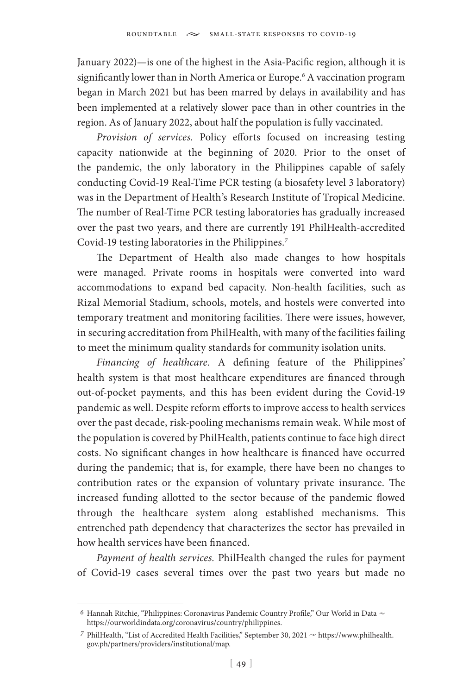January 2022)—is one of the highest in the Asia-Pacific region, although it is significantly lower than in North America or Europe.<sup>6</sup> A vaccination program began in March 2021 but has been marred by delays in availability and has been implemented at a relatively slower pace than in other countries in the region. As of January 2022, about half the population is fully vaccinated.

*Provision of services.* Policy efforts focused on increasing testing capacity nationwide at the beginning of 2020. Prior to the onset of the pandemic, the only laboratory in the Philippines capable of safely conducting Covid-19 Real-Time PCR testing (a biosafety level 3 laboratory) was in the Department of Health's Research Institute of Tropical Medicine. The number of Real-Time PCR testing laboratories has gradually increased over the past two years, and there are currently 191 PhilHealth-accredited Covid-19 testing laboratories in the Philippines.*<sup>7</sup>*

The Department of Health also made changes to how hospitals were managed. Private rooms in hospitals were converted into ward accommodations to expand bed capacity. Non-health facilities, such as Rizal Memorial Stadium, schools, motels, and hostels were converted into temporary treatment and monitoring facilities. There were issues, however, in securing accreditation from PhilHealth, with many of the facilities failing to meet the minimum quality standards for community isolation units.

*Financing of healthcare.* A defining feature of the Philippines' health system is that most healthcare expenditures are financed through out-of-pocket payments, and this has been evident during the Covid-19 pandemic as well. Despite reform efforts to improve access to health services over the past decade, risk-pooling mechanisms remain weak. While most of the population is covered by PhilHealth, patients continue to face high direct costs. No significant changes in how healthcare is financed have occurred during the pandemic; that is, for example, there have been no changes to contribution rates or the expansion of voluntary private insurance. The increased funding allotted to the sector because of the pandemic flowed through the healthcare system along established mechanisms. This entrenched path dependency that characterizes the sector has prevailed in how health services have been financed.

*Payment of health services.* PhilHealth changed the rules for payment of Covid-19 cases several times over the past two years but made no

<sup>6</sup> Hannah Ritchie, "Philippines: Coronavirus Pandemic Country Profile," Our World in Data  $\sim$ https://ourworldindata.org/coronavirus/country/philippines.

 $7$  PhilHealth, "List of Accredited Health Facilities," September 30, 2021  $\sim$  https://www.philhealth. gov.ph/partners/providers/institutional/map.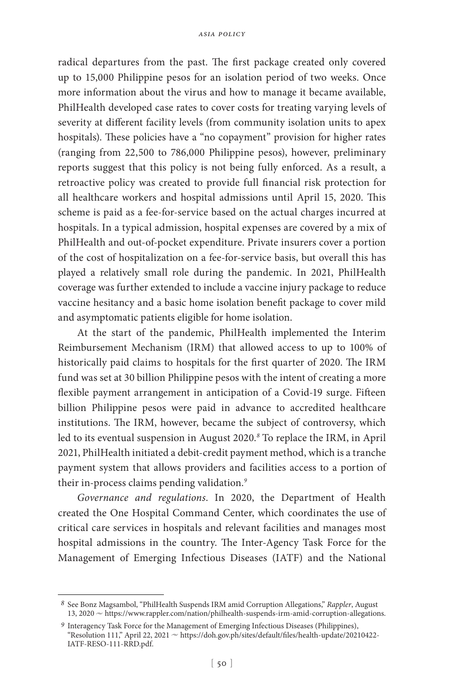radical departures from the past. The first package created only covered up to 15,000 Philippine pesos for an isolation period of two weeks. Once more information about the virus and how to manage it became available, PhilHealth developed case rates to cover costs for treating varying levels of severity at different facility levels (from community isolation units to apex hospitals). These policies have a "no copayment" provision for higher rates (ranging from 22,500 to 786,000 Philippine pesos), however, preliminary reports suggest that this policy is not being fully enforced. As a result, a retroactive policy was created to provide full financial risk protection for all healthcare workers and hospital admissions until April 15, 2020. This scheme is paid as a fee-for-service based on the actual charges incurred at hospitals. In a typical admission, hospital expenses are covered by a mix of PhilHealth and out-of-pocket expenditure. Private insurers cover a portion of the cost of hospitalization on a fee-for-service basis, but overall this has played a relatively small role during the pandemic. In 2021, PhilHealth coverage was further extended to include a vaccine injury package to reduce vaccine hesitancy and a basic home isolation benefit package to cover mild and asymptomatic patients eligible for home isolation.

At the start of the pandemic, PhilHealth implemented the Interim Reimbursement Mechanism (IRM) that allowed access to up to 100% of historically paid claims to hospitals for the first quarter of 2020. The IRM fund was set at 30 billion Philippine pesos with the intent of creating a more flexible payment arrangement in anticipation of a Covid-19 surge. Fifteen billion Philippine pesos were paid in advance to accredited healthcare institutions. The IRM, however, became the subject of controversy, which led to its eventual suspension in August 2020.*<sup>8</sup>* To replace the IRM, in April 2021, PhilHealth initiated a debit-credit payment method, which is a tranche payment system that allows providers and facilities access to a portion of their in-process claims pending validation.*<sup>9</sup>*

*Governance and regulations*. In 2020, the Department of Health created the One Hospital Command Center, which coordinates the use of critical care services in hospitals and relevant facilities and manages most hospital admissions in the country. The Inter-Agency Task Force for the Management of Emerging Infectious Diseases (IATF) and the National

*<sup>8</sup>* See Bonz Magsambol, "PhilHealth Suspends IRM amid Corruption Allegations," *Rappler*, August 13, 2020  $\sim$  https://www.rappler.com/nation/philhealth-suspends-irm-amid-corruption-allegations.

*<sup>9</sup>* Interagency Task Force for the Management of Emerging Infectious Diseases (Philippines), "Resolution 111," April 22, 2021 ~ https://doh.gov.ph/sites/default/files/health-update/20210422-IATF-RESO-111-RRD.pdf.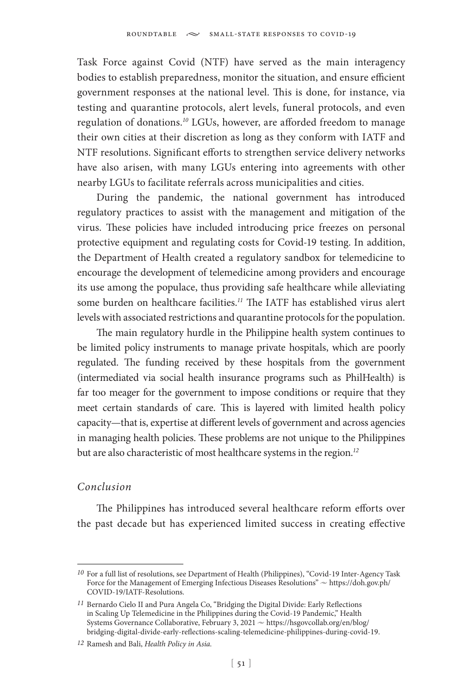Task Force against Covid (NTF) have served as the main interagency bodies to establish preparedness, monitor the situation, and ensure efficient government responses at the national level. This is done, for instance, via testing and quarantine protocols, alert levels, funeral protocols, and even regulation of donations.*<sup>10</sup>* LGUs, however, are afforded freedom to manage their own cities at their discretion as long as they conform with IATF and NTF resolutions. Significant efforts to strengthen service delivery networks have also arisen, with many LGUs entering into agreements with other nearby LGUs to facilitate referrals across municipalities and cities.

During the pandemic, the national government has introduced regulatory practices to assist with the management and mitigation of the virus. These policies have included introducing price freezes on personal protective equipment and regulating costs for Covid-19 testing. In addition, the Department of Health created a regulatory sandbox for telemedicine to encourage the development of telemedicine among providers and encourage its use among the populace, thus providing safe healthcare while alleviating some burden on healthcare facilities.*<sup>11</sup>* The IATF has established virus alert levels with associated restrictions and quarantine protocols for the population.

The main regulatory hurdle in the Philippine health system continues to be limited policy instruments to manage private hospitals, which are poorly regulated. The funding received by these hospitals from the government (intermediated via social health insurance programs such as PhilHealth) is far too meager for the government to impose conditions or require that they meet certain standards of care. This is layered with limited health policy capacity—that is, expertise at different levels of government and across agencies in managing health policies. These problems are not unique to the Philippines but are also characteristic of most healthcare systems in the region.*<sup>12</sup>*

# *Conclusion*

The Philippines has introduced several healthcare reform efforts over the past decade but has experienced limited success in creating effective

*<sup>10</sup>* For a full list of resolutions, see Department of Health (Philippines), "Covid-19 Inter-Agency Task Force for the Management of Emerging Infectious Diseases Resolutions"  $\sim$  https://doh.gov.ph/ COVID-19/IATF-Resolutions.

*<sup>11</sup>* Bernardo Cielo II and Pura Angela Co, "Bridging the Digital Divide: Early Reflections in Scaling Up Telemedicine in the Philippines during the Covid-19 Pandemic," Health Systems Governance Collaborative, February 3, 2021  $\sim$  https://hsgovcollab.org/en/blog/ bridging-digital-divide-early-reflections-scaling-telemedicine-philippines-during-covid-19.

*<sup>12</sup>* Ramesh and Bali, *Health Policy in Asia.*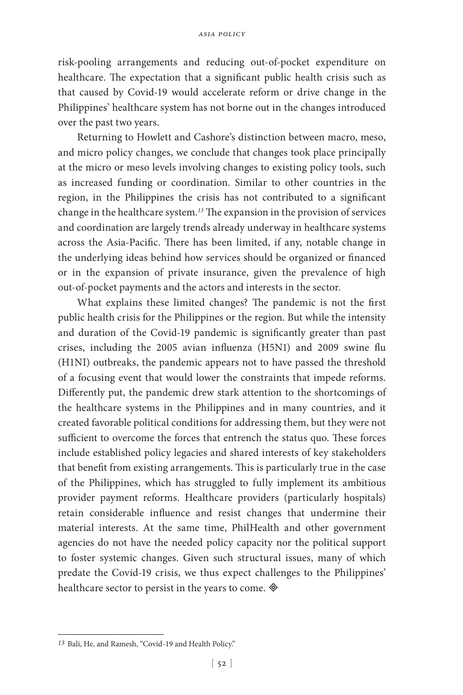risk-pooling arrangements and reducing out-of-pocket expenditure on healthcare. The expectation that a significant public health crisis such as that caused by Covid-19 would accelerate reform or drive change in the Philippines' healthcare system has not borne out in the changes introduced over the past two years.

Returning to Howlett and Cashore's distinction between macro, meso, and micro policy changes, we conclude that changes took place principally at the micro or meso levels involving changes to existing policy tools, such as increased funding or coordination. Similar to other countries in the region, in the Philippines the crisis has not contributed to a significant change in the healthcare system.*<sup>13</sup>* The expansion in the provision of services and coordination are largely trends already underway in healthcare systems across the Asia-Pacific. There has been limited, if any, notable change in the underlying ideas behind how services should be organized or financed or in the expansion of private insurance, given the prevalence of high out-of-pocket payments and the actors and interests in the sector.

What explains these limited changes? The pandemic is not the first public health crisis for the Philippines or the region. But while the intensity and duration of the Covid-19 pandemic is significantly greater than past crises, including the 2005 avian influenza (H5N1) and 2009 swine flu (H1NI) outbreaks, the pandemic appears not to have passed the threshold of a focusing event that would lower the constraints that impede reforms. Differently put, the pandemic drew stark attention to the shortcomings of the healthcare systems in the Philippines and in many countries, and it created favorable political conditions for addressing them, but they were not sufficient to overcome the forces that entrench the status quo. These forces include established policy legacies and shared interests of key stakeholders that benefit from existing arrangements. This is particularly true in the case of the Philippines, which has struggled to fully implement its ambitious provider payment reforms. Healthcare providers (particularly hospitals) retain considerable influence and resist changes that undermine their material interests. At the same time, PhilHealth and other government agencies do not have the needed policy capacity nor the political support to foster systemic changes. Given such structural issues, many of which predate the Covid-19 crisis, we thus expect challenges to the Philippines' healthcare sector to persist in the years to come.  $\otimes$ 

*<sup>13</sup>* Bali, He, and Ramesh, "Covid-19 and Health Policy."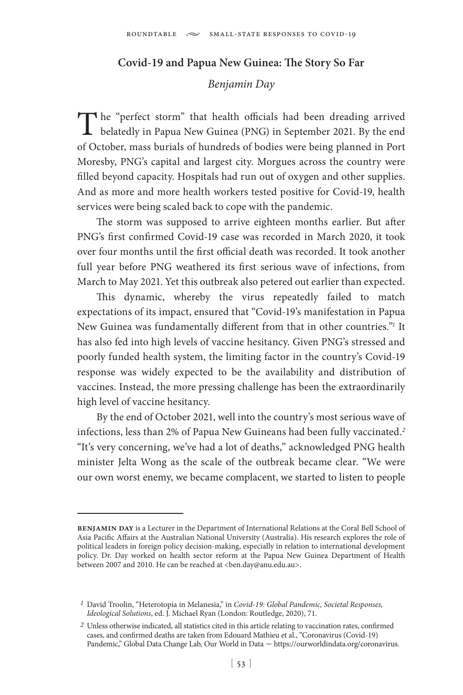#### **Covid-19 and Papua New Guinea: The Story So Far**

### *Benjamin Day*

The "perfect storm" that health officials had been dreading arrived **L** belatedly in Papua New Guinea (PNG) in September 2021. By the end of October, mass burials of hundreds of bodies were being planned in Port Moresby, PNG's capital and largest city. Morgues across the country were filled beyond capacity. Hospitals had run out of oxygen and other supplies. And as more and more health workers tested positive for Covid-19, health services were being scaled back to cope with the pandemic.

The storm was supposed to arrive eighteen months earlier. But after PNG's first confirmed Covid-19 case was recorded in March 2020, it took over four months until the first official death was recorded. It took another full year before PNG weathered its first serious wave of infections, from March to May 2021. Yet this outbreak also petered out earlier than expected.

This dynamic, whereby the virus repeatedly failed to match expectations of its impact, ensured that "Covid-19's manifestation in Papua New Guinea was fundamentally different from that in other countries."*<sup>1</sup>* It has also fed into high levels of vaccine hesitancy. Given PNG's stressed and poorly funded health system, the limiting factor in the country's Covid-19 response was widely expected to be the availability and distribution of vaccines. Instead, the more pressing challenge has been the extraordinarily high level of vaccine hesitancy.

By the end of October 2021, well into the country's most serious wave of infections, less than 2% of Papua New Guineans had been fully vaccinated.*<sup>2</sup>* "It's very concerning, we've had a lot of deaths," acknowledged PNG health minister Jelta Wong as the scale of the outbreak became clear. "We were our own worst enemy, we became complacent, we started to listen to people

**benjamin day** is a Lecturer in the Department of International Relations at the Coral Bell School of Asia Pacific Affairs at the Australian National University (Australia). His research explores the role of political leaders in foreign policy decision-making, especially in relation to international development policy. Dr. Day worked on health sector reform at the Papua New Guinea Department of Health between 2007 and 2010. He can be reached at <ben.day@anu.edu.au>.

*<sup>1</sup>* David Troolin, "Heterotopia in Melanesia," in *Covid-19: Global Pandemic, Societal Responses, Ideological Solutions*, ed. J. Michael Ryan (London: Routledge, 2020), 71.

*<sup>2</sup>* Unless otherwise indicated, all statistics cited in this article relating to vaccination rates, confirmed cases, and confirmed deaths are taken from Edouard Mathieu et al., "Coronavirus (Covid-19) Pandemic," Global Data Change Lab, Our World in Data  $\sim$  https://ourworldindata.org/coronavirus.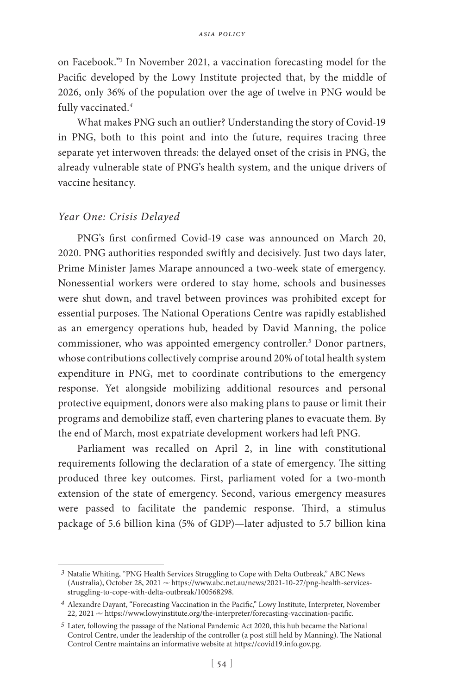on Facebook."*<sup>3</sup>* In November 2021, a vaccination forecasting model for the Pacific developed by the Lowy Institute projected that, by the middle of 2026, only 36% of the population over the age of twelve in PNG would be fully vaccinated.*<sup>4</sup>*

What makes PNG such an outlier? Understanding the story of Covid-19 in PNG, both to this point and into the future, requires tracing three separate yet interwoven threads: the delayed onset of the crisis in PNG, the already vulnerable state of PNG's health system, and the unique drivers of vaccine hesitancy.

#### *Year One: Crisis Delayed*

PNG's first confirmed Covid-19 case was announced on March 20, 2020. PNG authorities responded swiftly and decisively. Just two days later, Prime Minister James Marape announced a two-week state of emergency. Nonessential workers were ordered to stay home, schools and businesses were shut down, and travel between provinces was prohibited except for essential purposes. The National Operations Centre was rapidly established as an emergency operations hub, headed by David Manning, the police commissioner, who was appointed emergency controller.*<sup>5</sup>* Donor partners, whose contributions collectively comprise around 20% of total health system expenditure in PNG, met to coordinate contributions to the emergency response. Yet alongside mobilizing additional resources and personal protective equipment, donors were also making plans to pause or limit their programs and demobilize staff, even chartering planes to evacuate them. By the end of March, most expatriate development workers had left PNG.

Parliament was recalled on April 2, in line with constitutional requirements following the declaration of a state of emergency. The sitting produced three key outcomes. First, parliament voted for a two-month extension of the state of emergency. Second, various emergency measures were passed to facilitate the pandemic response. Third, a stimulus package of 5.6 billion kina (5% of GDP)—later adjusted to 5.7 billion kina

*<sup>3</sup>* Natalie Whiting, "PNG Health Services Struggling to Cope with Delta Outbreak," ABC News (Australia), October 28, 2021  $\sim$  https://www.abc.net.au/news/2021-10-27/png-health-servicesstruggling-to-cope-with-delta-outbreak/100568298.

*<sup>4</sup>* Alexandre Dayant, "Forecasting Vaccination in the Pacific," Lowy Institute, Interpreter, November 22, 2021  $\sim$  https://www.lowyinstitute.org/the-interpreter/forecasting-vaccination-pacific.

*<sup>5</sup>* Later, following the passage of the National Pandemic Act 2020, this hub became the National Control Centre, under the leadership of the controller (a post still held by Manning). The National Control Centre maintains an informative website at https://covid19.info.gov.pg.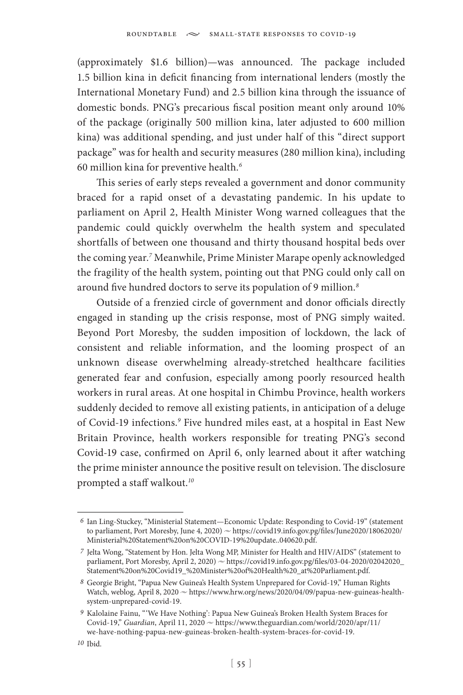(approximately \$1.6 billion)—was announced. The package included 1.5 billion kina in deficit financing from international lenders (mostly the International Monetary Fund) and 2.5 billion kina through the issuance of domestic bonds. PNG's precarious fiscal position meant only around 10% of the package (originally 500 million kina, later adjusted to 600 million kina) was additional spending, and just under half of this "direct support package" was for health and security measures (280 million kina), including 60 million kina for preventive health.*<sup>6</sup>*

This series of early steps revealed a government and donor community braced for a rapid onset of a devastating pandemic. In his update to parliament on April 2, Health Minister Wong warned colleagues that the pandemic could quickly overwhelm the health system and speculated shortfalls of between one thousand and thirty thousand hospital beds over the coming year.*<sup>7</sup>* Meanwhile, Prime Minister Marape openly acknowledged the fragility of the health system, pointing out that PNG could only call on around five hundred doctors to serve its population of 9 million.*<sup>8</sup>*

Outside of a frenzied circle of government and donor officials directly engaged in standing up the crisis response, most of PNG simply waited. Beyond Port Moresby, the sudden imposition of lockdown, the lack of consistent and reliable information, and the looming prospect of an unknown disease overwhelming already-stretched healthcare facilities generated fear and confusion, especially among poorly resourced health workers in rural areas. At one hospital in Chimbu Province, health workers suddenly decided to remove all existing patients, in anticipation of a deluge of Covid-19 infections.*<sup>9</sup>* Five hundred miles east, at a hospital in East New Britain Province, health workers responsible for treating PNG's second Covid-19 case, confirmed on April 6, only learned about it after watching the prime minister announce the positive result on television. The disclosure prompted a staff walkout.*<sup>10</sup>*

*<sup>6</sup>* Ian Ling-Stuckey, "Ministerial Statement—Economic Update: Responding to Covid-19" (statement to parliament, Port Moresby, June 4, 2020)  $\sim$  https://covid19.info.gov.pg/files/June2020/18062020/ Ministerial%20Statement%20on%20COVID-19%20update..040620.pdf.

*<sup>7</sup>* Jelta Wong, "Statement by Hon. Jelta Wong MP, Minister for Health and HIV/AIDS" (statement to parliament, Port Moresby, April 2, 2020)  $\sim$  https://covid19.info.gov.pg/files/03-04-2020/02042020 Statement%20on%20Covid19\_%20Minister%20of%20Health%20\_at%20Parliament.pdf.

*<sup>8</sup>* Georgie Bright, "Papua New Guinea's Health System Unprepared for Covid-19," Human Rights Watch, weblog, April 8, 2020  $\sim$  https://www.hrw.org/news/2020/04/09/papua-new-guineas-healthsystem-unprepared-covid-19.

*<sup>9</sup>* Kalolaine Fainu, "'We Have Nothing': Papua New Guinea's Broken Health System Braces for Covid-19," *Guardian*, April 11, 2020  $\sim$  https://www.theguardian.com/world/2020/apr/11/ we-have-nothing-papua-new-guineas-broken-health-system-braces-for-covid-19.

*<sup>10</sup>* Ibid.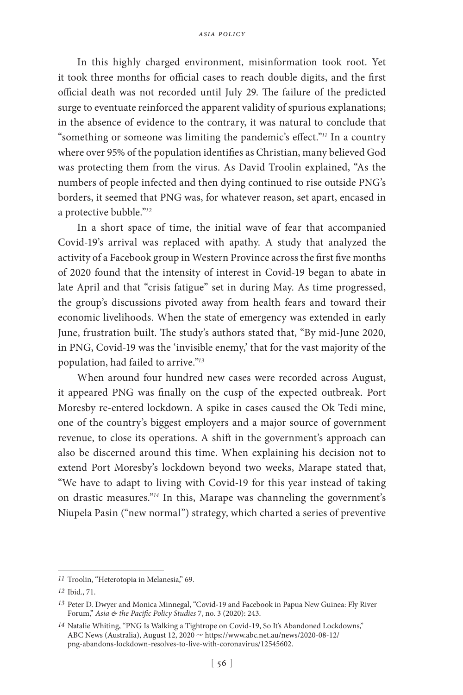In this highly charged environment, misinformation took root. Yet it took three months for official cases to reach double digits, and the first official death was not recorded until July 29. The failure of the predicted surge to eventuate reinforced the apparent validity of spurious explanations; in the absence of evidence to the contrary, it was natural to conclude that "something or someone was limiting the pandemic's effect."*<sup>11</sup>* In a country where over 95% of the population identifies as Christian, many believed God was protecting them from the virus. As David Troolin explained, "As the numbers of people infected and then dying continued to rise outside PNG's borders, it seemed that PNG was, for whatever reason, set apart, encased in a protective bubble."*<sup>12</sup>*

In a short space of time, the initial wave of fear that accompanied Covid-19's arrival was replaced with apathy. A study that analyzed the activity of a Facebook group in Western Province across the first five months of 2020 found that the intensity of interest in Covid-19 began to abate in late April and that "crisis fatigue" set in during May. As time progressed, the group's discussions pivoted away from health fears and toward their economic livelihoods. When the state of emergency was extended in early June, frustration built. The study's authors stated that, "By mid-June 2020, in PNG, Covid-19 was the 'invisible enemy,' that for the vast majority of the population, had failed to arrive."*<sup>13</sup>*

When around four hundred new cases were recorded across August, it appeared PNG was finally on the cusp of the expected outbreak. Port Moresby re-entered lockdown. A spike in cases caused the Ok Tedi mine, one of the country's biggest employers and a major source of government revenue, to close its operations. A shift in the government's approach can also be discerned around this time. When explaining his decision not to extend Port Moresby's lockdown beyond two weeks, Marape stated that, "We have to adapt to living with Covid-19 for this year instead of taking on drastic measures."*<sup>14</sup>* In this, Marape was channeling the government's Niupela Pasin ("new normal") strategy, which charted a series of preventive

*<sup>11</sup>* Troolin, "Heterotopia in Melanesia," 69.

*<sup>12</sup>* Ibid., 71.

*<sup>13</sup>* Peter D. Dwyer and Monica Minnegal, "Covid-19 and Facebook in Papua New Guinea: Fly River Forum," *Asia & the Pacific Policy Studies* 7, no. 3 (2020): 243.

*<sup>14</sup>* Natalie Whiting, "PNG Is Walking a Tightrope on Covid-19, So It's Abandoned Lockdowns," ABC News (Australia), August 12, 2020  $\sim$  https://www.abc.net.au/news/2020-08-12/ png-abandons-lockdown-resolves-to-live-with-coronavirus/12545602.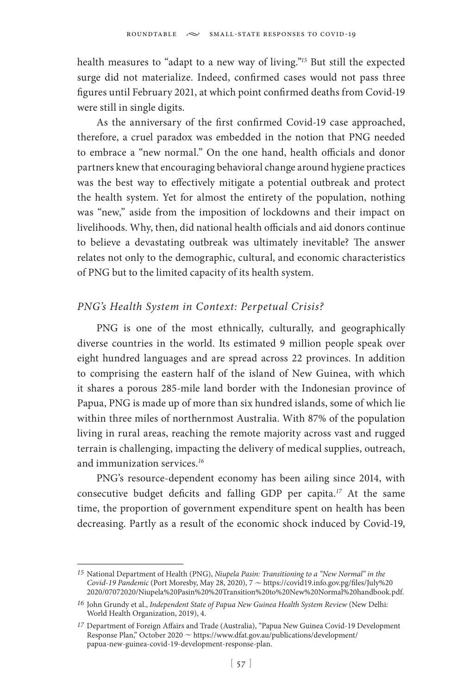health measures to "adapt to a new way of living."*<sup>15</sup>* But still the expected surge did not materialize. Indeed, confirmed cases would not pass three figures until February 2021, at which point confirmed deaths from Covid-19 were still in single digits.

As the anniversary of the first confirmed Covid-19 case approached, therefore, a cruel paradox was embedded in the notion that PNG needed to embrace a "new normal." On the one hand, health officials and donor partners knew that encouraging behavioral change around hygiene practices was the best way to effectively mitigate a potential outbreak and protect the health system. Yet for almost the entirety of the population, nothing was "new," aside from the imposition of lockdowns and their impact on livelihoods. Why, then, did national health officials and aid donors continue to believe a devastating outbreak was ultimately inevitable? The answer relates not only to the demographic, cultural, and economic characteristics of PNG but to the limited capacity of its health system.

### *PNG's Health System in Context: Perpetual Crisis?*

PNG is one of the most ethnically, culturally, and geographically diverse countries in the world. Its estimated 9 million people speak over eight hundred languages and are spread across 22 provinces. In addition to comprising the eastern half of the island of New Guinea, with which it shares a porous 285-mile land border with the Indonesian province of Papua, PNG is made up of more than six hundred islands, some of which lie within three miles of northernmost Australia. With 87% of the population living in rural areas, reaching the remote majority across vast and rugged terrain is challenging, impacting the delivery of medical supplies, outreach, and immunization services.*<sup>16</sup>*

PNG's resource-dependent economy has been ailing since 2014, with consecutive budget deficits and falling GDP per capita.*<sup>17</sup>* At the same time, the proportion of government expenditure spent on health has been decreasing. Partly as a result of the economic shock induced by Covid-19,

*<sup>15</sup>* National Department of Health (PNG), *Niupela Pasin: Transitioning to a "New Normal" in the Covid-19 Pandemic* (Port Moresby, May 28, 2020), 7  $\sim$  https://covid19.info.gov.pg/files/July%20 2020/07072020/Niupela%20Pasin%20%20Transition%20to%20New%20Normal%20handbook.pdf.

*<sup>16</sup>* John Grundy et al., *Independent State of Papua New Guinea Health System Review* (New Delhi: World Health Organization, 2019), 4.

*<sup>17</sup>* Department of Foreign Affairs and Trade (Australia), "Papua New Guinea Covid-19 Development Response Plan," October 2020 ~ https://www.dfat.gov.au/publications/development/ papua-new-guinea-covid-19-development-response-plan.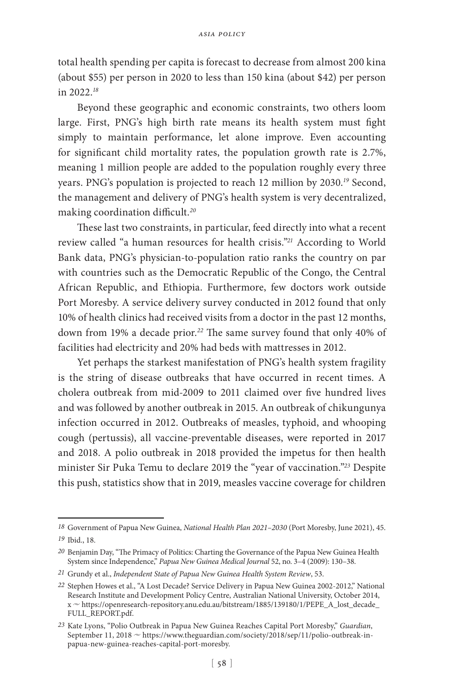total health spending per capita is forecast to decrease from almost 200 kina (about \$55) per person in 2020 to less than 150 kina (about \$42) per person in 2022.*<sup>18</sup>*

Beyond these geographic and economic constraints, two others loom large. First, PNG's high birth rate means its health system must fight simply to maintain performance, let alone improve. Even accounting for significant child mortality rates, the population growth rate is 2.7%, meaning 1 million people are added to the population roughly every three years. PNG's population is projected to reach 12 million by 2030.*<sup>19</sup>* Second, the management and delivery of PNG's health system is very decentralized, making coordination difficult.*<sup>20</sup>*

These last two constraints, in particular, feed directly into what a recent review called "a human resources for health crisis."*<sup>21</sup>* According to World Bank data, PNG's physician-to-population ratio ranks the country on par with countries such as the Democratic Republic of the Congo, the Central African Republic, and Ethiopia. Furthermore, few doctors work outside Port Moresby. A service delivery survey conducted in 2012 found that only 10% of health clinics had received visits from a doctor in the past 12 months, down from 19% a decade prior.*<sup>22</sup>* The same survey found that only 40% of facilities had electricity and 20% had beds with mattresses in 2012.

Yet perhaps the starkest manifestation of PNG's health system fragility is the string of disease outbreaks that have occurred in recent times. A cholera outbreak from mid-2009 to 2011 claimed over five hundred lives and was followed by another outbreak in 2015. An outbreak of chikungunya infection occurred in 2012. Outbreaks of measles, typhoid, and whooping cough (pertussis), all vaccine-preventable diseases, were reported in 2017 and 2018. A polio outbreak in 2018 provided the impetus for then health minister Sir Puka Temu to declare 2019 the "year of vaccination."*<sup>23</sup>* Despite this push, statistics show that in 2019, measles vaccine coverage for children

*<sup>18</sup>* Government of Papua New Guinea, *National Health Plan 2021–2030* (Port Moresby, June 2021), 45.

*<sup>19</sup>* Ibid., 18.

*<sup>20</sup>* Benjamin Day, "The Primacy of Politics: Charting the Governance of the Papua New Guinea Health System since Independence," *Papua New Guinea Medical Journal* 52, no. 3–4 (2009): 130–38.

*<sup>21</sup>* Grundy et al., *Independent State of Papua New Guinea Health System Review*, 53.

*<sup>22</sup>* Stephen Howes et al., "A Lost Decade? Service Delivery in Papua New Guinea 2002-2012," National Research Institute and Development Policy Centre, Australian National University, October 2014, x u https://openresearch-repository.anu.edu.au/bitstream/1885/139180/1/PEPE\_A\_lost\_decade\_ FULL\_REPORT.pdf.

*<sup>23</sup>* Kate Lyons, "Polio Outbreak in Papua New Guinea Reaches Capital Port Moresby," *Guardian*, September 11, 2018  $\sim$  https://www.theguardian.com/society/2018/sep/11/polio-outbreak-inpapua-new-guinea-reaches-capital-port-moresby.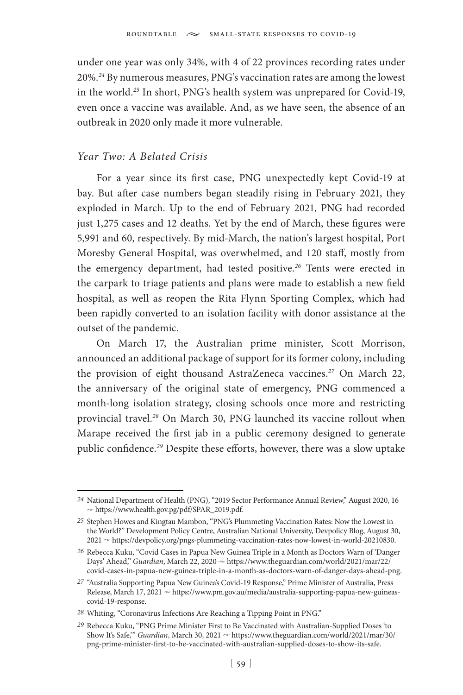under one year was only 34%, with 4 of 22 provinces recording rates under 20%.*<sup>24</sup>* By numerous measures, PNG's vaccination rates are among the lowest in the world.*<sup>25</sup>* In short, PNG's health system was unprepared for Covid-19, even once a vaccine was available. And, as we have seen, the absence of an outbreak in 2020 only made it more vulnerable.

#### *Year Two: A Belated Crisis*

For a year since its first case, PNG unexpectedly kept Covid-19 at bay. But after case numbers began steadily rising in February 2021, they exploded in March. Up to the end of February 2021, PNG had recorded just 1,275 cases and 12 deaths. Yet by the end of March, these figures were 5,991 and 60, respectively. By mid-March, the nation's largest hospital, Port Moresby General Hospital, was overwhelmed, and 120 staff, mostly from the emergency department, had tested positive.*<sup>26</sup>* Tents were erected in the carpark to triage patients and plans were made to establish a new field hospital, as well as reopen the Rita Flynn Sporting Complex, which had been rapidly converted to an isolation facility with donor assistance at the outset of the pandemic.

On March 17, the Australian prime minister, Scott Morrison, announced an additional package of support for its former colony, including the provision of eight thousand AstraZeneca vaccines.*<sup>27</sup>* On March 22, the anniversary of the original state of emergency, PNG commenced a month-long isolation strategy, closing schools once more and restricting provincial travel.*<sup>28</sup>* On March 30, PNG launched its vaccine rollout when Marape received the first jab in a public ceremony designed to generate public confidence.*<sup>29</sup>* Despite these efforts, however, there was a slow uptake

*<sup>24</sup>* National Department of Health (PNG), "2019 Sector Performance Annual Review," August 2020, 16  $\sim$  https://www.health.gov.pg/pdf/SPAR\_2019.pdf.

*<sup>25</sup>* Stephen Howes and Kingtau Mambon, "PNG's Plummeting Vaccination Rates: Now the Lowest in the World?" Development Policy Centre, Australian National University, Devpolicy Blog, August 30, 2021 ~ https://devpolicy.org/pngs-plummeting-vaccination-rates-now-lowest-in-world-20210830.

*<sup>26</sup>* Rebecca Kuku, "Covid Cases in Papua New Guinea Triple in a Month as Doctors Warn of 'Danger Days' Ahead," *Guardian*, March 22, 2020  $\sim$  https://www.theguardian.com/world/2021/mar/22/ covid-cases-in-papua-new-guinea-triple-in-a-month-as-doctors-warn-of-danger-days-ahead-png.

*<sup>27</sup>* "Australia Supporting Papua New Guinea's Covid-19 Response," Prime Minister of Australia, Press Release, March 17, 2021  $\sim$  https://www.pm.gov.au/media/australia-supporting-papua-new-guineascovid-19-response.

*<sup>28</sup>* Whiting, "Coronavirus Infections Are Reaching a Tipping Point in PNG."

*<sup>29</sup>* Rebecca Kuku, "PNG Prime Minister First to Be Vaccinated with Australian-Supplied Doses 'to Show It's Safe," *Guardian*, March 30, 2021  $\sim$  https://www.theguardian.com/world/2021/mar/30/ png-prime-minister-first-to-be-vaccinated-with-australian-supplied-doses-to-show-its-safe.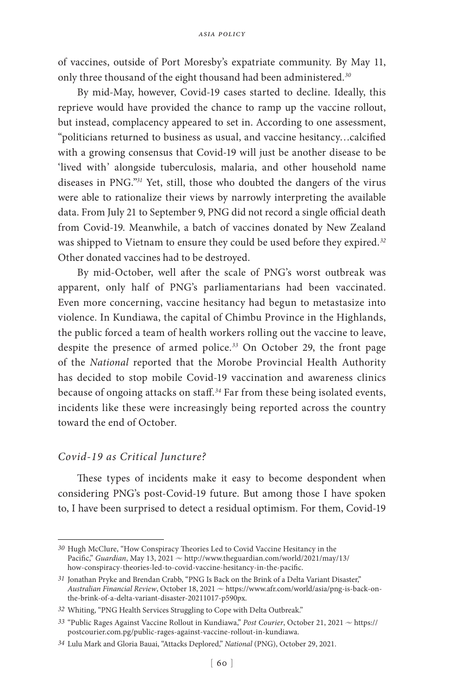of vaccines, outside of Port Moresby's expatriate community. By May 11, only three thousand of the eight thousand had been administered.*<sup>30</sup>*

By mid-May, however, Covid-19 cases started to decline. Ideally, this reprieve would have provided the chance to ramp up the vaccine rollout, but instead, complacency appeared to set in. According to one assessment, "politicians returned to business as usual, and vaccine hesitancy…calcified with a growing consensus that Covid-19 will just be another disease to be 'lived with' alongside tuberculosis, malaria, and other household name diseases in PNG."*<sup>31</sup>* Yet, still, those who doubted the dangers of the virus were able to rationalize their views by narrowly interpreting the available data. From July 21 to September 9, PNG did not record a single official death from Covid-19. Meanwhile, a batch of vaccines donated by New Zealand was shipped to Vietnam to ensure they could be used before they expired.*<sup>32</sup>* Other donated vaccines had to be destroyed.

By mid-October, well after the scale of PNG's worst outbreak was apparent, only half of PNG's parliamentarians had been vaccinated. Even more concerning, vaccine hesitancy had begun to metastasize into violence. In Kundiawa, the capital of Chimbu Province in the Highlands, the public forced a team of health workers rolling out the vaccine to leave, despite the presence of armed police.*<sup>33</sup>* On October 29, the front page of the *National* reported that the Morobe Provincial Health Authority has decided to stop mobile Covid-19 vaccination and awareness clinics because of ongoing attacks on staff.*<sup>34</sup>* Far from these being isolated events, incidents like these were increasingly being reported across the country toward the end of October.

#### *Covid-19 as Critical Juncture?*

These types of incidents make it easy to become despondent when considering PNG's post-Covid-19 future. But among those I have spoken to, I have been surprised to detect a residual optimism. For them, Covid-19

*<sup>30</sup>* Hugh McClure, "How Conspiracy Theories Led to Covid Vaccine Hesitancy in the Pacific," *Guardian*, May 13, 2021  $\sim$  http://www.theguardian.com/world/2021/may/13/ how-conspiracy-theories-led-to-covid-vaccine-hesitancy-in-the-pacific.

*<sup>31</sup>* Jonathan Pryke and Brendan Crabb, "PNG Is Back on the Brink of a Delta Variant Disaster," Australian Financial Review, October 18, 2021  $\sim$  https://www.afr.com/world/asia/png-is-back-onthe-brink-of-a-delta-variant-disaster-20211017-p590px.

*<sup>32</sup>* Whiting, "PNG Health Services Struggling to Cope with Delta Outbreak."

<sup>33 &</sup>quot;Public Rages Against Vaccine Rollout in Kundiawa," *Post Courier*, October 21, 2021  $\sim$  https:// postcourier.com.pg/public-rages-against-vaccine-rollout-in-kundiawa.

*<sup>34</sup>* Lulu Mark and Gloria Bauai, "Attacks Deplored," *National* (PNG), October 29, 2021.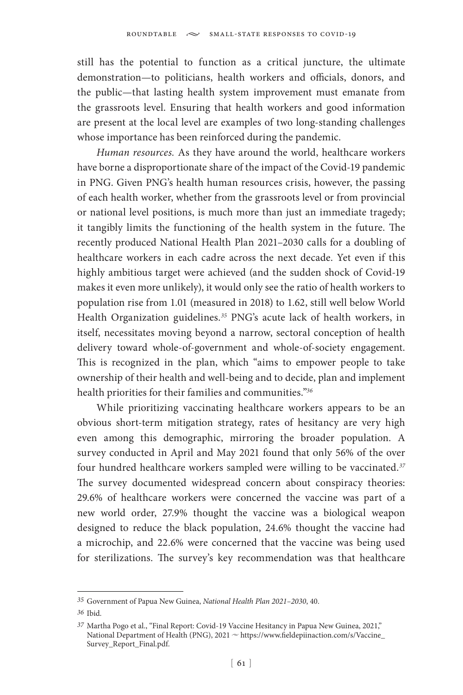still has the potential to function as a critical juncture, the ultimate demonstration—to politicians, health workers and officials, donors, and the public—that lasting health system improvement must emanate from the grassroots level. Ensuring that health workers and good information are present at the local level are examples of two long-standing challenges whose importance has been reinforced during the pandemic.

*Human resources.* As they have around the world, healthcare workers have borne a disproportionate share of the impact of the Covid-19 pandemic in PNG. Given PNG's health human resources crisis, however, the passing of each health worker, whether from the grassroots level or from provincial or national level positions, is much more than just an immediate tragedy; it tangibly limits the functioning of the health system in the future. The recently produced National Health Plan 2021–2030 calls for a doubling of healthcare workers in each cadre across the next decade. Yet even if this highly ambitious target were achieved (and the sudden shock of Covid-19 makes it even more unlikely), it would only see the ratio of health workers to population rise from 1.01 (measured in 2018) to 1.62, still well below World Health Organization guidelines.*<sup>35</sup>* PNG's acute lack of health workers, in itself, necessitates moving beyond a narrow, sectoral conception of health delivery toward whole-of-government and whole-of-society engagement. This is recognized in the plan, which "aims to empower people to take ownership of their health and well-being and to decide, plan and implement health priorities for their families and communities."*<sup>36</sup>*

While prioritizing vaccinating healthcare workers appears to be an obvious short-term mitigation strategy, rates of hesitancy are very high even among this demographic, mirroring the broader population. A survey conducted in April and May 2021 found that only 56% of the over four hundred healthcare workers sampled were willing to be vaccinated.*<sup>37</sup>* The survey documented widespread concern about conspiracy theories: 29.6% of healthcare workers were concerned the vaccine was part of a new world order, 27.9% thought the vaccine was a biological weapon designed to reduce the black population, 24.6% thought the vaccine had a microchip, and 22.6% were concerned that the vaccine was being used for sterilizations. The survey's key recommendation was that healthcare

*<sup>35</sup>* Government of Papua New Guinea, *National Health Plan 2021–2030*, 40.

*<sup>36</sup>* Ibid.

*<sup>37</sup>* Martha Pogo et al., "Final Report: Covid-19 Vaccine Hesitancy in Papua New Guinea, 2021," National Department of Health (PNG), 2021  $\sim$  https://www.fieldepiinaction.com/s/Vaccine\_ Survey\_Report\_Final.pdf.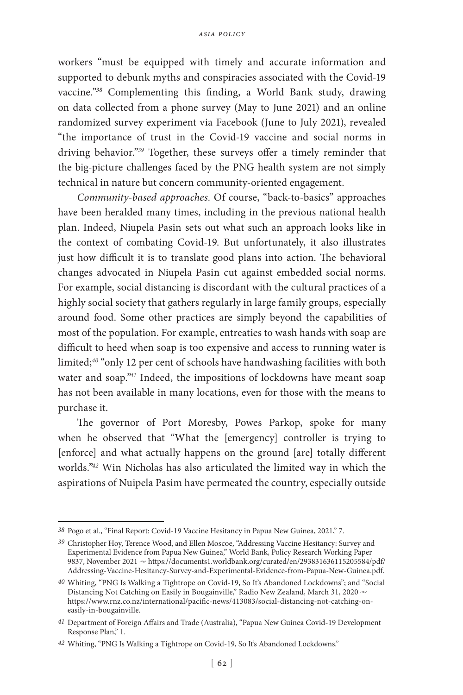workers "must be equipped with timely and accurate information and supported to debunk myths and conspiracies associated with the Covid-19 vaccine."*<sup>38</sup>* Complementing this finding, a World Bank study, drawing on data collected from a phone survey (May to June 2021) and an online randomized survey experiment via Facebook (June to July 2021), revealed "the importance of trust in the Covid-19 vaccine and social norms in driving behavior."*<sup>39</sup>* Together, these surveys offer a timely reminder that the big-picture challenges faced by the PNG health system are not simply technical in nature but concern community-oriented engagement.

*Community-based approaches.* Of course, "back-to-basics" approaches have been heralded many times, including in the previous national health plan. Indeed, Niupela Pasin sets out what such an approach looks like in the context of combating Covid-19. But unfortunately, it also illustrates just how difficult it is to translate good plans into action. The behavioral changes advocated in Niupela Pasin cut against embedded social norms. For example, social distancing is discordant with the cultural practices of a highly social society that gathers regularly in large family groups, especially around food. Some other practices are simply beyond the capabilities of most of the population. For example, entreaties to wash hands with soap are difficult to heed when soap is too expensive and access to running water is limited;*<sup>40</sup>* "only 12 per cent of schools have handwashing facilities with both water and soap."*<sup>41</sup>* Indeed, the impositions of lockdowns have meant soap has not been available in many locations, even for those with the means to purchase it.

The governor of Port Moresby, Powes Parkop, spoke for many when he observed that "What the [emergency] controller is trying to [enforce] and what actually happens on the ground [are] totally different worlds."*<sup>42</sup>* Win Nicholas has also articulated the limited way in which the aspirations of Nuipela Pasim have permeated the country, especially outside

*<sup>38</sup>* Pogo et al., "Final Report: Covid-19 Vaccine Hesitancy in Papua New Guinea, 2021," 7.

*<sup>39</sup>* Christopher Hoy, Terence Wood, and Ellen Moscoe, "Addressing Vaccine Hesitancy: Survey and Experimental Evidence from Papua New Guinea," World Bank, Policy Research Working Paper 9837, November 2021  $\sim$  https://documents1.worldbank.org/curated/en/293831636115205584/pdf/ Addressing-Vaccine-Hesitancy-Survey-and-Experimental-Evidence-from-Papua-New-Guinea.pdf.

*<sup>40</sup>* Whiting, "PNG Is Walking a Tightrope on Covid-19, So It's Abandoned Lockdowns"; and "Social Distancing Not Catching on Easily in Bougainville," Radio New Zealand, March 31, 2020  $\sim$ https://www.rnz.co.nz/international/pacific-news/413083/social-distancing-not-catching-oneasily-in-bougainville.

*<sup>41</sup>* Department of Foreign Affairs and Trade (Australia), "Papua New Guinea Covid-19 Development Response Plan," 1.

*<sup>42</sup>* Whiting, "PNG Is Walking a Tightrope on Covid-19, So It's Abandoned Lockdowns."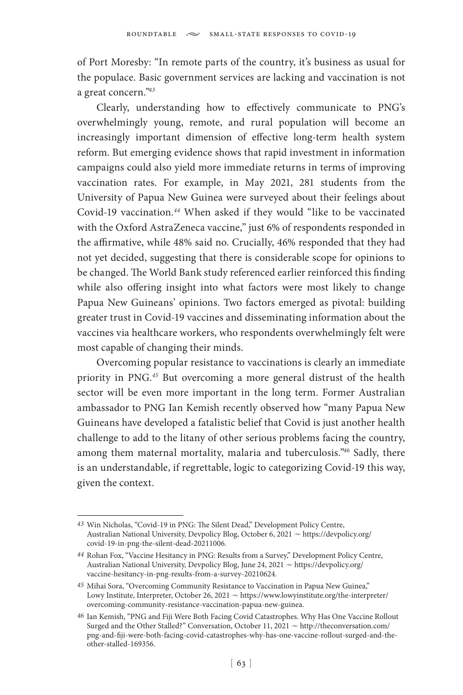of Port Moresby: "In remote parts of the country, it's business as usual for the populace. Basic government services are lacking and vaccination is not a great concern."*<sup>43</sup>*

Clearly, understanding how to effectively communicate to PNG's overwhelmingly young, remote, and rural population will become an increasingly important dimension of effective long-term health system reform. But emerging evidence shows that rapid investment in information campaigns could also yield more immediate returns in terms of improving vaccination rates. For example, in May 2021, 281 students from the University of Papua New Guinea were surveyed about their feelings about Covid-19 vaccination.*<sup>44</sup>* When asked if they would "like to be vaccinated with the Oxford AstraZeneca vaccine," just 6% of respondents responded in the affirmative, while 48% said no. Crucially, 46% responded that they had not yet decided, suggesting that there is considerable scope for opinions to be changed. The World Bank study referenced earlier reinforced this finding while also offering insight into what factors were most likely to change Papua New Guineans' opinions. Two factors emerged as pivotal: building greater trust in Covid-19 vaccines and disseminating information about the vaccines via healthcare workers, who respondents overwhelmingly felt were most capable of changing their minds.

Overcoming popular resistance to vaccinations is clearly an immediate priority in PNG.*<sup>45</sup>* But overcoming a more general distrust of the health sector will be even more important in the long term. Former Australian ambassador to PNG Ian Kemish recently observed how "many Papua New Guineans have developed a fatalistic belief that Covid is just another health challenge to add to the litany of other serious problems facing the country, among them maternal mortality, malaria and tuberculosis."*<sup>46</sup>* Sadly, there is an understandable, if regrettable, logic to categorizing Covid-19 this way, given the context.

*<sup>43</sup>* Win Nicholas, "Covid-19 in PNG: The Silent Dead," Development Policy Centre, Australian National University, Devpolicy Blog, October 6, 2021  $\sim$  https://devpolicy.org/ covid-19-in-png-the-silent-dead-20211006.

*<sup>44</sup>* Rohan Fox, "Vaccine Hesitancy in PNG: Results from a Survey," Development Policy Centre, Australian National University, Devpolicy Blog, June 24, 2021  $\sim$  https://devpolicy.org/ vaccine-hesitancy-in-png-results-from-a-survey-20210624.

*<sup>45</sup>* Mihai Sora, "Overcoming Community Resistance to Vaccination in Papua New Guinea," Lowy Institute, Interpreter, October 26, 2021  $\sim$  https://www.lowyinstitute.org/the-interpreter/ overcoming-community-resistance-vaccination-papua-new-guinea.

*<sup>46</sup>* Ian Kemish, "PNG and Fiji Were Both Facing Covid Catastrophes. Why Has One Vaccine Rollout Surged and the Other Stalled?" Conversation, October 11, 2021  $\sim$  http://theconversation.com/ png-and-fiji-were-both-facing-covid-catastrophes-why-has-one-vaccine-rollout-surged-and-theother-stalled-169356.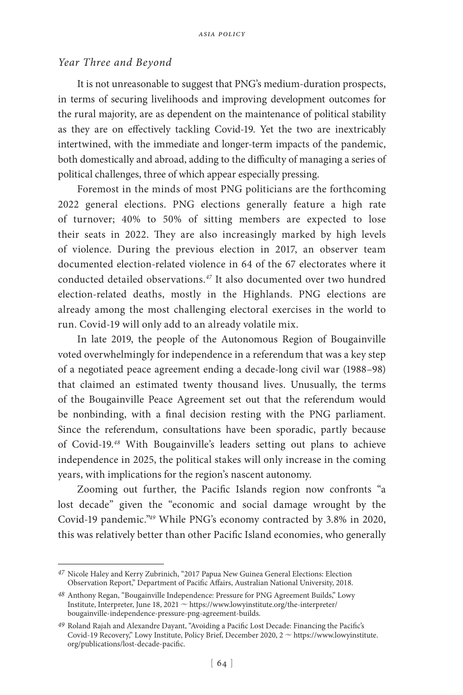### *Year Three and Beyond*

It is not unreasonable to suggest that PNG's medium-duration prospects, in terms of securing livelihoods and improving development outcomes for the rural majority, are as dependent on the maintenance of political stability as they are on effectively tackling Covid-19. Yet the two are inextricably intertwined, with the immediate and longer-term impacts of the pandemic, both domestically and abroad, adding to the difficulty of managing a series of political challenges, three of which appear especially pressing.

Foremost in the minds of most PNG politicians are the forthcoming 2022 general elections. PNG elections generally feature a high rate of turnover; 40% to 50% of sitting members are expected to lose their seats in 2022. They are also increasingly marked by high levels of violence. During the previous election in 2017, an observer team documented election-related violence in 64 of the 67 electorates where it conducted detailed observations.*<sup>47</sup>* It also documented over two hundred election-related deaths, mostly in the Highlands. PNG elections are already among the most challenging electoral exercises in the world to run. Covid-19 will only add to an already volatile mix.

In late 2019, the people of the Autonomous Region of Bougainville voted overwhelmingly for independence in a referendum that was a key step of a negotiated peace agreement ending a decade-long civil war (1988–98) that claimed an estimated twenty thousand lives. Unusually, the terms of the Bougainville Peace Agreement set out that the referendum would be nonbinding, with a final decision resting with the PNG parliament. Since the referendum, consultations have been sporadic, partly because of Covid-19.*<sup>48</sup>* With Bougainville's leaders setting out plans to achieve independence in 2025, the political stakes will only increase in the coming years, with implications for the region's nascent autonomy.

Zooming out further, the Pacific Islands region now confronts "a lost decade" given the "economic and social damage wrought by the Covid-19 pandemic."*<sup>49</sup>* While PNG's economy contracted by 3.8% in 2020, this was relatively better than other Pacific Island economies, who generally

*<sup>47</sup>* Nicole Haley and Kerry Zubrinich, "2017 Papua New Guinea General Elections: Election Observation Report," Department of Pacific Affairs, Australian National University, 2018.

*<sup>48</sup>* Anthony Regan, "Bougainville Independence: Pressure for PNG Agreement Builds," Lowy Institute, Interpreter, June 18, 2021  $\sim$  https://www.lowyinstitute.org/the-interpreter/ bougainville-independence-pressure-png-agreement-builds.

*<sup>49</sup>* Roland Rajah and Alexandre Dayant, "Avoiding a Pacific Lost Decade: Financing the Pacific's Covid-19 Recovery," Lowy Institute, Policy Brief, December 2020, 2  $\sim$  https://www.lowyinstitute. org/publications/lost-decade-pacific.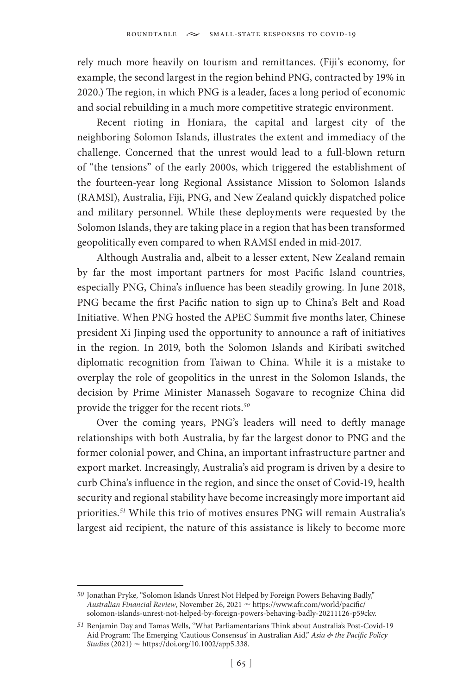rely much more heavily on tourism and remittances. (Fiji's economy, for example, the second largest in the region behind PNG, contracted by 19% in 2020.) The region, in which PNG is a leader, faces a long period of economic and social rebuilding in a much more competitive strategic environment.

Recent rioting in Honiara, the capital and largest city of the neighboring Solomon Islands, illustrates the extent and immediacy of the challenge. Concerned that the unrest would lead to a full-blown return of "the tensions" of the early 2000s, which triggered the establishment of the fourteen-year long Regional Assistance Mission to Solomon Islands (RAMSI), Australia, Fiji, PNG, and New Zealand quickly dispatched police and military personnel. While these deployments were requested by the Solomon Islands, they are taking place in a region that has been transformed geopolitically even compared to when RAMSI ended in mid-2017.

Although Australia and, albeit to a lesser extent, New Zealand remain by far the most important partners for most Pacific Island countries, especially PNG, China's influence has been steadily growing. In June 2018, PNG became the first Pacific nation to sign up to China's Belt and Road Initiative. When PNG hosted the APEC Summit five months later, Chinese president Xi Jinping used the opportunity to announce a raft of initiatives in the region. In 2019, both the Solomon Islands and Kiribati switched diplomatic recognition from Taiwan to China. While it is a mistake to overplay the role of geopolitics in the unrest in the Solomon Islands, the decision by Prime Minister Manasseh Sogavare to recognize China did provide the trigger for the recent riots.*<sup>50</sup>*

Over the coming years, PNG's leaders will need to deftly manage relationships with both Australia, by far the largest donor to PNG and the former colonial power, and China, an important infrastructure partner and export market. Increasingly, Australia's aid program is driven by a desire to curb China's influence in the region, and since the onset of Covid-19, health security and regional stability have become increasingly more important aid priorities.*<sup>51</sup>* While this trio of motives ensures PNG will remain Australia's largest aid recipient, the nature of this assistance is likely to become more

*<sup>50</sup>* Jonathan Pryke, "Solomon Islands Unrest Not Helped by Foreign Powers Behaving Badly," *Australian Financial Review*, November 26, 2021  $\sim$  https://www.afr.com/world/pacific/ solomon-islands-unrest-not-helped-by-foreign-powers-behaving-badly-20211126-p59ckv.

*<sup>51</sup>* Benjamin Day and Tamas Wells, "What Parliamentarians Think about Australia's Post-Covid-19 Aid Program: The Emerging 'Cautious Consensus' in Australian Aid," *Asia & the Pacific Policy Studies* (2021)  $\sim$  https://doi.org/10.1002/app5.338.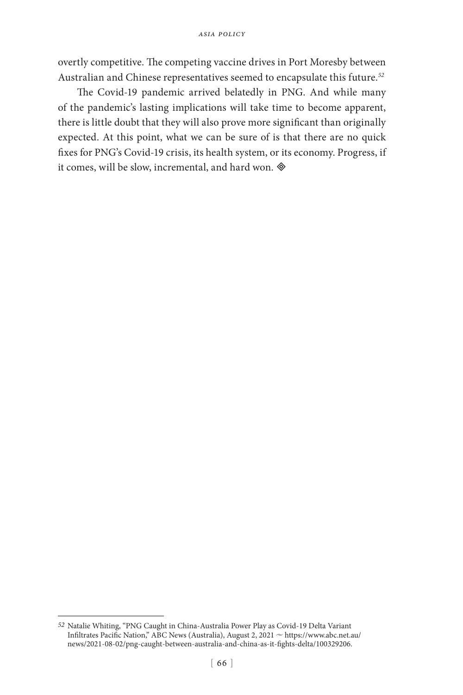overtly competitive. The competing vaccine drives in Port Moresby between Australian and Chinese representatives seemed to encapsulate this future.*<sup>52</sup>*

The Covid-19 pandemic arrived belatedly in PNG. And while many of the pandemic's lasting implications will take time to become apparent, there is little doubt that they will also prove more significant than originally expected. At this point, what we can be sure of is that there are no quick fixes for PNG's Covid-19 crisis, its health system, or its economy. Progress, if it comes, will be slow, incremental, and hard won.

*<sup>52</sup>* Natalie Whiting, "PNG Caught in China-Australia Power Play as Covid-19 Delta Variant Infiltrates Pacific Nation," ABC News (Australia), August 2, 2021  $\sim$  https://www.abc.net.au/ news/2021-08-02/png-caught-between-australia-and-china-as-it-fights-delta/100329206.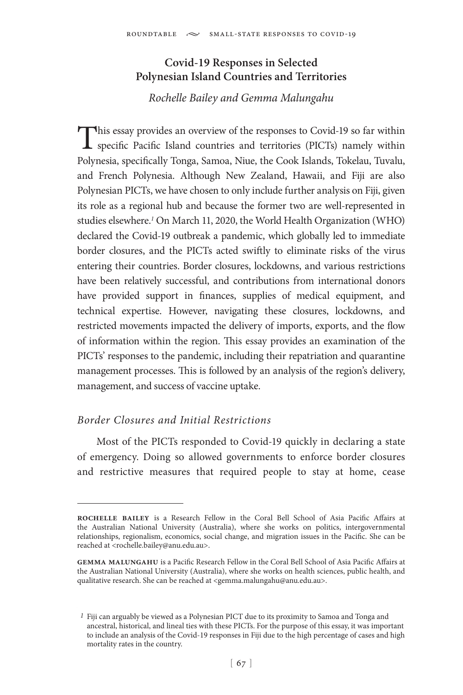# **Covid-19 Responses in Selected Polynesian Island Countries and Territories**

# *Rochelle Bailey and Gemma Malungahu*

This essay provides an overview of the responses to Covid-19 so far within specific Pacific Island countries and territories (PICTs) namely within Polynesia, specifically Tonga, Samoa, Niue, the Cook Islands, Tokelau, Tuvalu, and French Polynesia. Although New Zealand, Hawaii, and Fiji are also Polynesian PICTs, we have chosen to only include further analysis on Fiji, given its role as a regional hub and because the former two are well-represented in studies elsewhere.*<sup>1</sup>* On March 11, 2020, the World Health Organization (WHO) declared the Covid-19 outbreak a pandemic, which globally led to immediate border closures, and the PICTs acted swiftly to eliminate risks of the virus entering their countries. Border closures, lockdowns, and various restrictions have been relatively successful, and contributions from international donors have provided support in finances, supplies of medical equipment, and technical expertise. However, navigating these closures, lockdowns, and restricted movements impacted the delivery of imports, exports, and the flow of information within the region. This essay provides an examination of the PICTs' responses to the pandemic, including their repatriation and quarantine management processes. This is followed by an analysis of the region's delivery, management, and success of vaccine uptake.

# *Border Closures and Initial Restrictions*

Most of the PICTs responded to Covid-19 quickly in declaring a state of emergency. Doing so allowed governments to enforce border closures and restrictive measures that required people to stay at home, cease

**rochelle bailey** is a Research Fellow in the Coral Bell School of Asia Pacific Affairs at the Australian National University (Australia), where she works on politics, intergovernmental relationships, regionalism, economics, social change, and migration issues in the Pacific. She can be reached at <rochelle.bailey@anu.edu.au>.

**gemma malungahu** is a Pacific Research Fellow in the Coral Bell School of Asia Pacific Affairs at the Australian National University (Australia), where she works on health sciences, public health, and qualitative research. She can be reached at <gemma.malungahu@anu.edu.au>.

*<sup>1</sup>* Fiji can arguably be viewed as a Polynesian PICT due to its proximity to Samoa and Tonga and ancestral, historical, and lineal ties with these PICTs. For the purpose of this essay, it was important to include an analysis of the Covid-19 responses in Fiji due to the high percentage of cases and high mortality rates in the country.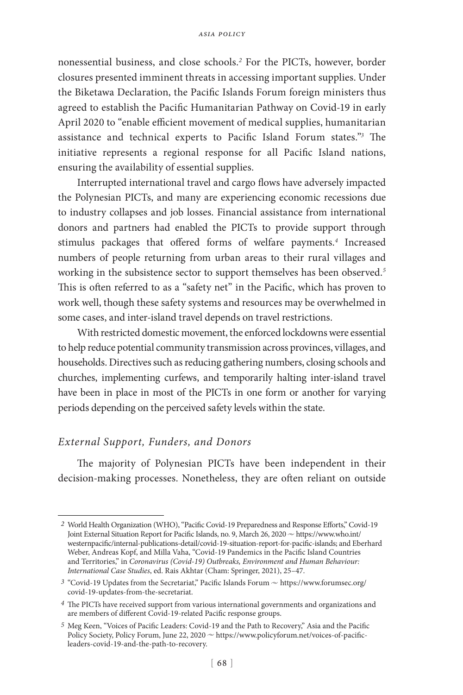nonessential business, and close schools.*<sup>2</sup>* For the PICTs, however, border closures presented imminent threats in accessing important supplies. Under the Biketawa Declaration, the Pacific Islands Forum foreign ministers thus agreed to establish the Pacific Humanitarian Pathway on Covid-19 in early April 2020 to "enable efficient movement of medical supplies, humanitarian assistance and technical experts to Pacific Island Forum states."*<sup>3</sup>* The initiative represents a regional response for all Pacific Island nations, ensuring the availability of essential supplies.

Interrupted international travel and cargo flows have adversely impacted the Polynesian PICTs, and many are experiencing economic recessions due to industry collapses and job losses. Financial assistance from international donors and partners had enabled the PICTs to provide support through stimulus packages that offered forms of welfare payments.*<sup>4</sup>* Increased numbers of people returning from urban areas to their rural villages and working in the subsistence sector to support themselves has been observed.*<sup>5</sup>* This is often referred to as a "safety net" in the Pacific, which has proven to work well, though these safety systems and resources may be overwhelmed in some cases, and inter-island travel depends on travel restrictions.

With restricted domestic movement, the enforced lockdowns were essential to help reduce potential community transmission across provinces, villages, and households. Directives such as reducing gathering numbers, closing schools and churches, implementing curfews, and temporarily halting inter-island travel have been in place in most of the PICTs in one form or another for varying periods depending on the perceived safety levels within the state.

### *External Support, Funders, and Donors*

The majority of Polynesian PICTs have been independent in their decision-making processes. Nonetheless, they are often reliant on outside

*<sup>2</sup>* World Health Organization (WHO), "Pacific Covid-19 Preparedness and Response Efforts," Covid-19 Joint External Situation Report for Pacific Islands, no. 9, March 26, 2020  $\sim$  https://www.who.int/ westernpacific/internal-publications-detail/covid-19-situation-report-for-pacific-islands; and Eberhard Weber, Andreas Kopf, and Milla Vaha, "Covid-19 Pandemics in the Pacific Island Countries and Territories," in *Coronavirus (Covid-19) Outbreaks, Environment and Human Behaviour: International Case Studies*, ed. Rais Akhtar (Cham: Springer, 2021), 25–47.

<sup>&</sup>lt;sup>3</sup> "Covid-19 Updates from the Secretariat," Pacific Islands Forum  $\sim$  https://www.forumsec.org/ covid-19-updates-from-the-secretariat.

*<sup>4</sup>* The PICTs have received support from various international governments and organizations and are members of different Covid-19-related Pacific response groups.

*<sup>5</sup>* Meg Keen, "Voices of Pacific Leaders: Covid-19 and the Path to Recovery," Asia and the Pacific Policy Society, Policy Forum, June 22, 2020  $\sim$  https://www.policyforum.net/voices-of-pacificleaders-covid-19-and-the-path-to-recovery.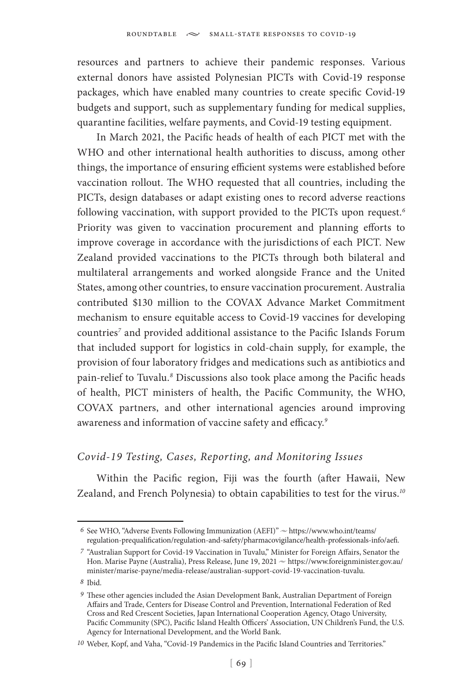resources and partners to achieve their pandemic responses. Various external donors have assisted Polynesian PICTs with Covid-19 response packages, which have enabled many countries to create specific Covid-19 budgets and support, such as supplementary funding for medical supplies, quarantine facilities, welfare payments, and Covid-19 testing equipment.

In March 2021, the Pacific heads of health of each PICT met with the WHO and other international health authorities to discuss, among other things, the importance of ensuring efficient systems were established before vaccination rollout. The WHO requested that all countries, including the PICTs, design databases or adapt existing ones to record adverse reactions following vaccination, with support provided to the PICTs upon request.*<sup>6</sup>* Priority was given to vaccination procurement and planning efforts to improve coverage in accordance with the jurisdictions of each PICT. New Zealand provided vaccinations to the PICTs through both bilateral and multilateral arrangements and worked alongside France and the United States, among other countries, to ensure vaccination procurement. Australia contributed \$130 million to the COVAX Advance Market Commitment mechanism to ensure equitable access to Covid-19 vaccines for developing countries*<sup>7</sup>* and provided additional assistance to the Pacific Islands Forum that included support for logistics in cold-chain supply, for example, the provision of four laboratory fridges and medications such as antibiotics and pain-relief to Tuvalu.*<sup>8</sup>* Discussions also took place among the Pacific heads of health, PICT ministers of health, the Pacific Community, the WHO, COVAX partners, and other international agencies around improving awareness and information of vaccine safety and efficacy.*<sup>9</sup>*

### *Covid-19 Testing, Cases, Reporting, and Monitoring Issues*

Within the Pacific region, Fiji was the fourth (after Hawaii, New Zealand, and French Polynesia) to obtain capabilities to test for the virus.*<sup>10</sup>*

 $6$  See WHO, "Adverse Events Following Immunization (AEFI)"  $\sim$  https://www.who.int/teams/ regulation-prequalification/regulation-and-safety/pharmacovigilance/health-professionals-info/aefi.

*<sup>7</sup>* "Australian Support for Covid-19 Vaccination in Tuvalu," Minister for Foreign Affairs, Senator the Hon. Marise Payne (Australia), Press Release, June 19, 2021  $\sim$  https://www.foreignminister.gov.au/ minister/marise-payne/media-release/australian-support-covid-19-vaccination-tuvalu.

*<sup>8</sup>* Ibid.

<sup>&</sup>lt;sup>9</sup> These other agencies included the Asian Development Bank, Australian Department of Foreign Affairs and Trade, Centers for Disease Control and Prevention, International Federation of Red Cross and Red Crescent Societies, Japan International Cooperation Agency, Otago University, Pacific Community (SPC), Pacific Island Health Officers' Association, UN Children's Fund, the U.S. Agency for International Development, and the World Bank.

*<sup>10</sup>* Weber, Kopf, and Vaha, "Covid-19 Pandemics in the Pacific Island Countries and Territories."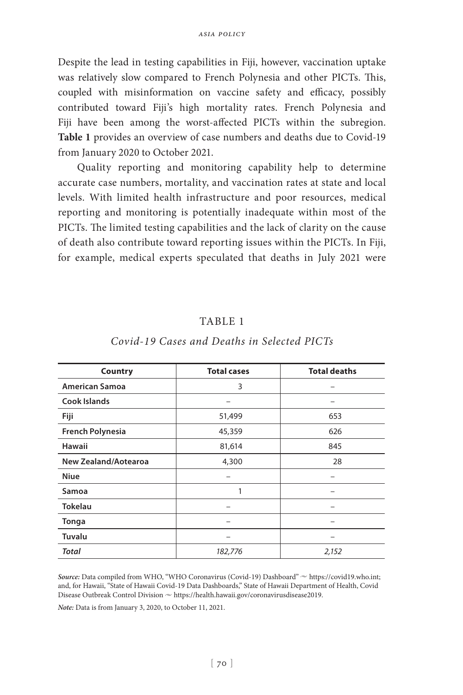Despite the lead in testing capabilities in Fiji, however, vaccination uptake was relatively slow compared to French Polynesia and other PICTs. This, coupled with misinformation on vaccine safety and efficacy, possibly contributed toward Fiji's high mortality rates. French Polynesia and Fiji have been among the worst-affected PICTs within the subregion. **Table 1** provides an overview of case numbers and deaths due to Covid-19 from January 2020 to October 2021.

Quality reporting and monitoring capability help to determine accurate case numbers, mortality, and vaccination rates at state and local levels. With limited health infrastructure and poor resources, medical reporting and monitoring is potentially inadequate within most of the PICTs. The limited testing capabilities and the lack of clarity on the cause of death also contribute toward reporting issues within the PICTs. In Fiji, for example, medical experts speculated that deaths in July 2021 were

### TABLE 1

| Country                     | <b>Total cases</b> | <b>Total deaths</b> |
|-----------------------------|--------------------|---------------------|
| <b>American Samoa</b>       | 3                  |                     |
| <b>Cook Islands</b>         |                    |                     |
| Fiji                        | 51,499             | 653                 |
| <b>French Polynesia</b>     | 45,359             | 626                 |
| Hawaii                      | 81,614             | 845                 |
| <b>New Zealand/Aotearoa</b> | 4,300              | 28                  |
| <b>Niue</b>                 |                    |                     |
| Samoa                       | 1                  |                     |
| <b>Tokelau</b>              |                    |                     |
| Tonga                       |                    |                     |
| Tuvalu                      |                    |                     |
| Total                       | 182,776            | 2,152               |

#### *Covid-19 Cases and Deaths in Selected PICTs*

Source: Data compiled from WHO, "WHO Coronavirus (Covid-19) Dashboard"  $\sim$  https://covid19.who.int; and, for Hawaii, "State of Hawaii Covid-19 Data Dashboards," State of Hawaii Department of Health, Covid Disease Outbreak Control Division  $\sim$  https://health.hawaii.gov/coronavirusdisease2019.

*Note:* Data is from January 3, 2020, to October 11, 2021.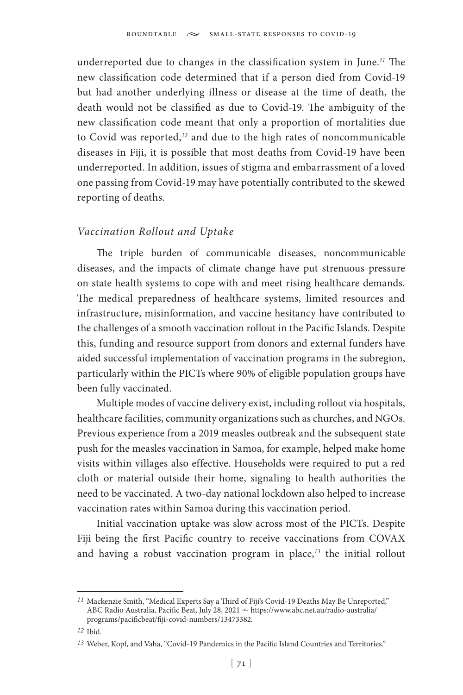underreported due to changes in the classification system in June.*<sup>11</sup>* The new classification code determined that if a person died from Covid-19 but had another underlying illness or disease at the time of death, the death would not be classified as due to Covid-19. The ambiguity of the new classification code meant that only a proportion of mortalities due to Covid was reported,*<sup>12</sup>* and due to the high rates of noncommunicable diseases in Fiji, it is possible that most deaths from Covid-19 have been underreported. In addition, issues of stigma and embarrassment of a loved one passing from Covid-19 may have potentially contributed to the skewed reporting of deaths.

### *Vaccination Rollout and Uptake*

The triple burden of communicable diseases, noncommunicable diseases, and the impacts of climate change have put strenuous pressure on state health systems to cope with and meet rising healthcare demands. The medical preparedness of healthcare systems, limited resources and infrastructure, misinformation, and vaccine hesitancy have contributed to the challenges of a smooth vaccination rollout in the Pacific Islands. Despite this, funding and resource support from donors and external funders have aided successful implementation of vaccination programs in the subregion, particularly within the PICTs where 90% of eligible population groups have been fully vaccinated.

Multiple modes of vaccine delivery exist, including rollout via hospitals, healthcare facilities, community organizations such as churches, and NGOs. Previous experience from a 2019 measles outbreak and the subsequent state push for the measles vaccination in Samoa, for example, helped make home visits within villages also effective. Households were required to put a red cloth or material outside their home, signaling to health authorities the need to be vaccinated. A two-day national lockdown also helped to increase vaccination rates within Samoa during this vaccination period.

Initial vaccination uptake was slow across most of the PICTs. Despite Fiji being the first Pacific country to receive vaccinations from COVAX and having a robust vaccination program in place,*<sup>13</sup>* the initial rollout

*<sup>11</sup>* Mackenzie Smith, "Medical Experts Say a Third of Fiji's Covid-19 Deaths May Be Unreported," ABC Radio Australia, Pacific Beat, July 28, 2021 ~ https://www.abc.net.au/radio-australia/ programs/pacificbeat/fiji-covid-numbers/13473382.

*<sup>12</sup>* Ibid.

*<sup>13</sup>* Weber, Kopf, and Vaha, "Covid-19 Pandemics in the Pacific Island Countries and Territories."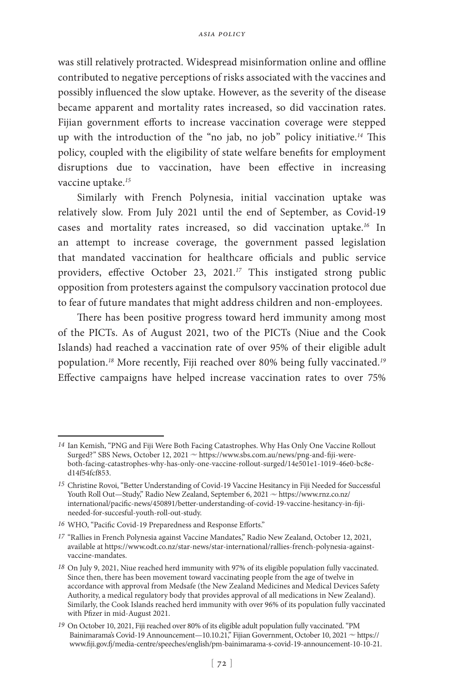was still relatively protracted. Widespread misinformation online and offline contributed to negative perceptions of risks associated with the vaccines and possibly influenced the slow uptake. However, as the severity of the disease became apparent and mortality rates increased, so did vaccination rates. Fijian government efforts to increase vaccination coverage were stepped up with the introduction of the "no jab, no job" policy initiative.*<sup>14</sup>* This policy, coupled with the eligibility of state welfare benefits for employment disruptions due to vaccination, have been effective in increasing vaccine uptake.*<sup>15</sup>*

Similarly with French Polynesia, initial vaccination uptake was relatively slow. From July 2021 until the end of September, as Covid-19 cases and mortality rates increased, so did vaccination uptake.*<sup>16</sup>* In an attempt to increase coverage, the government passed legislation that mandated vaccination for healthcare officials and public service providers, effective October 23, 2021.*<sup>17</sup>* This instigated strong public opposition from protesters against the compulsory vaccination protocol due to fear of future mandates that might address children and non-employees.

There has been positive progress toward herd immunity among most of the PICTs. As of August 2021, two of the PICTs (Niue and the Cook Islands) had reached a vaccination rate of over 95% of their eligible adult population.*<sup>18</sup>* More recently, Fiji reached over 80% being fully vaccinated.*<sup>19</sup>* Effective campaigns have helped increase vaccination rates to over 75%

*<sup>14</sup>* Ian Kemish, "PNG and Fiji Were Both Facing Catastrophes. Why Has Only One Vaccine Rollout Surged?" SBS News, October 12, 2021  $\sim$  https://www.sbs.com.au/news/png-and-fiji-wereboth-facing-catastrophes-why-has-only-one-vaccine-rollout-surged/14e501e1-1019-46e0-bc8ed14f54fcf853.

*<sup>15</sup>* Christine Rovoi, "Better Understanding of Covid-19 Vaccine Hesitancy in Fiji Needed for Successful Youth Roll Out-Study," Radio New Zealand, September 6, 2021 ~ https://www.rnz.co.nz/ international/pacific-news/450891/better-understanding-of-covid-19-vaccine-hesitancy-in-fijineeded-for-succesful-youth-roll-out-study.

*<sup>16</sup>* WHO, "Pacific Covid-19 Preparedness and Response Efforts."

*<sup>17</sup>* "Rallies in French Polynesia against Vaccine Mandates," Radio New Zealand, October 12, 2021, available at https://www.odt.co.nz/star-news/star-international/rallies-french-polynesia-againstvaccine-mandates.

*<sup>18</sup>* On July 9, 2021, Niue reached herd immunity with 97% of its eligible population fully vaccinated. Since then, there has been movement toward vaccinating people from the age of twelve in accordance with approval from Medsafe (the New Zealand Medicines and Medical Devices Safety Authority, a medical regulatory body that provides approval of all medications in New Zealand). Similarly, the Cook Islands reached herd immunity with over 96% of its population fully vaccinated with Pfizer in mid-August 2021.

*<sup>19</sup>* On October 10, 2021, Fiji reached over 80% of its eligible adult population fully vaccinated. "PM Bainimarama's Covid-19 Announcement-10.10.21," Fijian Government, October 10, 2021 ~ https:// www.fiji.gov.fj/media-centre/speeches/english/pm-bainimarama-s-covid-19-announcement-10-10-21.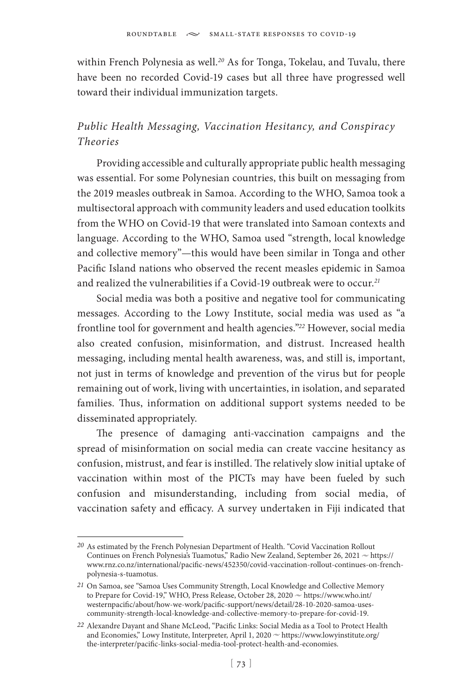within French Polynesia as well.*<sup>20</sup>* As for Tonga, Tokelau, and Tuvalu, there have been no recorded Covid-19 cases but all three have progressed well toward their individual immunization targets.

## *Public Health Messaging, Vaccination Hesitancy, and Conspiracy Theories*

Providing accessible and culturally appropriate public health messaging was essential. For some Polynesian countries, this built on messaging from the 2019 measles outbreak in Samoa. According to the WHO, Samoa took a multisectoral approach with community leaders and used education toolkits from the WHO on Covid-19 that were translated into Samoan contexts and language. According to the WHO, Samoa used "strength, local knowledge and collective memory"—this would have been similar in Tonga and other Pacific Island nations who observed the recent measles epidemic in Samoa and realized the vulnerabilities if a Covid-19 outbreak were to occur.*<sup>21</sup>*

Social media was both a positive and negative tool for communicating messages. According to the Lowy Institute, social media was used as "a frontline tool for government and health agencies."*<sup>22</sup>* However, social media also created confusion, misinformation, and distrust. Increased health messaging, including mental health awareness, was, and still is, important, not just in terms of knowledge and prevention of the virus but for people remaining out of work, living with uncertainties, in isolation, and separated families. Thus, information on additional support systems needed to be disseminated appropriately.

The presence of damaging anti-vaccination campaigns and the spread of misinformation on social media can create vaccine hesitancy as confusion, mistrust, and fear is instilled. The relatively slow initial uptake of vaccination within most of the PICTs may have been fueled by such confusion and misunderstanding, including from social media, of vaccination safety and efficacy. A survey undertaken in Fiji indicated that

*<sup>20</sup>* As estimated by the French Polynesian Department of Health. "Covid Vaccination Rollout Continues on French Polynesia's Tuamotus," Radio New Zealand, September 26, 2021  $\sim$  https:// www.rnz.co.nz/international/pacific-news/452350/covid-vaccination-rollout-continues-on-frenchpolynesia-s-tuamotus.

*<sup>21</sup>* On Samoa, see "Samoa Uses Community Strength, Local Knowledge and Collective Memory to Prepare for Covid-19," WHO, Press Release, October 28, 2020  $\sim$  https://www.who.int/ westernpacific/about/how-we-work/pacific-support/news/detail/28-10-2020-samoa-usescommunity-strength-local-knowledge-and-collective-memory-to-prepare-for-covid-19.

*<sup>22</sup>* Alexandre Dayant and Shane McLeod, "Pacific Links: Social Media as a Tool to Protect Health and Economies," Lowy Institute, Interpreter, April 1, 2020  $\sim$  https://www.lowyinstitute.org/ the-interpreter/pacific-links-social-media-tool-protect-health-and-economies.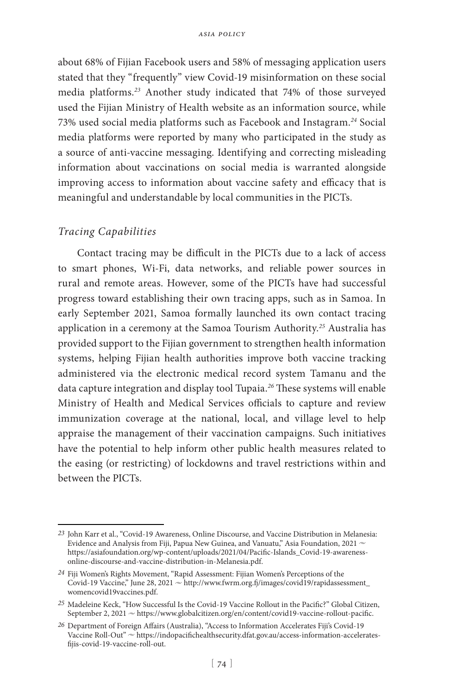about 68% of Fijian Facebook users and 58% of messaging application users stated that they "frequently" view Covid-19 misinformation on these social media platforms.*<sup>23</sup>* Another study indicated that 74% of those surveyed used the Fijian Ministry of Health website as an information source, while 73% used social media platforms such as Facebook and Instagram.*<sup>24</sup>* Social media platforms were reported by many who participated in the study as a source of anti-vaccine messaging. Identifying and correcting misleading information about vaccinations on social media is warranted alongside improving access to information about vaccine safety and efficacy that is meaningful and understandable by local communities in the PICTs.

## *Tracing Capabilities*

Contact tracing may be difficult in the PICTs due to a lack of access to smart phones, Wi-Fi, data networks, and reliable power sources in rural and remote areas. However, some of the PICTs have had successful progress toward establishing their own tracing apps, such as in Samoa. In early September 2021, Samoa formally launched its own contact tracing application in a ceremony at the Samoa Tourism Authority.*<sup>25</sup>* Australia has provided support to the Fijian government to strengthen health information systems, helping Fijian health authorities improve both vaccine tracking administered via the electronic medical record system Tamanu and the data capture integration and display tool Tupaia.*<sup>26</sup>* These systems will enable Ministry of Health and Medical Services officials to capture and review immunization coverage at the national, local, and village level to help appraise the management of their vaccination campaigns. Such initiatives have the potential to help inform other public health measures related to the easing (or restricting) of lockdowns and travel restrictions within and between the PICTs.

*<sup>23</sup>* John Karr et al., "Covid-19 Awareness, Online Discourse, and Vaccine Distribution in Melanesia: Evidence and Analysis from Fiji, Papua New Guinea, and Vanuatu," Asia Foundation, 2021  $\sim$ https://asiafoundation.org/wp-content/uploads/2021/04/Pacific-Islands\_Covid-19-awarenessonline-discourse-and-vaccine-distribution-in-Melanesia.pdf.

*<sup>24</sup>* Fiji Women's Rights Movement, "Rapid Assessment: Fijian Women's Perceptions of the  $\emph{Covid-19   
Vaccine," June 28, 2021  $\sim$  http://www.fwrm.org.fj/images/covid19/rapidassessment_$ womencovid19vaccines.pdf.

*<sup>25</sup>* Madeleine Keck, "How Successful Is the Covid-19 Vaccine Rollout in the Pacific?" Global Citizen, September 2, 2021  $\sim$  https://www.globalcitizen.org/en/content/covid19-vaccine-rollout-pacific.

*<sup>26</sup>* Department of Foreign Affairs (Australia), "Access to Information Accelerates Fiji's Covid-19 Vaccine Roll-Out"  $\sim$  https://indopacifichealthsecurity.dfat.gov.au/access-information-acceleratesfijis-covid-19-vaccine-roll-out.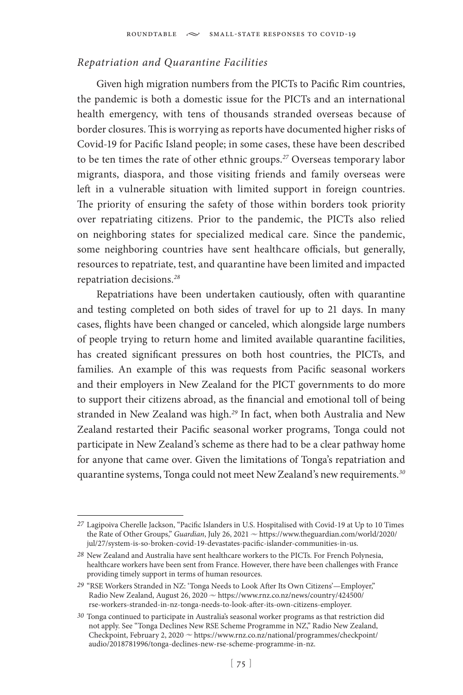## *Repatriation and Quarantine Facilities*

Given high migration numbers from the PICTs to Pacific Rim countries, the pandemic is both a domestic issue for the PICTs and an international health emergency, with tens of thousands stranded overseas because of border closures. This is worrying as reports have documented higher risks of Covid-19 for Pacific Island people; in some cases, these have been described to be ten times the rate of other ethnic groups.*<sup>27</sup>* Overseas temporary labor migrants, diaspora, and those visiting friends and family overseas were left in a vulnerable situation with limited support in foreign countries. The priority of ensuring the safety of those within borders took priority over repatriating citizens. Prior to the pandemic, the PICTs also relied on neighboring states for specialized medical care. Since the pandemic, some neighboring countries have sent healthcare officials, but generally, resources to repatriate, test, and quarantine have been limited and impacted repatriation decisions.*<sup>28</sup>*

Repatriations have been undertaken cautiously, often with quarantine and testing completed on both sides of travel for up to 21 days. In many cases, flights have been changed or canceled, which alongside large numbers of people trying to return home and limited available quarantine facilities, has created significant pressures on both host countries, the PICTs, and families. An example of this was requests from Pacific seasonal workers and their employers in New Zealand for the PICT governments to do more to support their citizens abroad, as the financial and emotional toll of being stranded in New Zealand was high.*<sup>29</sup>* In fact, when both Australia and New Zealand restarted their Pacific seasonal worker programs, Tonga could not participate in New Zealand's scheme as there had to be a clear pathway home for anyone that came over. Given the limitations of Tonga's repatriation and quarantine systems, Tonga could not meet New Zealand's new requirements.*<sup>30</sup>*

*<sup>27</sup>* Lagipoiva Cherelle Jackson, "Pacific Islanders in U.S. Hospitalised with Covid-19 at Up to 10 Times the Rate of Other Groups," *Guardian*, July 26, 2021  $\sim$  https://www.theguardian.com/world/2020/ jul/27/system-is-so-broken-covid-19-devastates-pacific-islander-communities-in-us.

*<sup>28</sup>* New Zealand and Australia have sent healthcare workers to the PICTs. For French Polynesia, healthcare workers have been sent from France. However, there have been challenges with France providing timely support in terms of human resources.

*<sup>29</sup>* "RSE Workers Stranded in NZ: 'Tonga Needs to Look After Its Own Citizens'—Employer," Radio New Zealand, August 26, 2020  $\sim$  https://www.rnz.co.nz/news/country/424500/ rse-workers-stranded-in-nz-tonga-needs-to-look-after-its-own-citizens-employer.

*<sup>30</sup>* Tonga continued to participate in Australia's seasonal worker programs as that restriction did not apply. See "Tonga Declines New RSE Scheme Programme in NZ," Radio New Zealand, Checkpoint, February 2, 2020  $\sim$  https://www.rnz.co.nz/national/programmes/checkpoint/ audio/2018781996/tonga-declines-new-rse-scheme-programme-in-nz.